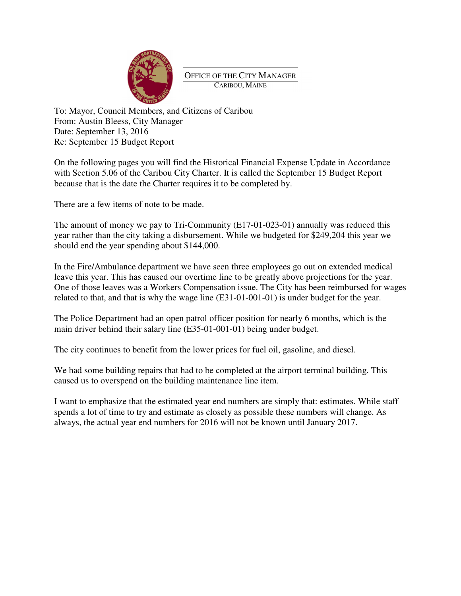

OFFICE OF THE CITY MANAGER CARIBOU, MAINE

To: Mayor, Council Members, and Citizens of Caribou From: Austin Bleess, City Manager Date: September 13, 2016 Re: September 15 Budget Report

On the following pages you will find the Historical Financial Expense Update in Accordance with Section 5.06 of the Caribou City Charter. It is called the September 15 Budget Report because that is the date the Charter requires it to be completed by.

There are a few items of note to be made.

The amount of money we pay to Tri-Community (E17-01-023-01) annually was reduced this year rather than the city taking a disbursement. While we budgeted for \$249,204 this year we should end the year spending about \$144,000.

In the Fire/Ambulance department we have seen three employees go out on extended medical leave this year. This has caused our overtime line to be greatly above projections for the year. One of those leaves was a Workers Compensation issue. The City has been reimbursed for wages related to that, and that is why the wage line (E31-01-001-01) is under budget for the year.

The Police Department had an open patrol officer position for nearly 6 months, which is the main driver behind their salary line (E35-01-001-01) being under budget.

The city continues to benefit from the lower prices for fuel oil, gasoline, and diesel.

We had some building repairs that had to be completed at the airport terminal building. This caused us to overspend on the building maintenance line item.

I want to emphasize that the estimated year end numbers are simply that: estimates. While staff spends a lot of time to try and estimate as closely as possible these numbers will change. As always, the actual year end numbers for 2016 will not be known until January 2017.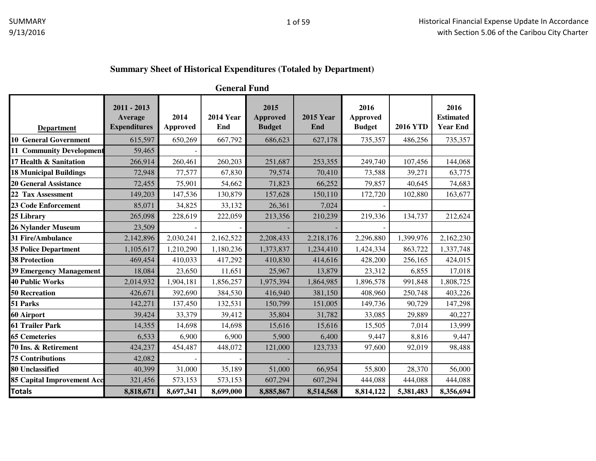### **Summary Sheet of Historical Expenditures (Totaled by Department)**

**General Fund**

| <b>Department</b>                 | $2011 - 2013$<br>Average<br><b>Expenditures</b> | 2014<br><b>Approved</b> | <b>2014 Year</b><br>End | 2015<br>Approved<br><b>Budget</b> | <b>2015 Year</b><br>End | 2016<br>Approved<br><b>Budget</b> | <b>2016 YTD</b> | 2016<br><b>Estimated</b><br><b>Year End</b> |
|-----------------------------------|-------------------------------------------------|-------------------------|-------------------------|-----------------------------------|-------------------------|-----------------------------------|-----------------|---------------------------------------------|
| <b>10 General Government</b>      | 615,597                                         | 650,269                 | 667,792                 | 686,623                           | 627,178                 | 735,357                           | 486,256         | 735,357                                     |
| <b>11 Community Development</b>   | 59,465                                          |                         |                         |                                   |                         |                                   |                 |                                             |
| 17 Health & Sanitation            |                                                 | 260,461                 |                         |                                   |                         |                                   |                 |                                             |
|                                   | 266,914                                         |                         | 260,203                 | 251,687                           | 253,355                 | 249,740                           | 107,456         | 144,068                                     |
| <b>18 Municipal Buildings</b>     | 72,948                                          | 77,577                  | 67,830                  | 79,574                            | 70,410                  | 73,588                            | 39,271          | 63,775                                      |
| <b>20 General Assistance</b>      | 72,455                                          | 75,901                  | 54,662                  | 71,823                            | 66,252                  | 79,857                            | 40,645          | 74,683                                      |
| 22 Tax Assessment                 | 149,203                                         | 147,536                 | 130,879                 | 157,628                           | 150,110                 | 172,720                           | 102,880         | 163,677                                     |
| <b>23 Code Enforcement</b>        | 85,071                                          | 34,825                  | 33,132                  | 26,361                            | 7,024                   |                                   |                 |                                             |
| 25 Library                        | 265,098                                         | 228,619                 | 222,059                 | 213,356                           | 210,239                 | 219,336                           | 134,737         | 212,624                                     |
| 26 Nylander Museum                | 23,509                                          |                         |                         |                                   |                         |                                   |                 |                                             |
| 31 Fire/Ambulance                 | 2,142,896                                       | 2,030,241               | 2,162,522               | 2,208,433                         | 2,218,176               | 2,296,880                         | 1,399,976       | 2,162,230                                   |
| <b>35 Police Department</b>       | 1,105,617                                       | 1,210,290               | 1,180,236               | 1,373,837                         | 1,234,410               | 1,424,334                         | 863,722         | 1,337,748                                   |
| <b>38 Protection</b>              | 469,454                                         | 410,033                 | 417,292                 | 410,830                           | 414,616                 | 428,200                           | 256,165         | 424,015                                     |
| <b>39 Emergency Management</b>    | 18,084                                          | 23,650                  | 11,651                  | 25,967                            | 13,879                  | 23,312                            | 6,855           | 17,018                                      |
| <b>40 Public Works</b>            | 2,014,932                                       | 1,904,181               | 1,856,257               | 1,975,394                         | 1,864,985               | 1,896,578                         | 991,848         | 1,808,725                                   |
| <b>50 Recreation</b>              | 426,671                                         | 392,690                 | 384,530                 | 416,940                           | 381,150                 | 408,960                           | 250,748         | 403,226                                     |
| 51 Parks                          | 142,271                                         | 137,450                 | 132,531                 | 150,799                           | 151,005                 | 149,736                           | 90,729          | 147,298                                     |
| 60 Airport                        | 39,424                                          | 33,379                  | 39,412                  | 35,804                            | 31,782                  | 33,085                            | 29,889          | 40,227                                      |
| 61 Trailer Park                   | 14,355                                          | 14,698                  | 14,698                  | 15,616                            | 15,616                  | 15,505                            | 7,014           | 13,999                                      |
| <b>65 Cemeteries</b>              | 6,533                                           | 6,900                   | 6,900                   | 5,900                             | 6,400                   | 9,447                             | 8,816           | 9,447                                       |
| 70 Ins. & Retirement              | 424,237                                         | 454,487                 | 448,072                 | 121,000                           | 123,733                 | 97,600                            | 92,019          | 98,488                                      |
| <b>75 Contributions</b>           | 42,082                                          |                         |                         |                                   |                         |                                   |                 |                                             |
| 80 Unclassified                   | 40,399                                          | 31,000                  | 35,189                  | 51,000                            | 66,954                  | 55,800                            | 28,370          | 56,000                                      |
| <b>85 Capital Improvement Acc</b> | 321,456                                         | 573,153                 | 573,153                 | 607,294                           | 607,294                 | 444,088                           | 444,088         | 444,088                                     |
| <b>Totals</b>                     | 8,818,671                                       | 8,697,341               | 8,699,000               | 8,885,867                         | 8,514,568               | 8,814,122                         | 5,381,483       | 8,356,694                                   |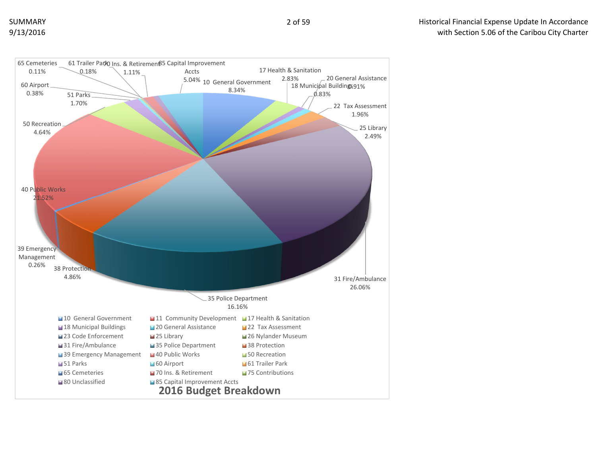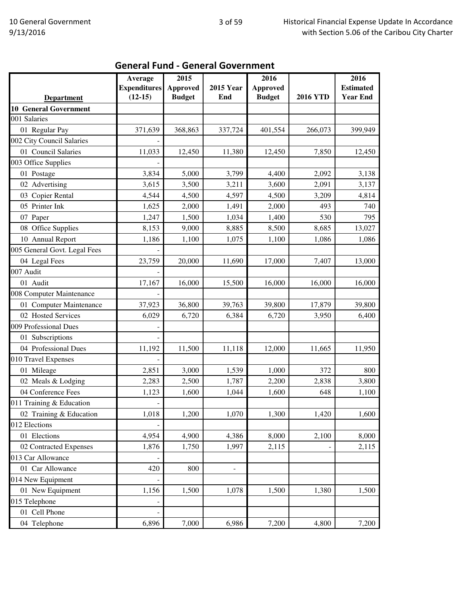|                              | Average             | 2015            |                  | 2016            |                 | 2016             |
|------------------------------|---------------------|-----------------|------------------|-----------------|-----------------|------------------|
|                              | <b>Expenditures</b> | <b>Approved</b> | <b>2015 Year</b> | <b>Approved</b> |                 | <b>Estimated</b> |
| <b>Department</b>            | $(12-15)$           | <b>Budget</b>   | End              | <b>Budget</b>   | <b>2016 YTD</b> | <b>Year End</b>  |
| <b>10 General Government</b> |                     |                 |                  |                 |                 |                  |
| 001 Salaries                 |                     |                 |                  |                 |                 |                  |
| 01 Regular Pay               | 371,639             | 368,863         | 337,724          | 401,554         | 266,073         | 399,949          |
| 002 City Council Salaries    |                     |                 |                  |                 |                 |                  |
| 01 Council Salaries          | 11,033              | 12,450          | 11,380           | 12,450          | 7,850           | 12,450           |
| 003 Office Supplies          |                     |                 |                  |                 |                 |                  |
| 01 Postage                   | 3,834               | 5,000           | 3,799            | 4,400           | 2,092           | 3,138            |
| 02 Advertising               | 3,615               | 3,500           | 3,211            | 3,600           | 2,091           | 3,137            |
| 03 Copier Rental             | 4,544               | 4,500           | 4,597            | 4,500           | 3,209           | 4,814            |
| 05 Printer Ink               | 1,625               | 2,000           | 1,491            | 2,000           | 493             | 740              |
| 07 Paper                     | 1,247               | 1,500           | 1,034            | 1,400           | 530             | 795              |
| 08 Office Supplies           | 8,153               | 9,000           | 8,885            | 8,500           | 8,685           | 13,027           |
| 10 Annual Report             | 1,186               | 1,100           | 1,075            | 1,100           | 1,086           | 1,086            |
| 005 General Govt. Legal Fees |                     |                 |                  |                 |                 |                  |
| 04 Legal Fees                | 23,759              | 20,000          | 11,690           | 17,000          | 7,407           | 13,000           |
| 007 Audit                    |                     |                 |                  |                 |                 |                  |
| 01 Audit                     | 17,167              | 16,000          | 15,500           | 16,000          | 16,000          | 16,000           |
| 008 Computer Maintenance     |                     |                 |                  |                 |                 |                  |
| 01 Computer Maintenance      | 37,923              | 36,800          | 39,763           | 39,800          | 17,879          | 39,800           |
| 02 Hosted Services           | 6,029               | 6,720           | 6,384            | 6,720           | 3,950           | 6,400            |
| 009 Professional Dues        |                     |                 |                  |                 |                 |                  |
| 01 Subscriptions             |                     |                 |                  |                 |                 |                  |
| 04 Professional Dues         | 11,192              | 11,500          | 11,118           | 12,000          | 11,665          | 11,950           |
| 010 Travel Expenses          |                     |                 |                  |                 |                 |                  |
| 01 Mileage                   | 2,851               | 3,000           | 1,539            | 1,000           | 372             | 800              |
| 02 Meals & Lodging           | 2,283               | 2,500           | 1,787            | 2,200           | 2,838           | 3,800            |
| 04 Conference Fees           | 1,123               | 1,600           | 1,044            | 1,600           | 648             | 1,100            |
| 011 Training & Education     | $\overline{a}$      |                 |                  |                 |                 |                  |
| 02 Training & Education      | 1,018               | 1,200           | 1,070            | 1,300           | 1,420           | 1,600            |
| 012 Elections                |                     |                 |                  |                 |                 |                  |
| 01 Elections                 | 4,954               | 4,900           | 4,386            | 8,000           | 2,100           | 8,000            |
| 02 Contracted Expenses       | 1,876               | 1,750           | 1,997            | 2,115           |                 | 2,115            |
| 013 Car Allowance            |                     |                 |                  |                 |                 |                  |
| 01 Car Allowance             | 420                 | 800             |                  |                 |                 |                  |
|                              |                     |                 | $\blacksquare$   |                 |                 |                  |
| 014 New Equipment            |                     |                 |                  |                 |                 |                  |
| 01 New Equipment             | 1,156               | 1,500           | 1,078            | 1,500           | 1,380           | 1,500            |
| 015 Telephone                |                     |                 |                  |                 |                 |                  |
| 01 Cell Phone                |                     |                 |                  |                 |                 |                  |
| 04 Telephone                 | 6,896               | 7,000           | 6,986            | 7,200           | 4,800           | 7,200            |

# General Fund - General Government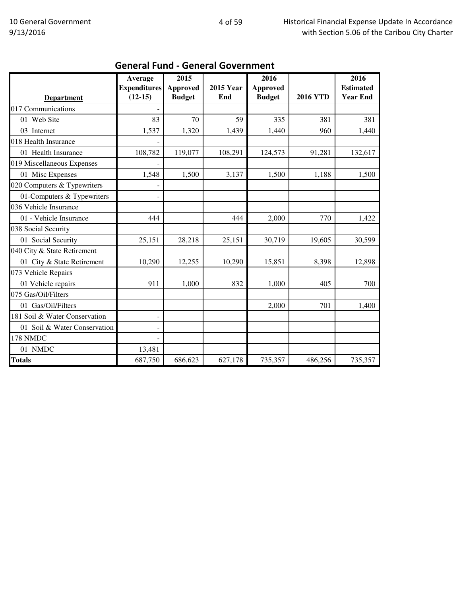|                               | Average             | 2015          |                  | 2016            |                 | 2016             |
|-------------------------------|---------------------|---------------|------------------|-----------------|-----------------|------------------|
|                               | <b>Expenditures</b> | Approved      | <b>2015 Year</b> | <b>Approved</b> |                 | <b>Estimated</b> |
| <b>Department</b>             | $(12-15)$           | <b>Budget</b> | End              | <b>Budget</b>   | <b>2016 YTD</b> | <b>Year End</b>  |
| 017 Communications            |                     |               |                  |                 |                 |                  |
| 01 Web Site                   | 83                  | 70            | 59               | 335             | 381             | 381              |
| 03 Internet                   | 1,537               | 1,320         | 1,439            | 1,440           | 960             | 1,440            |
| 018 Health Insurance          |                     |               |                  |                 |                 |                  |
| 01 Health Insurance           | 108,782             | 119,077       | 108,291          | 124,573         | 91,281          | 132,617          |
| 019 Miscellaneous Expenses    |                     |               |                  |                 |                 |                  |
| 01 Misc Expenses              | 1,548               | 1,500         | 3,137            | 1,500           | 1,188           | 1,500            |
| 020 Computers & Typewriters   |                     |               |                  |                 |                 |                  |
| 01-Computers & Typewriters    |                     |               |                  |                 |                 |                  |
| 036 Vehicle Insurance         |                     |               |                  |                 |                 |                  |
| 01 - Vehicle Insurance        | 444                 |               | 444              | 2,000           | 770             | 1,422            |
| 038 Social Security           |                     |               |                  |                 |                 |                  |
| 01 Social Security            | 25,151              | 28,218        | 25,151           | 30,719          | 19,605          | 30,599           |
| 040 City & State Retirement   |                     |               |                  |                 |                 |                  |
| 01 City & State Retirement    | 10,290              | 12,255        | 10,290           | 15,851          | 8,398           | 12,898           |
| 073 Vehicle Repairs           |                     |               |                  |                 |                 |                  |
| 01 Vehicle repairs            | 911                 | 1,000         | 832              | 1,000           | 405             | 700              |
| 075 Gas/Oil/Filters           |                     |               |                  |                 |                 |                  |
| 01 Gas/Oil/Filters            |                     |               |                  | 2,000           | 701             | 1,400            |
| 181 Soil & Water Conservation |                     |               |                  |                 |                 |                  |
| 01 Soil & Water Conservation  |                     |               |                  |                 |                 |                  |
| 178 NMDC                      |                     |               |                  |                 |                 |                  |
| 01 NMDC                       | 13,481              |               |                  |                 |                 |                  |
| <b>Totals</b>                 | 687,750             | 686,623       | 627,178          | 735,357         | 486,256         | 735,357          |

#### General Fund - General Government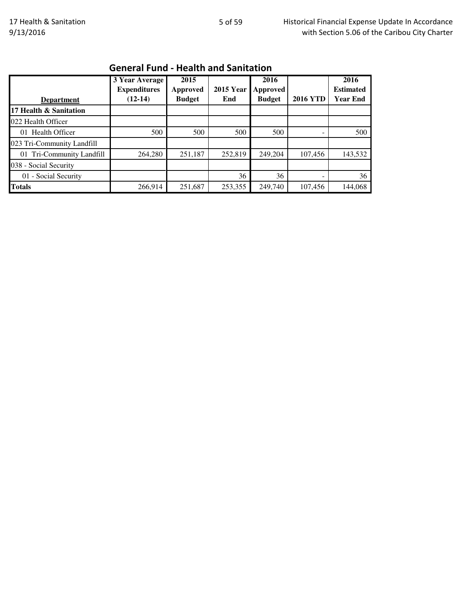|                            | 3 Year Average<br><b>Expenditures</b> | 2015<br>Approved | <b>2015 Year</b> | 2016<br><b>Approved</b> |                 | 2016<br><b>Estimated</b> |
|----------------------------|---------------------------------------|------------------|------------------|-------------------------|-----------------|--------------------------|
| <b>Department</b>          | $(12-14)$                             | <b>Budget</b>    | End              | <b>Budget</b>           | <b>2016 YTD</b> | <b>Year End</b>          |
| 17 Health & Sanitation     |                                       |                  |                  |                         |                 |                          |
| 022 Health Officer         |                                       |                  |                  |                         |                 |                          |
| 01 Health Officer          | 500                                   | 500              | 500              | 500                     |                 | 500                      |
| 023 Tri-Community Landfill |                                       |                  |                  |                         |                 |                          |
| 01 Tri-Community Landfill  | 264,280                               | 251,187          | 252,819          | 249,204                 | 107,456         | 143,532                  |
| 038 - Social Security      |                                       |                  |                  |                         |                 |                          |
| 01 - Social Security       |                                       |                  | 36               | 36                      |                 | 36                       |
| <b>Totals</b>              | 266,914                               | 251,687          | 253,355          | 249,740                 | 107,456         | 144,068                  |

### General Fund - Health and Sanitation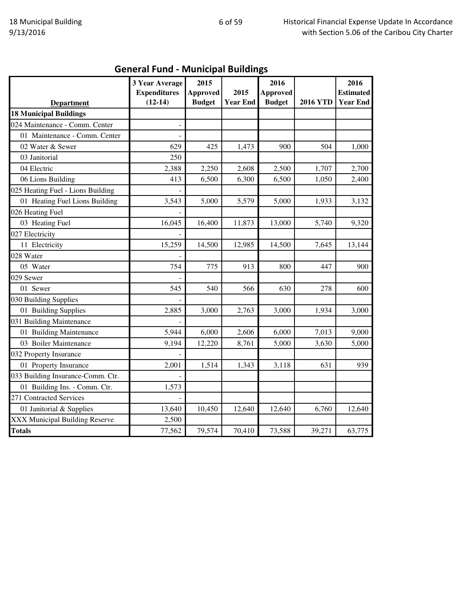# General Fund - Municipal Buildings

|                                   | 3 Year Average      | 2015            |                         | 2016            |                 | 2016                                |
|-----------------------------------|---------------------|-----------------|-------------------------|-----------------|-----------------|-------------------------------------|
|                                   | <b>Expenditures</b> | <b>Approved</b> | 2015<br><b>Year End</b> | <b>Approved</b> | <b>2016 YTD</b> | <b>Estimated</b><br><b>Year End</b> |
| <b>Department</b>                 | $(12-14)$           | <b>Budget</b>   |                         | <b>Budget</b>   |                 |                                     |
| <b>18 Municipal Buildings</b>     |                     |                 |                         |                 |                 |                                     |
| 024 Maintenance - Comm. Center    |                     |                 |                         |                 |                 |                                     |
| 01 Maintenance - Comm. Center     |                     |                 |                         |                 |                 |                                     |
| 02 Water & Sewer                  | 629                 | 425             | 1,473                   | 900             | 504             | 1,000                               |
| 03 Janitorial                     | 250                 |                 |                         |                 |                 |                                     |
| 04 Electric                       | 2,388               | 2,250           | 2,608                   | 2,500           | 1,707           | 2,700                               |
| 06 Lions Building                 | 413                 | 6,500           | 6,300                   | 6,500           | 1,050           | 2,400                               |
| 025 Heating Fuel - Lions Building |                     |                 |                         |                 |                 |                                     |
| 01 Heating Fuel Lions Building    | 3,543               | 5,000           | 5,579                   | 5,000           | 1,933           | 3,132                               |
| 026 Heating Fuel                  |                     |                 |                         |                 |                 |                                     |
| 03 Heating Fuel                   | 16,045              | 16,400          | 11,873                  | 13,000          | 5,740           | 9,320                               |
| 027 Electricity                   |                     |                 |                         |                 |                 |                                     |
| 11 Electricity                    | 15,259              | 14,500          | 12,985                  | 14,500          | 7,645           | 13,144                              |
| 028 Water                         |                     |                 |                         |                 |                 |                                     |
| 05 Water                          | 754                 | 775             | 913                     | 800             | 447             | 900                                 |
| 029 Sewer                         |                     |                 |                         |                 |                 |                                     |
| 01 Sewer                          | 545                 | 540             | 566                     | 630             | 278             | 600                                 |
| 030 Building Supplies             |                     |                 |                         |                 |                 |                                     |
| 01 Building Supplies              | 2,885               | 3,000           | 2,763                   | 3,000           | 1,934           | 3,000                               |
| 031 Building Maintenance          |                     |                 |                         |                 |                 |                                     |
| 01 Building Maintenance           | 5,944               | 6,000           | 2,606                   | 6,000           | 7,013           | 9,000                               |
| 03 Boiler Maintenance             | 9,194               | 12,220          | 8,761                   | 5,000           | 3,630           | 5,000                               |
| 032 Property Insurance            |                     |                 |                         |                 |                 |                                     |
| 01 Property Insurance             | 2,001               | 1,514           | 1,343                   | 3,118           | 631             | 939                                 |
| 033 Building Insurance-Comm. Ctr. |                     |                 |                         |                 |                 |                                     |
| 01 Building Ins. - Comm. Ctr.     | 1,573               |                 |                         |                 |                 |                                     |
| 271 Contracted Services           |                     |                 |                         |                 |                 |                                     |
| 01 Janitorial & Supplies          | 13,640              | 10,450          | 12,640                  | 12,640          | 6,760           | 12,640                              |
| XXX Municipal Building Reserve    | 2,500               |                 |                         |                 |                 |                                     |
| <b>Totals</b>                     | 77,562              | 79,574          | 70,410                  | 73,588          | 39,271          | 63,775                              |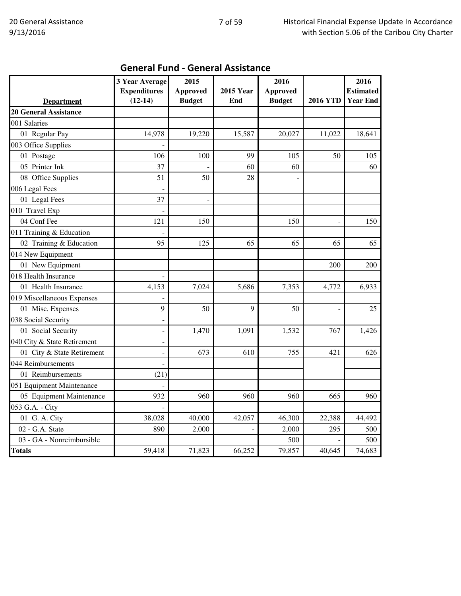|                              | 3 Year Average           | 2015            |                  | 2016            |                          | 2016             |
|------------------------------|--------------------------|-----------------|------------------|-----------------|--------------------------|------------------|
|                              | <b>Expenditures</b>      | <b>Approved</b> | <b>2015 Year</b> | <b>Approved</b> |                          | <b>Estimated</b> |
| <b>Department</b>            | $(12-14)$                | <b>Budget</b>   | End              | <b>Budget</b>   | <b>2016 YTD</b>          | <b>Year End</b>  |
| <b>20 General Assistance</b> |                          |                 |                  |                 |                          |                  |
| 001 Salaries                 |                          |                 |                  |                 |                          |                  |
| 01 Regular Pay               | 14,978                   | 19,220          | 15,587           | 20,027          | 11,022                   | 18,641           |
| 003 Office Supplies          |                          |                 |                  |                 |                          |                  |
| 01 Postage                   | 106                      | 100             | 99               | 105             | 50                       | 105              |
| 05 Printer Ink               | 37                       |                 | 60               | 60              |                          | 60               |
| 08 Office Supplies           | 51                       | 50              | 28               |                 |                          |                  |
| 006 Legal Fees               |                          |                 |                  |                 |                          |                  |
| 01 Legal Fees                | 37                       |                 |                  |                 |                          |                  |
| 010 Travel Exp               |                          |                 |                  |                 |                          |                  |
| 04 Conf Fee                  | 121                      | 150             |                  | 150             | $\overline{\phantom{0}}$ | 150              |
| 011 Training & Education     |                          |                 |                  |                 |                          |                  |
| 02 Training & Education      | 95                       | 125             | 65               | 65              | 65                       | 65               |
| 014 New Equipment            |                          |                 |                  |                 |                          |                  |
| 01 New Equipment             |                          |                 |                  |                 | 200                      | 200              |
| 018 Health Insurance         |                          |                 |                  |                 |                          |                  |
| 01 Health Insurance          | 4,153                    | 7,024           | 5,686            | 7,353           | 4,772                    | 6,933            |
| 019 Miscellaneous Expenses   |                          |                 |                  |                 |                          |                  |
| 01 Misc. Expenses            | 9                        | 50              | 9                | 50              |                          | 25               |
| 038 Social Security          | $\overline{a}$           |                 |                  |                 |                          |                  |
| 01 Social Security           | $\overline{\phantom{m}}$ | 1,470           | 1.091            | 1,532           | 767                      | 1,426            |
| 040 City & State Retirement  | $\overline{a}$           |                 |                  |                 |                          |                  |
| 01 City & State Retirement   | $\overline{a}$           | 673             | 610              | 755             | 421                      | 626              |
| 044 Reimbursements           |                          |                 |                  |                 |                          |                  |
| 01 Reimbursements            | (21)                     |                 |                  |                 |                          |                  |
| 051 Equipment Maintenance    |                          |                 |                  |                 |                          |                  |
| 05 Equipment Maintenance     | 932                      | 960             | 960              | 960             | 665                      | 960              |
| 053 G.A. - City              |                          |                 |                  |                 |                          |                  |
| 01 G. A. City                | 38,028                   | 40,000          | 42,057           | 46,300          | 22,388                   | 44,492           |
| 02 - G.A. State              | 890                      | 2,000           |                  | 2,000           | 295                      | 500              |
| 03 - GA - Nonreimbursible    |                          |                 |                  | 500             |                          | 500              |
| <b>Totals</b>                | 59,418                   | 71,823          | 66,252           | 79,857          | 40,645                   | 74,683           |

## General Fund - General Assistance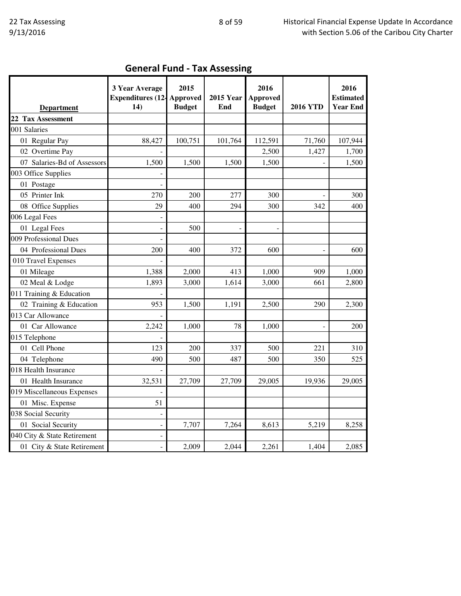| <b>Department</b>           | 3 Year Average<br><b>Expenditures (12-</b><br>14) | 2015<br>Approved<br><b>Budget</b> | <b>2015 Year</b><br>End | 2016<br><b>Approved</b><br><b>Budget</b> | <b>2016 YTD</b> | 2016<br><b>Estimated</b><br><b>Year End</b> |
|-----------------------------|---------------------------------------------------|-----------------------------------|-------------------------|------------------------------------------|-----------------|---------------------------------------------|
| 22 Tax Assessment           |                                                   |                                   |                         |                                          |                 |                                             |
| 001 Salaries                |                                                   |                                   |                         |                                          |                 |                                             |
| 01 Regular Pay              | 88,427                                            | 100,751                           | 101,764                 | 112,591                                  | 71,760          | 107,944                                     |
| 02 Overtime Pay             |                                                   |                                   |                         | 2,500                                    | 1,427           | 1,700                                       |
| 07 Salaries-Bd of Assessors | 1,500                                             | 1,500                             | 1,500                   | 1,500                                    |                 | 1,500                                       |
| 003 Office Supplies         |                                                   |                                   |                         |                                          |                 |                                             |
| 01 Postage                  |                                                   |                                   |                         |                                          |                 |                                             |
| 05 Printer Ink              | 270                                               | 200                               | 277                     | 300                                      |                 | 300                                         |
| 08 Office Supplies          | 29                                                | 400                               | 294                     | 300                                      | 342             | 400                                         |
| 006 Legal Fees              |                                                   |                                   |                         |                                          |                 |                                             |
| 01 Legal Fees               |                                                   | 500                               | $\overline{a}$          |                                          |                 |                                             |
| 009 Professional Dues       |                                                   |                                   |                         |                                          |                 |                                             |
| 04 Professional Dues        | 200                                               | 400                               | 372                     | 600                                      |                 | 600                                         |
| 010 Travel Expenses         |                                                   |                                   |                         |                                          |                 |                                             |
| 01 Mileage                  | 1,388                                             | 2,000                             | 413                     | 1,000                                    | 909             | 1,000                                       |
| 02 Meal & Lodge             | 1,893                                             | 3,000                             | 1,614                   | 3,000                                    | 661             | 2,800                                       |
| 011 Training & Education    |                                                   |                                   |                         |                                          |                 |                                             |
| 02 Training & Education     | 953                                               | 1,500                             | 1,191                   | 2,500                                    | 290             | 2,300                                       |
| 013 Car Allowance           |                                                   |                                   |                         |                                          |                 |                                             |
| 01 Car Allowance            | 2,242                                             | 1,000                             | 78                      | 1,000                                    |                 | 200                                         |
| 015 Telephone               |                                                   |                                   |                         |                                          |                 |                                             |
| 01 Cell Phone               | 123                                               | 200                               | 337                     | 500                                      | 221             | 310                                         |
| 04 Telephone                | 490                                               | 500                               | 487                     | 500                                      | 350             | 525                                         |
| 018 Health Insurance        |                                                   |                                   |                         |                                          |                 |                                             |
| 01 Health Insurance         | 32,531                                            | 27,709                            | 27,709                  | 29,005                                   | 19,936          | 29,005                                      |
| 019 Miscellaneous Expenses  |                                                   |                                   |                         |                                          |                 |                                             |
| 01 Misc. Expense            | 51                                                |                                   |                         |                                          |                 |                                             |
| 038 Social Security         |                                                   |                                   |                         |                                          |                 |                                             |
| 01 Social Security          | $\overline{\phantom{a}}$                          | 7,707                             | 7,264                   | 8,613                                    | 5,219           | 8,258                                       |
| 040 City & State Retirement |                                                   |                                   |                         |                                          |                 |                                             |
| 01 City & State Retirement  |                                                   | 2,009                             | 2,044                   | 2,261                                    | 1,404           | 2,085                                       |

# General Fund - Tax Assessing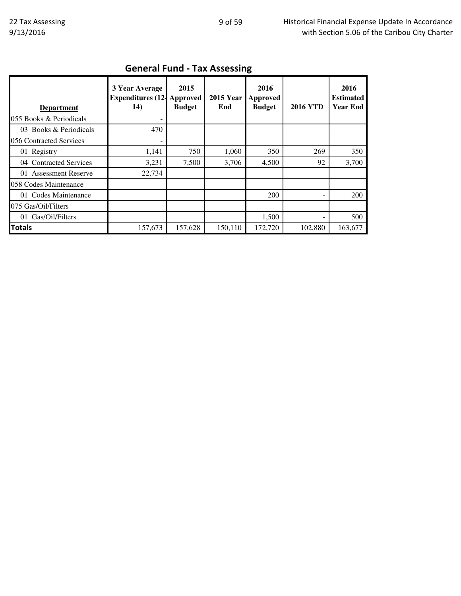|                         | 3 Year Average<br><b>Expenditures (12-</b> | 2015<br>Approved | <b>2015 Year</b> | 2016<br>Approved |                 | 2016<br><b>Estimated</b> |
|-------------------------|--------------------------------------------|------------------|------------------|------------------|-----------------|--------------------------|
| <b>Department</b>       | 14)                                        | <b>Budget</b>    | End              | <b>Budget</b>    | <b>2016 YTD</b> | <b>Year End</b>          |
| 055 Books & Periodicals |                                            |                  |                  |                  |                 |                          |
| 03 Books & Periodicals  | 470                                        |                  |                  |                  |                 |                          |
| 056 Contracted Services |                                            |                  |                  |                  |                 |                          |
| 01 Registry             | 1,141                                      | 750              | 1,060            | 350              | 269             | 350                      |
| 04 Contracted Services  | 3,231                                      | 7,500            | 3,706            | 4,500            | 92              | 3,700                    |
| 01 Assessment Reserve   | 22,734                                     |                  |                  |                  |                 |                          |
| 058 Codes Maintenance   |                                            |                  |                  |                  |                 |                          |
| 01 Codes Maintenance    |                                            |                  |                  | 200              |                 | 200                      |
| 075 Gas/Oil/Filters     |                                            |                  |                  |                  |                 |                          |
| 01 Gas/Oil/Filters      |                                            |                  |                  | 1,500            |                 | 500                      |
| <b>Totals</b>           | 157,673                                    | 157,628          | 150,110          | 172,720          | 102,880         | 163,677                  |

## General Fund - Tax Assessing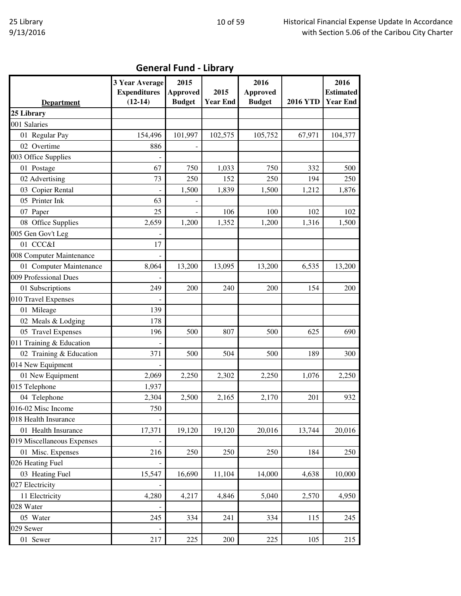| <b>General Fund - Library</b> |  |  |
|-------------------------------|--|--|
|-------------------------------|--|--|

|                            | <b>3 Year Average</b><br><b>Expenditures</b> | 2015<br><b>Approved</b> | 2015            | 2016<br><b>Approved</b> |                 | 2016<br><b>Estimated</b> |
|----------------------------|----------------------------------------------|-------------------------|-----------------|-------------------------|-----------------|--------------------------|
| <b>Department</b>          | $(12-14)$                                    | <b>Budget</b>           | <b>Year End</b> | <b>Budget</b>           | <b>2016 YTD</b> | <b>Year End</b>          |
| 25 Library                 |                                              |                         |                 |                         |                 |                          |
| 001 Salaries               |                                              |                         |                 |                         |                 |                          |
| 01 Regular Pay             | 154,496                                      | 101,997                 | 102,575         | 105,752                 | 67,971          | 104,377                  |
| 02 Overtime                | 886                                          |                         |                 |                         |                 |                          |
| 003 Office Supplies        |                                              |                         |                 |                         |                 |                          |
| 01 Postage                 | 67                                           | 750                     | 1,033           | 750                     | 332             | 500                      |
| 02 Advertising             | 73                                           | 250                     | 152             | 250                     | 194             | 250                      |
| 03 Copier Rental           |                                              | 1,500                   | 1,839           | 1,500                   | 1,212           | 1,876                    |
| 05 Printer Ink             | 63                                           |                         |                 |                         |                 |                          |
| 07 Paper                   | 25                                           |                         | 106             | 100                     | 102             | 102                      |
| 08 Office Supplies         | 2,659                                        | 1,200                   | 1,352           | 1,200                   | 1,316           | 1,500                    |
| 005 Gen Gov't Leg          |                                              |                         |                 |                         |                 |                          |
| 01 CCC&I                   | 17                                           |                         |                 |                         |                 |                          |
| 008 Computer Maintenance   |                                              |                         |                 |                         |                 |                          |
| 01 Computer Maintenance    | 8,064                                        | 13,200                  | 13,095          | 13,200                  | 6,535           | 13,200                   |
| 009 Professional Dues      |                                              |                         |                 |                         |                 |                          |
| 01 Subscriptions           | 249                                          | 200                     | 240             | 200                     | 154             | 200                      |
| 010 Travel Expenses        |                                              |                         |                 |                         |                 |                          |
| 01 Mileage                 | 139                                          |                         |                 |                         |                 |                          |
| 02 Meals & Lodging         | 178                                          |                         |                 |                         |                 |                          |
| 05 Travel Expenses         | 196                                          | 500                     | 807             | 500                     | 625             | 690                      |
| 011 Training & Education   |                                              |                         |                 |                         |                 |                          |
| 02 Training & Education    | 371                                          | 500                     | 504             | 500                     | 189             | 300                      |
| 014 New Equipment          |                                              |                         |                 |                         |                 |                          |
| 01 New Equipment           | 2,069                                        | 2,250                   | 2,302           | 2,250                   | 1,076           | 2,250                    |
| 015 Telephone              | 1,937                                        |                         |                 |                         |                 |                          |
| 04 Telephone               | 2,304                                        | 2,500                   | 2,165           | 2,170                   | 201             | 932                      |
| 016-02 Misc Income         | 750                                          |                         |                 |                         |                 |                          |
| 018 Health Insurance       |                                              |                         |                 |                         |                 |                          |
| 01 Health Insurance        | 17,371                                       | 19,120                  | 19,120          | 20,016                  | 13,744          | 20,016                   |
| 019 Miscellaneous Expenses |                                              |                         |                 |                         |                 |                          |
| 01 Misc. Expenses          | 216                                          | 250                     | 250             | 250                     | 184             | 250                      |
| 026 Heating Fuel           |                                              |                         |                 |                         |                 |                          |
| 03 Heating Fuel            | 15,547                                       | 16,690                  | 11,104          | 14,000                  | 4,638           | 10,000                   |
| 027 Electricity            |                                              |                         |                 |                         |                 |                          |
| 11 Electricity             | 4,280                                        | 4,217                   | 4,846           | 5,040                   | 2,570           | 4,950                    |
| 028 Water                  |                                              |                         |                 |                         |                 |                          |
| 05 Water                   | 245                                          | 334                     | 241             | 334                     | 115             | 245                      |
| 029 Sewer                  |                                              |                         |                 |                         |                 |                          |
| 01 Sewer                   | 217                                          | 225                     | 200             | 225                     | 105             | 215                      |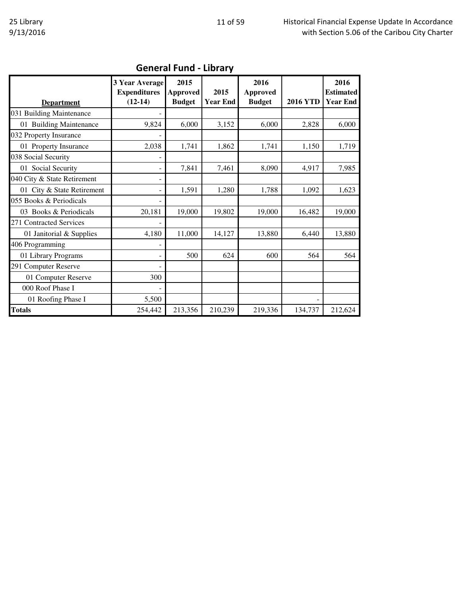| <b>Department</b>           | 3 Year Average<br><b>Expenditures</b><br>$(12-14)$ | 2015<br><b>Approved</b><br><b>Budget</b> | 2015<br><b>Year End</b> | 2016<br><b>Approved</b><br><b>Budget</b> | <b>2016 YTD</b> | 2016<br><b>Estimated</b><br><b>Year End</b> |  |  |  |
|-----------------------------|----------------------------------------------------|------------------------------------------|-------------------------|------------------------------------------|-----------------|---------------------------------------------|--|--|--|
| 031 Building Maintenance    | ۰                                                  |                                          |                         |                                          |                 |                                             |  |  |  |
| 01 Building Maintenance     | 9,824                                              | 6,000                                    | 3,152                   | 6,000                                    | 2,828           | 6,000                                       |  |  |  |
| 032 Property Insurance      |                                                    |                                          |                         |                                          |                 |                                             |  |  |  |
| 01 Property Insurance       | 2,038                                              | 1,741                                    | 1,862                   | 1,741                                    | 1,150           | 1,719                                       |  |  |  |
| 038 Social Security         | -                                                  |                                          |                         |                                          |                 |                                             |  |  |  |
| 01 Social Security          | -                                                  | 7,841                                    | 7,461                   | 8,090                                    | 4,917           | 7,985                                       |  |  |  |
| 040 City & State Retirement | -                                                  |                                          |                         |                                          |                 |                                             |  |  |  |
| 01 City & State Retirement  | $\overline{\phantom{0}}$                           | 1,591                                    | 1,280                   | 1,788                                    | 1,092           | 1,623                                       |  |  |  |
| 055 Books & Periodicals     |                                                    |                                          |                         |                                          |                 |                                             |  |  |  |
| 03 Books & Periodicals      | 20,181                                             | 19,000                                   | 19,802                  | 19,000                                   | 16,482          | 19,000                                      |  |  |  |
| 271 Contracted Services     |                                                    |                                          |                         |                                          |                 |                                             |  |  |  |
| 01 Janitorial & Supplies    | 4,180                                              | 11,000                                   | 14,127                  | 13,880                                   | 6,440           | 13,880                                      |  |  |  |
| 406 Programming             |                                                    |                                          |                         |                                          |                 |                                             |  |  |  |
| 01 Library Programs         |                                                    | 500                                      | 624                     | 600                                      | 564             | 564                                         |  |  |  |
| 291 Computer Reserve        |                                                    |                                          |                         |                                          |                 |                                             |  |  |  |
| 01 Computer Reserve         | 300                                                |                                          |                         |                                          |                 |                                             |  |  |  |
| 000 Roof Phase I            |                                                    |                                          |                         |                                          |                 |                                             |  |  |  |
| 01 Roofing Phase I          | 5,500                                              |                                          |                         |                                          |                 |                                             |  |  |  |
| <b>Totals</b>               | 254,442                                            | 213,356                                  | 210,239                 | 219,336                                  | 134,737         | 212,624                                     |  |  |  |

### General Fund - Library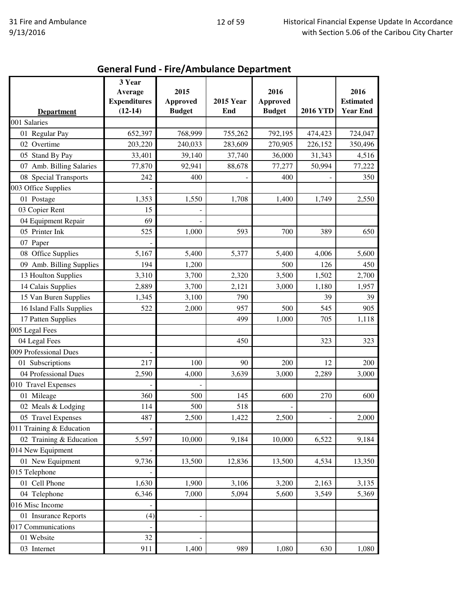|                          | 3 Year<br>Average                | 2015                             |                         | 2016                             |                 | 2016                                |
|--------------------------|----------------------------------|----------------------------------|-------------------------|----------------------------------|-----------------|-------------------------------------|
| <b>Department</b>        | <b>Expenditures</b><br>$(12-14)$ | <b>Approved</b><br><b>Budget</b> | <b>2015 Year</b><br>End | <b>Approved</b><br><b>Budget</b> | <b>2016 YTD</b> | <b>Estimated</b><br><b>Year End</b> |
| 001 Salaries             |                                  |                                  |                         |                                  |                 |                                     |
| 01 Regular Pay           | 652,397                          | 768,999                          | 755,262                 | 792,195                          | 474,423         | 724,047                             |
| 02 Overtime              | 203,220                          | 240,033                          | 283,609                 | 270,905                          | 226,152         | 350,496                             |
| 05 Stand By Pay          | 33,401                           | 39,140                           | 37,740                  | 36,000                           | 31,343          | 4,516                               |
| 07 Amb. Billing Salaries | 77,870                           | 92,941                           | 88,678                  | 77,277                           | 50,994          | 77,222                              |
| 08 Special Transports    | 242                              | 400                              |                         | 400                              |                 | 350                                 |
| 003 Office Supplies      |                                  |                                  |                         |                                  |                 |                                     |
| 01 Postage               | 1,353                            | 1,550                            | 1,708                   | 1,400                            | 1,749           | 2,550                               |
| 03 Copier Rent           | 15                               |                                  |                         |                                  |                 |                                     |
| 04 Equipment Repair      | 69                               |                                  |                         |                                  |                 |                                     |
| 05 Printer Ink           | 525                              | 1,000                            | 593                     | 700                              | 389             | 650                                 |
| 07 Paper                 |                                  |                                  |                         |                                  |                 |                                     |
| 08 Office Supplies       | 5,167                            | 5,400                            | 5,377                   | 5,400                            | 4,006           | 5,600                               |
| 09 Amb. Billing Supplies | 194                              | 1,200                            |                         | 500                              | 126             | 450                                 |
| 13 Houlton Supplies      | 3,310                            | 3,700                            | 2,320                   | 3,500                            | 1,502           | 2,700                               |
| 14 Calais Supplies       | 2,889                            | 3,700                            | 2,121                   | 3,000                            | 1,180           | 1,957                               |
| 15 Van Buren Supplies    | 1,345                            | 3,100                            | 790                     |                                  | 39              | 39                                  |
| 16 Island Falls Supplies | 522                              | 2,000                            | 957                     | 500                              | 545             | 905                                 |
| 17 Patten Supplies       |                                  |                                  | 499                     | 1,000                            | 705             | 1,118                               |
| 005 Legal Fees           |                                  |                                  |                         |                                  |                 |                                     |
| 04 Legal Fees            |                                  |                                  | 450                     |                                  | 323             | 323                                 |
| 009 Professional Dues    |                                  |                                  |                         |                                  |                 |                                     |
| 01 Subscriptions         | 217                              | 100                              | 90                      | 200                              | 12              | 200                                 |
| 04 Professional Dues     | 2,590                            | 4,000                            | 3,639                   | 3,000                            | 2,289           | 3,000                               |
| 010 Travel Expenses      |                                  |                                  |                         |                                  |                 |                                     |
| 01 Mileage               | 360                              | 500                              | 145                     | 600                              | 270             | 600                                 |
| 02 Meals & Lodging       | 114                              | 500                              | 518                     |                                  |                 |                                     |
| 05 Travel Expenses       | 487                              | 2,500                            | 1,422                   | 2,500                            |                 | 2,000                               |
| 011 Training & Education |                                  |                                  |                         |                                  |                 |                                     |
| 02 Training & Education  | 5,597                            | 10,000                           | 9,184                   | 10,000                           | 6,522           | 9,184                               |
| 014 New Equipment        |                                  |                                  |                         |                                  |                 |                                     |
| 01 New Equipment         | 9,736                            | 13,500                           | 12,836                  | 13,500                           | 4,534           | 13,350                              |
| 015 Telephone            |                                  |                                  |                         |                                  |                 |                                     |
| 01 Cell Phone            | 1,630                            | 1,900                            | 3,106                   | 3,200                            | 2,163           | 3,135                               |
| 04 Telephone             | 6,346                            | 7,000                            | 5,094                   | 5,600                            | 3,549           | 5,369                               |
| 016 Misc Income          |                                  |                                  |                         |                                  |                 |                                     |
| 01 Insurance Reports     | (4)                              |                                  |                         |                                  |                 |                                     |
| 017 Communications       |                                  |                                  |                         |                                  |                 |                                     |
| 01 Website               | 32                               |                                  |                         |                                  |                 |                                     |
| 03 Internet              | 911                              | 1,400                            | 989                     | 1,080                            | 630             | 1,080                               |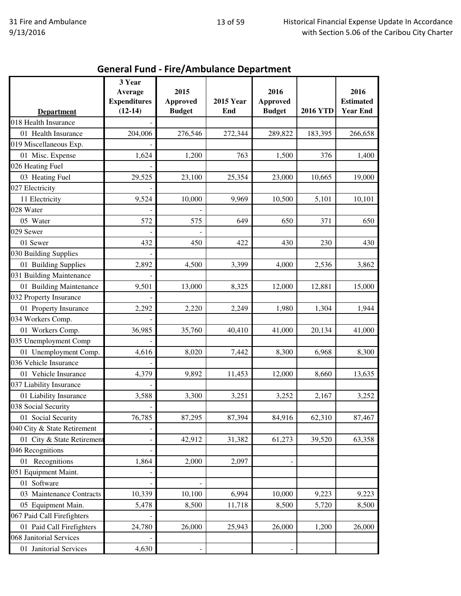|                                           | 3 Year<br>Average                | 2015                             |                         | 2016                             |                 | 2016                                |
|-------------------------------------------|----------------------------------|----------------------------------|-------------------------|----------------------------------|-----------------|-------------------------------------|
|                                           | <b>Expenditures</b><br>$(12-14)$ | <b>Approved</b><br><b>Budget</b> | <b>2015 Year</b><br>End | <b>Approved</b><br><b>Budget</b> | <b>2016 YTD</b> | <b>Estimated</b><br><b>Year End</b> |
| <b>Department</b><br>018 Health Insurance |                                  |                                  |                         |                                  |                 |                                     |
| 01 Health Insurance                       | 204,006                          | 276,546                          | 272,344                 | 289,822                          | 183,395         | 266,658                             |
| 019 Miscellaneous Exp.                    |                                  |                                  |                         |                                  |                 |                                     |
| 01 Misc. Expense                          | 1,624                            | 1,200                            | 763                     | 1,500                            | 376             | 1,400                               |
| 026 Heating Fuel                          |                                  |                                  |                         |                                  |                 |                                     |
| 03 Heating Fuel                           | 29,525                           | 23,100                           | 25,354                  | 23,000                           | 10,665          | 19,000                              |
| 027 Electricity                           |                                  |                                  |                         |                                  |                 |                                     |
| 11 Electricity                            | 9,524                            | 10,000                           | 9,969                   | 10,500                           | 5,101           | 10,101                              |
| 028 Water                                 |                                  |                                  |                         |                                  |                 |                                     |
| 05 Water                                  | 572                              | 575                              | 649                     | 650                              | 371             | 650                                 |
| 029 Sewer                                 |                                  |                                  |                         |                                  |                 |                                     |
|                                           |                                  |                                  | 422                     |                                  |                 |                                     |
| 01 Sewer                                  | 432                              | 450                              |                         | 430                              | 230             | 430                                 |
| 030 Building Supplies                     |                                  |                                  |                         |                                  |                 |                                     |
| 01 Building Supplies                      | 2,892                            | 4,500                            | 3,399                   | 4,000                            | 2,536           | 3,862                               |
| 031 Building Maintenance                  |                                  |                                  |                         |                                  |                 |                                     |
| 01 Building Maintenance                   | 9,501                            | 13,000                           | 8,325                   | 12,000                           | 12,881          | 15,000                              |
| 032 Property Insurance                    |                                  |                                  |                         |                                  |                 |                                     |
| 01 Property Insurance                     | 2,292                            | 2,220                            | 2,249                   | 1,980                            | 1,304           | 1,944                               |
| 034 Workers Comp.                         |                                  |                                  |                         |                                  |                 |                                     |
| 01 Workers Comp.                          | 36,985                           | 35,760                           | 40,410                  | 41,000                           | 20,134          | 41,000                              |
| 035 Unemployment Comp                     |                                  |                                  |                         |                                  |                 |                                     |
| 01 Unemployment Comp.                     | 4,616                            | 8,020                            | 7,442                   | 8,300                            | 6,968           | 8,300                               |
| 036 Vehicle Insurance                     |                                  |                                  |                         |                                  |                 |                                     |
| 01 Vehicle Insurance                      | 4,379                            | 9,892                            | 11,453                  | 12,000                           | 8,660           | 13,635                              |
| 037 Liability Insurance                   |                                  |                                  |                         |                                  |                 |                                     |
| 01 Liability Insurance                    | 3,588                            | 3,300                            | 3,251                   | 3,252                            | 2,167           | 3,252                               |
| 038 Social Security                       |                                  |                                  |                         |                                  |                 |                                     |
| 01 Social Security                        | 76,785                           | 87,295                           | 87,394                  | 84,916                           | 62,310          | 87,467                              |
| 040 City & State Retirement               |                                  |                                  |                         |                                  |                 |                                     |
| 01 City & State Retirement                |                                  | 42,912                           | 31,382                  | 61,273                           | 39,520          | 63,358                              |
| 046 Recognitions                          |                                  |                                  |                         |                                  |                 |                                     |
| 01 Recognitions                           | 1,864                            | 2,000                            | 2,097                   |                                  |                 |                                     |
| 051 Equipment Maint.                      |                                  |                                  |                         |                                  |                 |                                     |
| 01 Software                               |                                  |                                  |                         |                                  |                 |                                     |
| 03 Maintenance Contracts                  | 10,339                           | 10,100                           | 6,994                   | 10,000                           | 9,223           | 9,223                               |
| 05 Equipment Main.                        | 5,478                            | 8,500                            | 11,718                  | 8,500                            | 5,720           | 8,500                               |
| 067 Paid Call Firefighters                |                                  |                                  |                         |                                  |                 |                                     |
| 01 Paid Call Firefighters                 | 24,780                           | 26,000                           | 25,943                  | 26,000                           | 1,200           | 26,000                              |
| 068 Janitorial Services                   |                                  |                                  |                         |                                  |                 |                                     |
| 01 Janitorial Services                    | 4,630                            |                                  |                         |                                  |                 |                                     |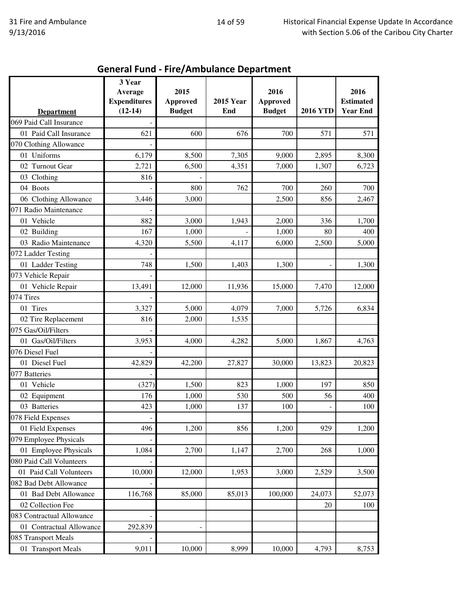|                           | 3 Year                         |                         |                  |                         |                 |                          |
|---------------------------|--------------------------------|-------------------------|------------------|-------------------------|-----------------|--------------------------|
|                           | Average<br><b>Expenditures</b> | 2015<br><b>Approved</b> | <b>2015 Year</b> | 2016<br><b>Approved</b> |                 | 2016<br><b>Estimated</b> |
| <b>Department</b>         | $(12-14)$                      | <b>Budget</b>           | End              | <b>Budget</b>           | <b>2016 YTD</b> | <b>Year End</b>          |
| 069 Paid Call Insurance   |                                |                         |                  |                         |                 |                          |
| 01 Paid Call Insurance    | 621                            | 600                     | 676              | 700                     | 571             | 571                      |
| 070 Clothing Allowance    |                                |                         |                  |                         |                 |                          |
| 01 Uniforms               | 6,179                          | 8,500                   | 7,305            | 9,000                   | 2,895           | 8,300                    |
| 02 Turnout Gear           | 2,721                          | 6,500                   | 4,351            | 7,000                   | 1,307           | 6,723                    |
| 03 Clothing               | 816                            |                         |                  |                         |                 |                          |
| 04 Boots                  |                                | 800                     | 762              | 700                     | 260             | 700                      |
| 06 Clothing Allowance     | 3,446                          | 3,000                   |                  | 2,500                   | 856             | 2,467                    |
| 071 Radio Maintenance     |                                |                         |                  |                         |                 |                          |
| 01 Vehicle                | 882                            | 3,000                   | 1,943            | 2,000                   | 336             | 1,700                    |
| 02 Building               | 167                            | 1,000                   |                  | 1,000                   | 80              | 400                      |
| 03 Radio Maintenance      | 4,320                          | 5,500                   | 4,117            | 6,000                   | 2,500           | 5,000                    |
| 072 Ladder Testing        |                                |                         |                  |                         |                 |                          |
| 01 Ladder Testing         | 748                            | 1,500                   | 1,403            | 1,300                   |                 | 1,300                    |
| 073 Vehicle Repair        |                                |                         |                  |                         |                 |                          |
| 01 Vehicle Repair         | 13,491                         | 12,000                  | 11,936           | 15,000                  | 7,470           | 12,000                   |
| 074 Tires                 |                                |                         |                  |                         |                 |                          |
| 01 Tires                  | 3,327                          | 5,000                   | 4,079            | 7,000                   | 5,726           | 6,834                    |
| 02 Tire Replacement       | 816                            | 2,000                   | 1,535            |                         |                 |                          |
| 075 Gas/Oil/Filters       |                                |                         |                  |                         |                 |                          |
| 01 Gas/Oil/Filters        | 3,953                          | 4,000                   | 4,282            | 5,000                   | 1,867           | 4,763                    |
| 076 Diesel Fuel           |                                |                         |                  |                         |                 |                          |
| 01 Diesel Fuel            | 42,829                         | 42,200                  | 27,827           | 30,000                  | 13,823          | 20,823                   |
| 077 Batteries             |                                |                         |                  |                         |                 |                          |
| 01 Vehicle                | (327)                          | 1,500                   | 823              | 1,000                   | 197             | 850                      |
| 02 Equipment              | 176                            | 1,000                   | 530              | 500                     | 56              | 400                      |
| 03 Batteries              | 423                            | 1,000                   | 137              | 100                     |                 | 100                      |
| 078 Field Expenses        |                                |                         |                  |                         |                 |                          |
| 01 Field Expenses         | 496                            | 1,200                   | 856              | 1,200                   | 929             | 1,200                    |
| 079 Employee Physicals    |                                |                         |                  |                         |                 |                          |
| 01 Employee Physicals     | 1,084                          | 2,700                   | 1,147            | 2,700                   | 268             | 1,000                    |
| 080 Paid Call Volunteers  |                                |                         |                  |                         |                 |                          |
| 01 Paid Call Volunteers   | 10,000                         | 12,000                  | 1,953            | 3,000                   | 2,529           | 3,500                    |
| 082 Bad Debt Allowance    |                                |                         |                  |                         |                 |                          |
| 01 Bad Debt Allowance     | 116,768                        | 85,000                  | 85,013           | 100,000                 | 24,073          | 52,073                   |
| 02 Collection Fee         |                                |                         |                  |                         | 20              | 100                      |
| 083 Contractual Allowance |                                |                         |                  |                         |                 |                          |
| 01 Contractual Allowance  | 292,839                        |                         |                  |                         |                 |                          |
| 085 Transport Meals       |                                |                         |                  |                         |                 |                          |
| 01 Transport Meals        | 9,011                          | 10,000                  | 8,999            | 10,000                  | 4,793           | 8,753                    |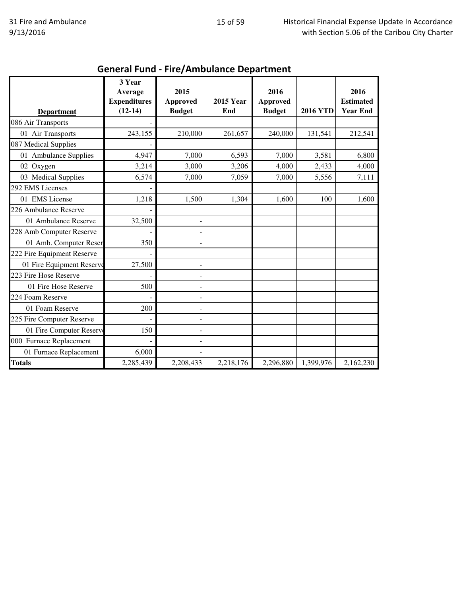| <b>Department</b>          | 3 Year<br>Average<br><b>Expenditures</b><br>$(12-14)$ | 2015<br><b>Approved</b><br><b>Budget</b> | <b>2015 Year</b><br>End | 2016<br><b>Approved</b><br><b>Budget</b> | <b>2016 YTD</b> | 2016<br><b>Estimated</b><br><b>Year End</b> |
|----------------------------|-------------------------------------------------------|------------------------------------------|-------------------------|------------------------------------------|-----------------|---------------------------------------------|
| 086 Air Transports         |                                                       |                                          |                         |                                          |                 |                                             |
| 01 Air Transports          | 243,155                                               | 210,000                                  | 261,657                 | 240,000                                  | 131,541         | 212,541                                     |
| 087 Medical Supplies       |                                                       |                                          |                         |                                          |                 |                                             |
| 01 Ambulance Supplies      | 4,947                                                 | 7,000                                    | 6,593                   | 7,000                                    | 3,581           | 6,800                                       |
| 02 Oxygen                  | 3,214                                                 | 3,000                                    | 3,206                   | 4,000                                    | 2,433           | 4,000                                       |
| 03 Medical Supplies        | 6,574                                                 | 7,000                                    | 7,059                   | 7,000                                    | 5,556           | 7,111                                       |
| 292 EMS Licenses           |                                                       |                                          |                         |                                          |                 |                                             |
| 01 EMS License             | 1,218                                                 | 1,500                                    | 1,304                   | 1,600                                    | 100             | 1,600                                       |
| 226 Ambulance Reserve      |                                                       |                                          |                         |                                          |                 |                                             |
| 01 Ambulance Reserve       | 32,500                                                | $\qquad \qquad -$                        |                         |                                          |                 |                                             |
| 228 Amb Computer Reserve   |                                                       | $\overline{\phantom{0}}$                 |                         |                                          |                 |                                             |
| 01 Amb. Computer Reser     | 350                                                   | ۰                                        |                         |                                          |                 |                                             |
| 222 Fire Equipment Reserve |                                                       |                                          |                         |                                          |                 |                                             |
| 01 Fire Equipment Reserve  | 27,500                                                | $\overline{\phantom{0}}$                 |                         |                                          |                 |                                             |
| 223 Fire Hose Reserve      |                                                       | $\qquad \qquad -$                        |                         |                                          |                 |                                             |
| 01 Fire Hose Reserve       | 500                                                   | $\qquad \qquad -$                        |                         |                                          |                 |                                             |
| 224 Foam Reserve           |                                                       | ۰                                        |                         |                                          |                 |                                             |
| 01 Foam Reserve            | 200                                                   | $\overline{\phantom{0}}$                 |                         |                                          |                 |                                             |
| 225 Fire Computer Reserve  |                                                       | -                                        |                         |                                          |                 |                                             |
| 01 Fire Computer Reserve   | 150                                                   | $\overline{\phantom{0}}$                 |                         |                                          |                 |                                             |
| 000 Furnace Replacement    |                                                       | ۰                                        |                         |                                          |                 |                                             |
| 01 Furnace Replacement     | 6,000                                                 |                                          |                         |                                          |                 |                                             |
| <b>Totals</b>              | 2,285,439                                             | 2,208,433                                | 2,218,176               | 2,296,880                                | 1,399,976       | 2,162,230                                   |

# General Fund - Fire/Ambulance Department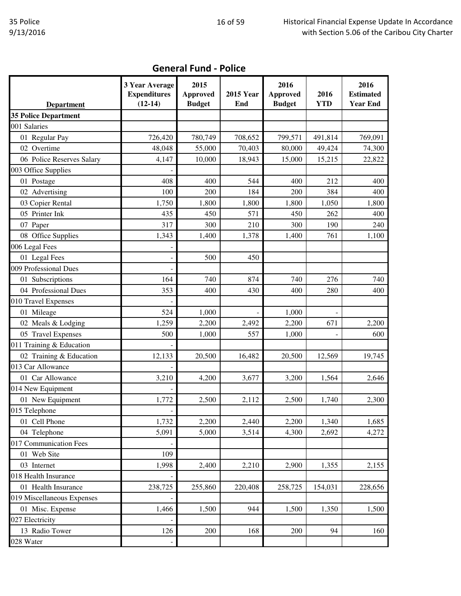| <b>General Fund - Police</b> |  |  |
|------------------------------|--|--|
|------------------------------|--|--|

|                             | 3 Year Average<br><b>Expenditures</b> | 2015<br><b>Approved</b> | <b>2015 Year</b> | 2016<br><b>Approved</b> | 2016       | 2016<br><b>Estimated</b> |
|-----------------------------|---------------------------------------|-------------------------|------------------|-------------------------|------------|--------------------------|
| <b>Department</b>           | $(12-14)$                             | <b>Budget</b>           | End              | <b>Budget</b>           | <b>YTD</b> | <b>Year End</b>          |
| <b>35 Police Department</b> |                                       |                         |                  |                         |            |                          |
| 001 Salaries                |                                       |                         |                  |                         |            |                          |
| 01 Regular Pay              | 726,420                               | 780,749                 | 708,652          | 799,571                 | 491,814    | 769,091                  |
| 02 Overtime                 | 48,048                                | 55,000                  | 70,403           | 80,000                  | 49,424     | 74,300                   |
| 06 Police Reserves Salary   | 4,147                                 | 10,000                  | 18,943           | 15,000                  | 15,215     | 22,822                   |
| 003 Office Supplies         |                                       |                         |                  |                         |            |                          |
| 01 Postage                  | 408                                   | 400                     | 544              | 400                     | 212        | 400                      |
| 02 Advertising              | 100                                   | 200                     | 184              | 200                     | 384        | 400                      |
| 03 Copier Rental            | 1,750                                 | 1,800                   | 1,800            | 1,800                   | 1,050      | 1,800                    |
| 05 Printer Ink              | 435                                   | 450                     | 571              | 450                     | 262        | 400                      |
| 07 Paper                    | 317                                   | 300                     | 210              | 300                     | 190        | 240                      |
| 08 Office Supplies          | 1,343                                 | 1,400                   | 1,378            | 1,400                   | 761        | 1,100                    |
| 006 Legal Fees              |                                       |                         |                  |                         |            |                          |
| 01 Legal Fees               |                                       | 500                     | 450              |                         |            |                          |
| 009 Professional Dues       |                                       |                         |                  |                         |            |                          |
| 01 Subscriptions            | 164                                   | 740                     | 874              | 740                     | 276        | 740                      |
| 04 Professional Dues        | 353                                   | 400                     | 430              | 400                     | 280        | 400                      |
| 010 Travel Expenses         |                                       |                         |                  |                         |            |                          |
| 01 Mileage                  | 524                                   | 1,000                   |                  | 1,000                   |            |                          |
| 02 Meals & Lodging          | 1,259                                 | 2,200                   | 2,492            | 2,200                   | 671        | 2,200                    |
| 05 Travel Expenses          | 500                                   | 1,000                   | 557              | 1,000                   |            | 600                      |
| 011 Training & Education    |                                       |                         |                  |                         |            |                          |
| 02 Training & Education     | 12,133                                | 20,500                  | 16,482           | 20,500                  | 12,569     | 19,745                   |
| 013 Car Allowance           |                                       |                         |                  |                         |            |                          |
| 01 Car Allowance            | 3,210                                 | 4,200                   | 3,677            | 3,200                   | 1,564      | 2,646                    |
| 014 New Equipment           |                                       |                         |                  |                         |            |                          |
| 01 New Equipment            | 1,772                                 | 2,500                   | 2,112            | 2,500                   | 1,740      | 2,300                    |
| 015 Telephone               | $\overline{\phantom{a}}$              |                         |                  |                         |            |                          |
| 01 Cell Phone               | 1,732                                 | 2,200                   | 2,440            | 2,200                   | 1,340      | 1,685                    |
| 04 Telephone                | 5,091                                 | 5,000                   | 3,514            | 4,300                   | 2,692      | 4,272                    |
| 017 Communication Fees      |                                       |                         |                  |                         |            |                          |
| 01 Web Site                 | 109                                   |                         |                  |                         |            |                          |
| 03 Internet                 | 1,998                                 | 2,400                   | 2,210            | 2,900                   | 1,355      | 2,155                    |
| 018 Health Insurance        |                                       |                         |                  |                         |            |                          |
| 01 Health Insurance         | 238,725                               | 255,860                 | 220,408          | 258,725                 | 154,031    | 228,656                  |
| 019 Miscellaneous Expenses  |                                       |                         |                  |                         |            |                          |
| 01 Misc. Expense            | 1,466                                 | 1,500                   | 944              | 1,500                   | 1,350      | 1,500                    |
| 027 Electricity             |                                       |                         |                  |                         |            |                          |
| 13 Radio Tower              | 126                                   | 200                     | 168              | 200                     | 94         | 160                      |
| 028 Water                   |                                       |                         |                  |                         |            |                          |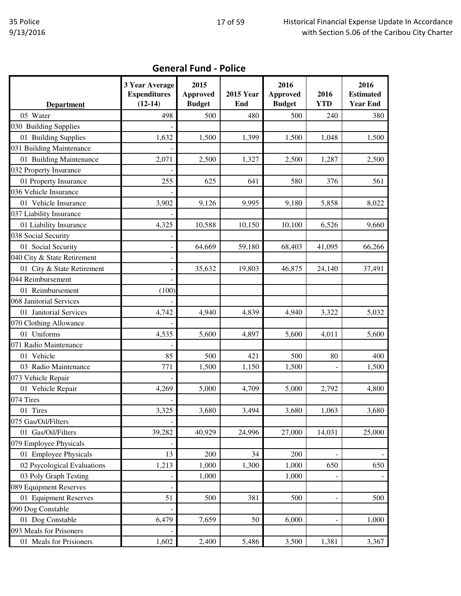|                               | 3 Year Average<br><b>Expenditures</b><br>$(12-14)$ | 2015<br><b>Approved</b><br><b>Budget</b> | <b>2015 Year</b><br>End | 2016<br><b>Approved</b><br><b>Budget</b> | 2016<br><b>YTD</b>       | 2016<br><b>Estimated</b><br><b>Year End</b> |
|-------------------------------|----------------------------------------------------|------------------------------------------|-------------------------|------------------------------------------|--------------------------|---------------------------------------------|
| <b>Department</b><br>05 Water | 498                                                | 500                                      | 480                     | 500                                      | 240                      | 380                                         |
| 030 Building Supplies         |                                                    |                                          |                         |                                          |                          |                                             |
|                               |                                                    |                                          |                         |                                          |                          |                                             |
| 01 Building Supplies          | 1,632                                              | 1,500                                    | 1,399                   | 1,500                                    | 1,048                    | 1,500                                       |
| 031 Building Maintenance      |                                                    |                                          |                         |                                          |                          |                                             |
| 01 Building Maintenance       | 2,071                                              | 2,500                                    | 1,327                   | 2,500                                    | 1,287                    | 2,500                                       |
| 032 Property Insurance        |                                                    |                                          |                         |                                          |                          |                                             |
| 01 Property Insurance         | 255                                                | 625                                      | 641                     | 580                                      | 376                      | 561                                         |
| 036 Vehicle Insurance         |                                                    |                                          |                         |                                          |                          |                                             |
| 01 Vehicle Insurance          | 3,902                                              | 9,126                                    | 9,995                   | 9,180                                    | 5,858                    | 8,022                                       |
| 037 Liability Insurance       |                                                    |                                          |                         |                                          |                          |                                             |
| 01 Liability Insurance        | 4,325                                              | 10,588                                   | 10,150                  | 10,100                                   | 6,526                    | 9,660                                       |
| 038 Social Security           |                                                    |                                          |                         |                                          |                          |                                             |
| 01 Social Security            |                                                    | 64,669                                   | 59,180                  | 68,403                                   | 41,095                   | 66,266                                      |
| 040 City & State Retirement   |                                                    |                                          |                         |                                          |                          |                                             |
| 01 City & State Retirement    |                                                    | 35,632                                   | 19,803                  | 46,875                                   | 24,140                   | 37,491                                      |
| 044 Reimbursement             |                                                    |                                          |                         |                                          |                          |                                             |
| 01 Reimbursement              | (100)                                              |                                          |                         |                                          |                          |                                             |
| 068 Janitorial Services       |                                                    |                                          |                         |                                          |                          |                                             |
| 01 Janitorial Services        | 4,742                                              | 4,940                                    | 4,839                   | 4,940                                    | 3,322                    | 5,032                                       |
| 070 Clothing Allowance        |                                                    |                                          |                         |                                          |                          |                                             |
| 01 Uniforms                   | 4,535                                              | 5,600                                    | 4,897                   | 5,600                                    | 4,011                    | 5,600                                       |
| 071 Radio Maintenance         |                                                    |                                          |                         |                                          |                          |                                             |
| 01 Vehicle                    | 85                                                 | 500                                      | 421                     | 500                                      | 80                       | 400                                         |
| 03 Radio Maintenance          | 771                                                | 1,500                                    | 1,150                   | 1,500                                    | $\overline{a}$           | 1,500                                       |
| 073 Vehicle Repair            |                                                    |                                          |                         |                                          |                          |                                             |
| 01 Vehicle Repair             | 4,269                                              | 5,000                                    | 4,709                   | 5,000                                    | 2,792                    | 4,800                                       |
| 074 Tires                     |                                                    |                                          |                         |                                          |                          |                                             |
| 01 Tires                      | 3,325                                              | 3,680                                    | 3,494                   | 3,680                                    | 1,063                    | 3,680                                       |
| 075 Gas/Oil/Filters           |                                                    |                                          |                         |                                          |                          |                                             |
| 01 Gas/Oil/Filters            | 39,282                                             | 40,929                                   | 24,996                  | 27,000                                   | 14,031                   | 25,000                                      |
| 079 Employee Physicals        |                                                    |                                          |                         |                                          |                          |                                             |
| 01 Employee Physicals         | 13                                                 | 200                                      | 34                      | 200                                      |                          |                                             |
| 02 Psycological Evaluations   | 1,213                                              | 1,000                                    | 1,300                   | 1,000                                    | 650                      | 650                                         |
| 03 Poly Graph Testing         |                                                    | 1,000                                    |                         | 1,000                                    |                          |                                             |
| 089 Equipment Reserves        |                                                    |                                          |                         |                                          |                          |                                             |
| 01 Equipment Reserves         | 51                                                 | 500                                      | 381                     | 500                                      | $\overline{\phantom{a}}$ | 500                                         |
| 090 Dog Constable             |                                                    |                                          |                         |                                          |                          |                                             |
| 01 Dog Constable              | 6,479                                              | 7,659                                    | 50                      | 6,000                                    | $\blacksquare$           | 1,000                                       |
| 093 Meals for Prisoners       |                                                    |                                          |                         |                                          |                          |                                             |
| 01 Meals for Prisioners       | 1,602                                              | 2,400                                    | 5,486                   | 3,500                                    | 1,381                    | 3,367                                       |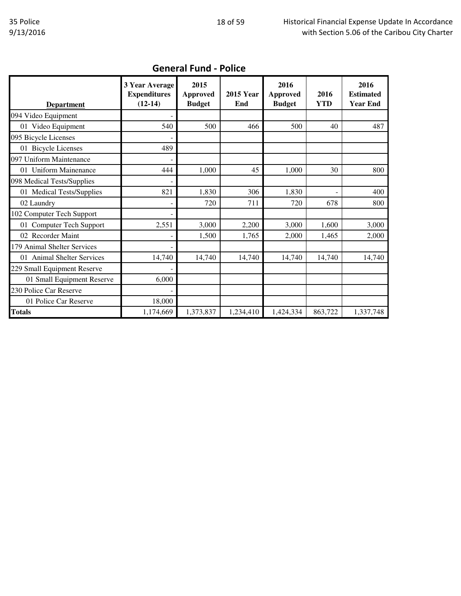| <b>Department</b>           | 3 Year Average<br><b>Expenditures</b><br>$(12-14)$ | 2015<br><b>Approved</b><br><b>Budget</b> | <b>2015 Year</b><br>End | 2016<br><b>Approved</b><br><b>Budget</b> | 2016<br><b>YTD</b> | 2016<br><b>Estimated</b><br><b>Year End</b> |
|-----------------------------|----------------------------------------------------|------------------------------------------|-------------------------|------------------------------------------|--------------------|---------------------------------------------|
| 094 Video Equipment         |                                                    |                                          |                         |                                          |                    |                                             |
| 01 Video Equipment          | 540                                                | 500                                      | 466                     | 500                                      | 40                 | 487                                         |
| 095 Bicycle Licenses        |                                                    |                                          |                         |                                          |                    |                                             |
| 01 Bicycle Licenses         | 489                                                |                                          |                         |                                          |                    |                                             |
| 097 Uniform Maintenance     |                                                    |                                          |                         |                                          |                    |                                             |
| 01 Uniform Mainenance       | 444                                                | 1,000                                    | 45                      | 1,000                                    | 30                 | 800                                         |
| 098 Medical Tests/Supplies  |                                                    |                                          |                         |                                          |                    |                                             |
| 01 Medical Tests/Supplies   | 821                                                | 1,830                                    | 306                     | 1,830                                    |                    | 400                                         |
| 02 Laundry                  |                                                    | 720                                      | 711                     | 720                                      | 678                | 800                                         |
| 102 Computer Tech Support   |                                                    |                                          |                         |                                          |                    |                                             |
| 01 Computer Tech Support    | 2,551                                              | 3,000                                    | 2,200                   | 3,000                                    | 1,600              | 3,000                                       |
| 02 Recorder Maint           |                                                    | 1,500                                    | 1,765                   | 2,000                                    | 1,465              | 2,000                                       |
| 179 Animal Shelter Services |                                                    |                                          |                         |                                          |                    |                                             |
| 01 Animal Shelter Services  | 14,740                                             | 14,740                                   | 14,740                  | 14,740                                   | 14,740             | 14,740                                      |
| 229 Small Equipment Reserve |                                                    |                                          |                         |                                          |                    |                                             |
| 01 Small Equipment Reserve  | 6,000                                              |                                          |                         |                                          |                    |                                             |
| 230 Police Car Reserve      |                                                    |                                          |                         |                                          |                    |                                             |
| 01 Police Car Reserve       | 18,000                                             |                                          |                         |                                          |                    |                                             |
| <b>Totals</b>               | 1,174,669                                          | 1,373,837                                | 1,234,410               | 1,424,334                                | 863,722            | 1,337,748                                   |

## General Fund - Police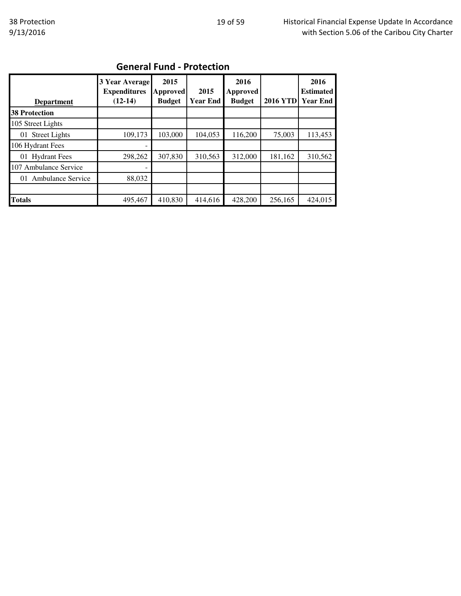| <b>General Fund - Protection</b> |  |
|----------------------------------|--|
|----------------------------------|--|

| <b>Department</b>              | 3 Year Average<br><b>Expenditures</b><br>$(12-14)$ | 2015<br>Approved<br><b>Budget</b> | 2015<br><b>Year End</b> | 2016<br>Approved<br><b>Budget</b> | <b>2016 YTD</b> | 2016<br><b>Estimated</b><br><b>Year End</b> |
|--------------------------------|----------------------------------------------------|-----------------------------------|-------------------------|-----------------------------------|-----------------|---------------------------------------------|
| <b>38 Protection</b>           |                                                    |                                   |                         |                                   |                 |                                             |
| 105 Street Lights              |                                                    |                                   |                         |                                   |                 |                                             |
| 01 Street Lights               | 109,173                                            | 103,000                           | 104,053                 | 116,200                           | 75,003          | 113,453                                     |
| 106 Hydrant Fees               |                                                    |                                   |                         |                                   |                 |                                             |
| 01 Hydrant Fees                | 298,262                                            | 307,830                           | 310,563                 | 312,000                           | 181,162         | 310,562                                     |
| 107 Ambulance Service          | -                                                  |                                   |                         |                                   |                 |                                             |
| <b>Ambulance Service</b><br>01 | 88,032                                             |                                   |                         |                                   |                 |                                             |
|                                |                                                    |                                   |                         |                                   |                 |                                             |
| <b>Totals</b>                  | 495,467                                            | 410,830                           | 414,616                 | 428,200                           | 256,165         | 424,015                                     |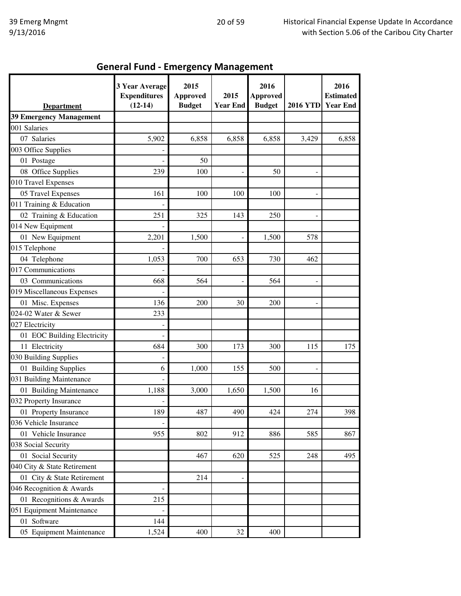### General Fund - Emergency Management

| 3 Year Average<br><b>Expenditures</b> | 2015<br><b>Approved</b>                                                                                                                  | 2015                                                                                                                                 | 2016<br><b>Approved</b>                                                                               |                                                                                                                      | 2016<br><b>Estimated</b><br><b>Year End</b>                              |
|---------------------------------------|------------------------------------------------------------------------------------------------------------------------------------------|--------------------------------------------------------------------------------------------------------------------------------------|-------------------------------------------------------------------------------------------------------|----------------------------------------------------------------------------------------------------------------------|--------------------------------------------------------------------------|
|                                       |                                                                                                                                          |                                                                                                                                      |                                                                                                       |                                                                                                                      |                                                                          |
|                                       |                                                                                                                                          |                                                                                                                                      |                                                                                                       |                                                                                                                      |                                                                          |
|                                       |                                                                                                                                          |                                                                                                                                      |                                                                                                       |                                                                                                                      | 6,858                                                                    |
|                                       |                                                                                                                                          |                                                                                                                                      |                                                                                                       |                                                                                                                      |                                                                          |
|                                       |                                                                                                                                          |                                                                                                                                      |                                                                                                       |                                                                                                                      |                                                                          |
|                                       |                                                                                                                                          |                                                                                                                                      |                                                                                                       |                                                                                                                      |                                                                          |
|                                       |                                                                                                                                          |                                                                                                                                      |                                                                                                       |                                                                                                                      |                                                                          |
|                                       |                                                                                                                                          |                                                                                                                                      |                                                                                                       |                                                                                                                      |                                                                          |
|                                       |                                                                                                                                          |                                                                                                                                      |                                                                                                       |                                                                                                                      |                                                                          |
|                                       |                                                                                                                                          |                                                                                                                                      |                                                                                                       |                                                                                                                      |                                                                          |
|                                       |                                                                                                                                          |                                                                                                                                      |                                                                                                       |                                                                                                                      |                                                                          |
|                                       |                                                                                                                                          |                                                                                                                                      |                                                                                                       |                                                                                                                      |                                                                          |
|                                       |                                                                                                                                          |                                                                                                                                      |                                                                                                       |                                                                                                                      |                                                                          |
|                                       |                                                                                                                                          |                                                                                                                                      |                                                                                                       |                                                                                                                      |                                                                          |
|                                       |                                                                                                                                          |                                                                                                                                      |                                                                                                       |                                                                                                                      |                                                                          |
|                                       |                                                                                                                                          |                                                                                                                                      |                                                                                                       |                                                                                                                      |                                                                          |
|                                       |                                                                                                                                          |                                                                                                                                      |                                                                                                       |                                                                                                                      |                                                                          |
|                                       |                                                                                                                                          |                                                                                                                                      |                                                                                                       |                                                                                                                      |                                                                          |
|                                       |                                                                                                                                          |                                                                                                                                      |                                                                                                       |                                                                                                                      |                                                                          |
|                                       |                                                                                                                                          |                                                                                                                                      |                                                                                                       |                                                                                                                      |                                                                          |
|                                       |                                                                                                                                          |                                                                                                                                      |                                                                                                       |                                                                                                                      |                                                                          |
|                                       |                                                                                                                                          |                                                                                                                                      |                                                                                                       |                                                                                                                      | 175                                                                      |
|                                       |                                                                                                                                          |                                                                                                                                      |                                                                                                       |                                                                                                                      |                                                                          |
|                                       |                                                                                                                                          |                                                                                                                                      |                                                                                                       |                                                                                                                      |                                                                          |
|                                       |                                                                                                                                          |                                                                                                                                      |                                                                                                       |                                                                                                                      |                                                                          |
|                                       |                                                                                                                                          |                                                                                                                                      |                                                                                                       |                                                                                                                      |                                                                          |
|                                       |                                                                                                                                          |                                                                                                                                      |                                                                                                       |                                                                                                                      |                                                                          |
|                                       |                                                                                                                                          |                                                                                                                                      |                                                                                                       |                                                                                                                      | 398                                                                      |
|                                       |                                                                                                                                          |                                                                                                                                      |                                                                                                       |                                                                                                                      |                                                                          |
|                                       |                                                                                                                                          |                                                                                                                                      |                                                                                                       |                                                                                                                      | 867                                                                      |
|                                       |                                                                                                                                          |                                                                                                                                      |                                                                                                       |                                                                                                                      |                                                                          |
|                                       |                                                                                                                                          |                                                                                                                                      |                                                                                                       |                                                                                                                      | 495                                                                      |
|                                       |                                                                                                                                          |                                                                                                                                      |                                                                                                       |                                                                                                                      |                                                                          |
|                                       |                                                                                                                                          |                                                                                                                                      |                                                                                                       |                                                                                                                      |                                                                          |
|                                       |                                                                                                                                          |                                                                                                                                      |                                                                                                       |                                                                                                                      |                                                                          |
|                                       |                                                                                                                                          |                                                                                                                                      |                                                                                                       |                                                                                                                      |                                                                          |
|                                       |                                                                                                                                          |                                                                                                                                      |                                                                                                       |                                                                                                                      |                                                                          |
|                                       |                                                                                                                                          |                                                                                                                                      |                                                                                                       |                                                                                                                      |                                                                          |
|                                       | 400                                                                                                                                      |                                                                                                                                      | 400                                                                                                   |                                                                                                                      |                                                                          |
|                                       | $(12-14)$<br>5,902<br>239<br>161<br>251<br>2,201<br>1,053<br>668<br>136<br>233<br>684<br>6<br>1,188<br>189<br>955<br>215<br>144<br>1,524 | <b>Budget</b><br>6,858<br>50<br>100<br>100<br>325<br>1,500<br>700<br>564<br>200<br>300<br>1,000<br>3,000<br>487<br>802<br>467<br>214 | <b>Year End</b><br>6,858<br>100<br>143<br>653<br>30<br>173<br>155<br>1,650<br>490<br>912<br>620<br>32 | <b>Budget</b><br>6,858<br>50<br>100<br>250<br>1,500<br>730<br>564<br>200<br>300<br>500<br>1,500<br>424<br>886<br>525 | <b>2016 YTD</b><br>3,429<br>578<br>462<br>115<br>16<br>274<br>585<br>248 |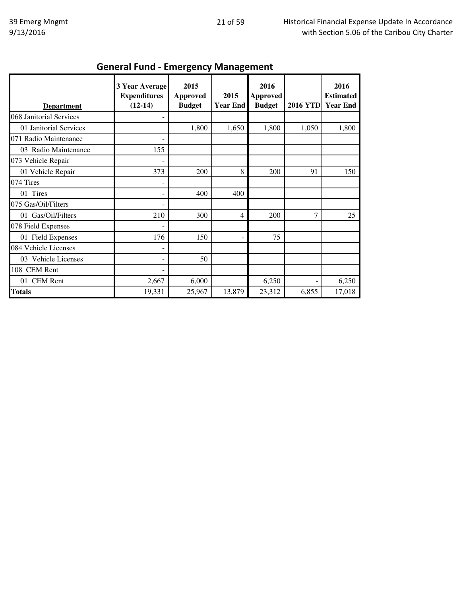| ……, ……<br>-0-           |                                                           |                                          |                          |                                          |                 |                                             |  |
|-------------------------|-----------------------------------------------------------|------------------------------------------|--------------------------|------------------------------------------|-----------------|---------------------------------------------|--|
| <b>Department</b>       | <b>3 Year Average</b><br><b>Expenditures</b><br>$(12-14)$ | 2015<br><b>Approved</b><br><b>Budget</b> | 2015<br><b>Year End</b>  | 2016<br><b>Approved</b><br><b>Budget</b> | <b>2016 YTD</b> | 2016<br><b>Estimated</b><br><b>Year End</b> |  |
| 068 Janitorial Services |                                                           |                                          |                          |                                          |                 |                                             |  |
| 01 Janitorial Services  |                                                           | 1,800                                    | 1,650                    | 1,800                                    | 1,050           | 1,800                                       |  |
| 071 Radio Maintenance   |                                                           |                                          |                          |                                          |                 |                                             |  |
| 03 Radio Maintenance    | 155                                                       |                                          |                          |                                          |                 |                                             |  |
| 073 Vehicle Repair      |                                                           |                                          |                          |                                          |                 |                                             |  |
| 01 Vehicle Repair       | 373                                                       | 200                                      | 8                        | 200                                      | 91              | 150                                         |  |
| 074 Tires               |                                                           |                                          |                          |                                          |                 |                                             |  |
| 01 Tires                |                                                           | 400                                      | 400                      |                                          |                 |                                             |  |
| 075 Gas/Oil/Filters     |                                                           |                                          |                          |                                          |                 |                                             |  |
| 01 Gas/Oil/Filters      | 210                                                       | 300                                      | 4                        | 200                                      | $\overline{7}$  | 25                                          |  |
| 078 Field Expenses      |                                                           |                                          |                          |                                          |                 |                                             |  |
| 01 Field Expenses       | 176                                                       | 150                                      | $\overline{\phantom{a}}$ | 75                                       |                 |                                             |  |
| 084 Vehicle Licenses    |                                                           |                                          |                          |                                          |                 |                                             |  |
| 03 Vehicle Licenses     |                                                           | 50                                       |                          |                                          |                 |                                             |  |
| 108 CEM Rent            |                                                           |                                          |                          |                                          |                 |                                             |  |
| 01 CEM Rent             | 2,667                                                     | 6,000                                    |                          | 6,250                                    | L.              | 6,250                                       |  |
| <b>Totals</b>           | 19,331                                                    | 25,967                                   | 13,879                   | 23,312                                   | 6,855           | 17,018                                      |  |

#### General Fund - Emergency Management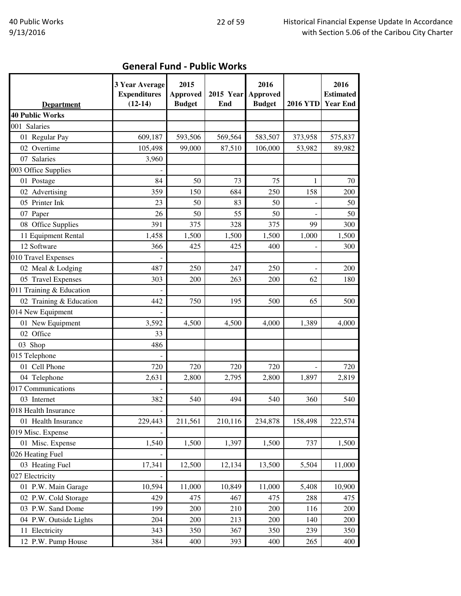|                          | <b>3 Year Average</b><br><b>Expenditures</b> | 2015<br><b>Approved</b> | <b>2015 Year</b> | 2016<br><b>Approved</b> |                 | 2016<br><b>Estimated</b> |
|--------------------------|----------------------------------------------|-------------------------|------------------|-------------------------|-----------------|--------------------------|
| <b>Department</b>        | $(12-14)$                                    | <b>Budget</b>           | End              | <b>Budget</b>           | <b>2016 YTD</b> | <b>Year End</b>          |
| <b>40 Public Works</b>   |                                              |                         |                  |                         |                 |                          |
| 001 Salaries             |                                              |                         |                  |                         |                 |                          |
| 01 Regular Pay           | 609,187                                      | 593,506                 | 569,564          | 583,507                 | 373,958         | 575,837                  |
| 02 Overtime              | 105,498                                      | 99,000                  | 87,510           | 106,000                 | 53,982          | 89,982                   |
| 07 Salaries              | 3,960                                        |                         |                  |                         |                 |                          |
| 003 Office Supplies      |                                              |                         |                  |                         |                 |                          |
| 01 Postage               | 84                                           | 50                      | 73               | 75                      | 1               | 70                       |
| 02 Advertising           | 359                                          | 150                     | 684              | 250                     | 158             | 200                      |
| 05 Printer Ink           | 23                                           | 50                      | 83               | 50                      |                 | 50                       |
| 07 Paper                 | 26                                           | 50                      | 55               | 50                      |                 | 50                       |
| 08 Office Supplies       | 391                                          | 375                     | 328              | 375                     | 99              | 300                      |
| 11 Equipment Rental      | 1,458                                        | 1,500                   | 1,500            | 1,500                   | 1,000           | 1,500                    |
| 12 Software              | 366                                          | 425                     | 425              | 400                     |                 | 300                      |
| 010 Travel Expenses      |                                              |                         |                  |                         |                 |                          |
| 02 Meal & Lodging        | 487                                          | 250                     | 247              | 250                     |                 | 200                      |
| 05 Travel Expenses       | 303                                          | 200                     | 263              | 200                     | 62              | 180                      |
| 011 Training & Education |                                              |                         |                  |                         |                 |                          |
| 02 Training & Education  | 442                                          | 750                     | 195              | 500                     | 65              | 500                      |
| 014 New Equipment        |                                              |                         |                  |                         |                 |                          |
| 01 New Equipment         | 3,592                                        | 4,500                   | 4,500            | 4,000                   | 1,389           | 4,000                    |
| 02 Office                | 33                                           |                         |                  |                         |                 |                          |
| 03 Shop                  | 486                                          |                         |                  |                         |                 |                          |
| 015 Telephone            |                                              |                         |                  |                         |                 |                          |
| 01 Cell Phone            | 720                                          | 720                     | 720              | 720                     |                 | 720                      |
| 04 Telephone             | 2,631                                        | 2,800                   | 2,795            | 2,800                   | 1,897           | 2,819                    |
| 017 Communications       |                                              |                         |                  |                         |                 |                          |
| 03 Internet              | 382                                          | 540                     | 494              | 540                     | 360             | 540                      |
| 018 Health Insurance     |                                              |                         |                  |                         |                 |                          |
| 01 Health Insurance      | 229,443                                      | 211,561                 | 210,116          | 234,878                 | 158,498         | 222,574                  |
| 019 Misc. Expense        |                                              |                         |                  |                         |                 |                          |
| 01 Misc. Expense         | 1,540                                        | 1,500                   | 1,397            | 1,500                   | 737             | 1,500                    |
| 026 Heating Fuel         |                                              |                         |                  |                         |                 |                          |
| 03 Heating Fuel          | 17,341                                       | 12,500                  | 12,134           | 13,500                  | 5,504           | 11,000                   |
| 027 Electricity          |                                              |                         |                  |                         |                 |                          |
| 01 P.W. Main Garage      | 10,594                                       | 11,000                  | 10,849           | 11,000                  | 5,408           | 10,900                   |
| 02 P.W. Cold Storage     | 429                                          | 475                     | 467              | 475                     | 288             | 475                      |
| 03 P.W. Sand Dome        | 199                                          | 200                     | 210              | 200                     | 116             | 200                      |
| 04 P.W. Outside Lights   | 204                                          | 200                     | 213              | 200                     | 140             | 200                      |
| 11 Electricity           | 343                                          | 350                     | 367              | 350                     | 239             | 350                      |
| 12 P.W. Pump House       | 384                                          | 400                     | 393              | 400                     | 265             | 400                      |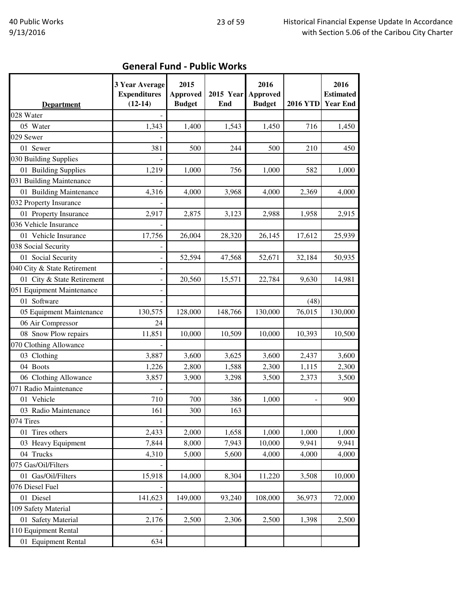|                             | 3 Year Average<br><b>Expenditures</b> | 2015<br><b>Approved</b> | <b>2015 Year</b> | 2016<br><b>Approved</b> |                          | 2016<br><b>Estimated</b> |
|-----------------------------|---------------------------------------|-------------------------|------------------|-------------------------|--------------------------|--------------------------|
| <b>Department</b>           | $(12-14)$                             | <b>Budget</b>           | End              | <b>Budget</b>           | <b>2016 YTD</b>          | <b>Year End</b>          |
| 028 Water                   |                                       |                         |                  |                         |                          |                          |
| 05 Water                    | 1,343                                 | 1,400                   | 1,543            | 1,450                   | 716                      | 1,450                    |
| 029 Sewer                   |                                       |                         |                  |                         |                          |                          |
| 01 Sewer                    | 381                                   | 500                     | 244              | 500                     | 210                      | 450                      |
| 030 Building Supplies       |                                       |                         |                  |                         |                          |                          |
| 01 Building Supplies        | 1,219                                 | 1,000                   | 756              | 1,000                   | 582                      | 1,000                    |
| 031 Building Maintenance    |                                       |                         |                  |                         |                          |                          |
| 01 Building Maintenance     | 4,316                                 | 4,000                   | 3,968            | 4,000                   | 2,369                    | 4,000                    |
| 032 Property Insurance      |                                       |                         |                  |                         |                          |                          |
| 01 Property Insurance       | 2,917                                 | 2,875                   | 3,123            | 2,988                   | 1,958                    | 2,915                    |
| 036 Vehicle Insurance       |                                       |                         |                  |                         |                          |                          |
| 01 Vehicle Insurance        | 17,756                                | 26,004                  | 28,320           | 26,145                  | 17,612                   | 25,939                   |
| 038 Social Security         |                                       |                         |                  |                         |                          |                          |
| 01 Social Security          |                                       | 52,594                  | 47,568           | 52,671                  | 32,184                   | 50,935                   |
| 040 City & State Retirement |                                       |                         |                  |                         |                          |                          |
| 01 City & State Retirement  |                                       | 20,560                  | 15,571           | 22,784                  | 9,630                    | 14,981                   |
| 051 Equipment Maintenance   |                                       |                         |                  |                         |                          |                          |
| 01 Software                 |                                       |                         |                  |                         | (48)                     |                          |
| 05 Equipment Maintenance    | 130,575                               | 128,000                 | 148,766          | 130,000                 | 76,015                   | 130,000                  |
| 06 Air Compressor           | 24                                    |                         |                  |                         |                          |                          |
| 08 Snow Plow repairs        | 11,851                                | 10,000                  | 10,509           | 10,000                  | 10,393                   | 10,500                   |
| 070 Clothing Allowance      |                                       |                         |                  |                         |                          |                          |
| 03 Clothing                 | 3,887                                 | 3,600                   | 3,625            | 3,600                   | 2,437                    | 3,600                    |
| 04 Boots                    | 1,226                                 | 2,800                   | 1,588            | 2,300                   | 1,115                    | 2,300                    |
| 06 Clothing Allowance       | 3,857                                 | 3,900                   | 3,298            | 3,500                   | 2,373                    | 3,500                    |
| 071 Radio Maintenance       |                                       |                         |                  |                         |                          |                          |
| 01 Vehicle                  | 710                                   | 700                     | 386              | 1,000                   | $\overline{\phantom{a}}$ | 900                      |
| 03 Radio Maintenance        | 161                                   | 300                     | 163              |                         |                          |                          |
| 074 Tires                   |                                       |                         |                  |                         |                          |                          |
| 01 Tires others             | 2,433                                 | 2,000                   | 1,658            | 1,000                   | 1,000                    | 1,000                    |
| 03 Heavy Equipment          | 7,844                                 | 8,000                   | 7,943            | 10,000                  | 9,941                    | 9,941                    |
| 04 Trucks                   | 4,310                                 | 5,000                   | 5,600            | 4,000                   | 4,000                    | 4,000                    |
| 075 Gas/Oil/Filters         |                                       |                         |                  |                         |                          |                          |
| 01 Gas/Oil/Filters          | 15,918                                | 14,000                  | 8,304            | 11,220                  | 3,508                    | 10,000                   |
| 076 Diesel Fuel             |                                       |                         |                  |                         |                          |                          |
| 01 Diesel                   | 141,623                               | 149,000                 | 93,240           | 108,000                 | 36,973                   | 72,000                   |
| 109 Safety Material         |                                       |                         |                  |                         |                          |                          |
| 01 Safety Material          | 2,176                                 | 2,500                   | 2,306            | 2,500                   | 1,398                    | 2,500                    |
| 110 Equipment Rental        |                                       |                         |                  |                         |                          |                          |
| 01 Equipment Rental         | 634                                   |                         |                  |                         |                          |                          |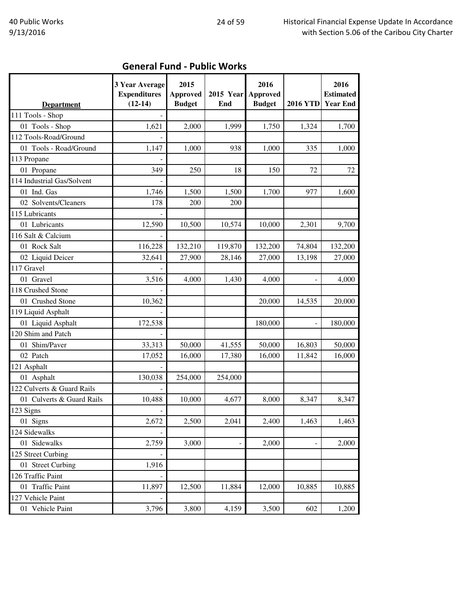| <b>Department</b>          | 3 Year Average<br><b>Expenditures</b><br>$(12-14)$ | 2015<br><b>Approved</b><br><b>Budget</b> | <b>2015 Year</b><br>End | 2016<br>Approved<br><b>Budget</b> | <b>2016 YTD</b> | 2016<br><b>Estimated</b><br><b>Year End</b> |
|----------------------------|----------------------------------------------------|------------------------------------------|-------------------------|-----------------------------------|-----------------|---------------------------------------------|
| 111 Tools - Shop           |                                                    |                                          |                         |                                   |                 |                                             |
| 01 Tools - Shop            | 1,621                                              | 2,000                                    | 1,999                   | 1,750                             | 1,324           | 1,700                                       |
| 112 Tools-Road/Ground      |                                                    |                                          |                         |                                   |                 |                                             |
| 01 Tools - Road/Ground     | 1,147                                              | 1,000                                    | 938                     | 1,000                             | 335             | 1,000                                       |
| 113 Propane                |                                                    |                                          |                         |                                   |                 |                                             |
| 01 Propane                 | 349                                                | 250                                      | 18                      | 150                               | 72              | 72                                          |
| 114 Industrial Gas/Solvent |                                                    |                                          |                         |                                   |                 |                                             |
| 01 Ind. Gas                | 1,746                                              | 1,500                                    | 1,500                   | 1,700                             | 977             | 1,600                                       |
| 02 Solvents/Cleaners       | 178                                                | 200                                      | 200                     |                                   |                 |                                             |
| 115 Lubricants             |                                                    |                                          |                         |                                   |                 |                                             |
| 01 Lubricants              | 12,590                                             | 10,500                                   | 10,574                  | 10,000                            | 2,301           | 9,700                                       |
| 116 Salt & Calcium         |                                                    |                                          |                         |                                   |                 |                                             |
| 01 Rock Salt               | 116,228                                            | 132,210                                  | 119,870                 | 132,200                           | 74,804          | 132,200                                     |
| 02 Liquid Deicer           | 32,641                                             | 27,900                                   | 28,146                  | 27,000                            | 13,198          | 27,000                                      |
| 117 Gravel                 |                                                    |                                          |                         |                                   |                 |                                             |
| 01 Gravel                  | 3,516                                              | 4,000                                    | 1,430                   | 4,000                             |                 | 4,000                                       |
| 118 Crushed Stone          |                                                    |                                          |                         |                                   |                 |                                             |
| 01 Crushed Stone           | 10,362                                             |                                          |                         | 20,000                            | 14,535          | 20,000                                      |
| 119 Liquid Asphalt         |                                                    |                                          |                         |                                   |                 |                                             |
| 01 Liquid Asphalt          | 172,538                                            |                                          |                         | 180,000                           |                 | 180,000                                     |
| 120 Shim and Patch         |                                                    |                                          |                         |                                   |                 |                                             |
| 01 Shim/Paver              | 33,313                                             | 50,000                                   | 41,555                  | 50,000                            | 16,803          | 50,000                                      |
| 02 Patch                   | 17,052                                             | 16,000                                   | 17,380                  | 16,000                            | 11,842          | 16,000                                      |
| 121 Asphalt                |                                                    |                                          |                         |                                   |                 |                                             |
| 01 Asphalt                 | 130,038                                            | 254,000                                  | 254,000                 |                                   |                 |                                             |
| 122 Culverts & Guard Rails |                                                    |                                          |                         |                                   |                 |                                             |
| 01 Culverts & Guard Rails  | 10,488                                             | 10,000                                   | 4,677                   | 8,000                             | 8,347           | 8,347                                       |
| 123 Signs                  |                                                    |                                          |                         |                                   |                 |                                             |
| 01 Signs                   | 2,672                                              | 2,500                                    | 2,041                   | 2,400                             | 1,463           | 1,463                                       |
| 124 Sidewalks              |                                                    |                                          |                         |                                   |                 |                                             |
| 01 Sidewalks               | 2,759                                              | 3,000                                    |                         | 2,000                             |                 | 2,000                                       |
| 125 Street Curbing         |                                                    |                                          |                         |                                   |                 |                                             |
| 01 Street Curbing          | 1,916                                              |                                          |                         |                                   |                 |                                             |
| 126 Traffic Paint          |                                                    |                                          |                         |                                   |                 |                                             |
| 01 Traffic Paint           | 11,897                                             | 12,500                                   | 11,884                  | 12,000                            | 10,885          | 10,885                                      |
| 127 Vehicle Paint          |                                                    |                                          |                         |                                   |                 |                                             |
| 01 Vehicle Paint           | 3,796                                              | 3,800                                    | 4,159                   | 3,500                             | 602             | 1,200                                       |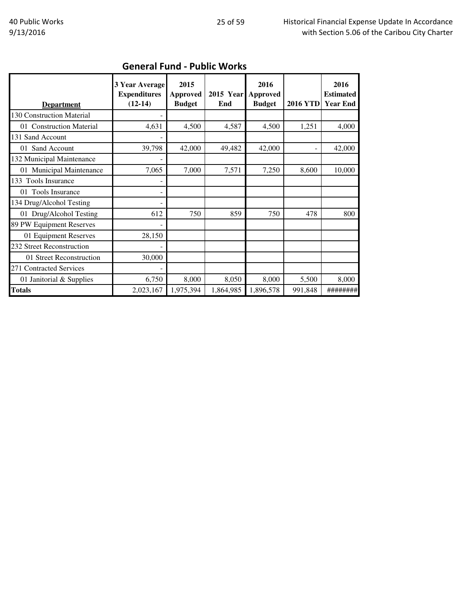| <b>Department</b>         | 3 Year Average<br><b>Expenditures</b><br>$(12-14)$ | 2015<br><b>Approved</b><br><b>Budget</b> | 2015 Year Approved<br>End | 2016<br><b>Budget</b> | <b>2016 YTD</b> | 2016<br><b>Estimated</b><br><b>Year End</b> |
|---------------------------|----------------------------------------------------|------------------------------------------|---------------------------|-----------------------|-----------------|---------------------------------------------|
| 130 Construction Material |                                                    |                                          |                           |                       |                 |                                             |
| 01 Construction Material  | 4,631                                              | 4,500                                    | 4,587                     | 4,500                 | 1,251           | 4,000                                       |
| 131 Sand Account          |                                                    |                                          |                           |                       |                 |                                             |
| 01 Sand Account           | 39,798                                             | 42,000                                   | 49,482                    | 42,000                |                 | 42,000                                      |
| 132 Municipal Maintenance |                                                    |                                          |                           |                       |                 |                                             |
| 01 Municipal Maintenance  | 7,065                                              | 7,000                                    | 7,571                     | 7,250                 | 8,600           | 10,000                                      |
| 133 Tools Insurance       |                                                    |                                          |                           |                       |                 |                                             |
| 01 Tools Insurance        |                                                    |                                          |                           |                       |                 |                                             |
| 134 Drug/Alcohol Testing  |                                                    |                                          |                           |                       |                 |                                             |
| 01 Drug/Alcohol Testing   | 612                                                | 750                                      | 859                       | 750                   | 478             | 800                                         |
| 89 PW Equipment Reserves  |                                                    |                                          |                           |                       |                 |                                             |
| 01 Equipment Reserves     | 28,150                                             |                                          |                           |                       |                 |                                             |
| 232 Street Reconstruction |                                                    |                                          |                           |                       |                 |                                             |
| 01 Street Reconstruction  | 30,000                                             |                                          |                           |                       |                 |                                             |
| 271 Contracted Services   |                                                    |                                          |                           |                       |                 |                                             |
| 01 Janitorial & Supplies  | 6,750                                              | 8,000                                    | 8,050                     | 8,000                 | 5,500           | 8,000                                       |
| <b>Totals</b>             | 2,023,167                                          | 1,975,394                                | 1,864,985                 | 1,896,578             | 991,848         | ########                                    |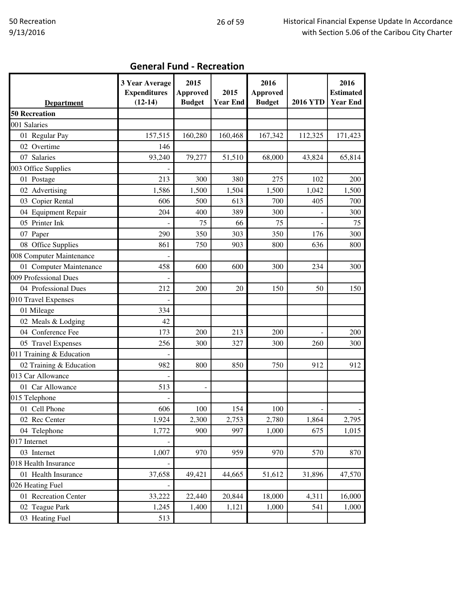|  |  | <b>General Fund - Recreation</b> |
|--|--|----------------------------------|
|--|--|----------------------------------|

|                                           | 3 Year Average<br><b>Expenditures</b><br>$(12-14)$ | 2015<br><b>Approved</b>      | 2015<br><b>Year End</b> | 2016<br><b>Approved</b> | <b>2016 YTD</b> | 2016<br><b>Estimated</b><br><b>Year End</b> |
|-------------------------------------------|----------------------------------------------------|------------------------------|-------------------------|-------------------------|-----------------|---------------------------------------------|
| <b>Department</b><br><b>50 Recreation</b> |                                                    | <b>Budget</b>                |                         | <b>Budget</b>           |                 |                                             |
|                                           |                                                    |                              |                         |                         |                 |                                             |
| 001 Salaries                              |                                                    |                              |                         |                         |                 |                                             |
| 01 Regular Pay                            | 157,515                                            | 160,280                      | 160,468                 | 167,342                 | 112,325         | 171,423                                     |
| 02 Overtime                               | 146                                                |                              |                         |                         |                 |                                             |
| 07 Salaries                               | 93,240                                             | 79,277                       | 51,510                  | 68,000                  | 43,824          | 65,814                                      |
| 003 Office Supplies                       |                                                    |                              |                         |                         |                 |                                             |
| 01 Postage                                | 213                                                | 300                          | 380                     | 275                     | 102             | 200                                         |
| 02 Advertising                            | 1,586                                              | 1,500                        | 1,504                   | 1,500                   | 1,042           | 1,500                                       |
| 03 Copier Rental                          | 606                                                | 500                          | 613                     | 700                     | 405             | 700                                         |
| 04 Equipment Repair                       | 204                                                | 400                          | 389                     | 300                     |                 | 300                                         |
| 05 Printer Ink                            |                                                    | 75                           | 66                      | 75                      |                 | 75                                          |
| 07 Paper                                  | 290                                                | 350                          | 303                     | 350                     | 176             | 300                                         |
| 08 Office Supplies                        | 861                                                | 750                          | 903                     | 800                     | 636             | 800                                         |
| 008 Computer Maintenance                  |                                                    |                              |                         |                         |                 |                                             |
| 01 Computer Maintenance                   | 458                                                | 600                          | 600                     | 300                     | 234             | 300                                         |
| 009 Professional Dues                     |                                                    |                              |                         |                         |                 |                                             |
| 04 Professional Dues                      | 212                                                | 200                          | 20                      | 150                     | 50              | 150                                         |
| 010 Travel Expenses                       |                                                    |                              |                         |                         |                 |                                             |
| 01 Mileage                                | 334                                                |                              |                         |                         |                 |                                             |
| 02 Meals & Lodging                        | 42                                                 |                              |                         |                         |                 |                                             |
| 04 Conference Fee                         | 173                                                | 200                          | 213                     | 200                     |                 | 200                                         |
| 05 Travel Expenses                        | 256                                                | 300                          | 327                     | 300                     | 260             | 300                                         |
| 011 Training & Education                  |                                                    |                              |                         |                         |                 |                                             |
| 02 Training & Education                   | 982                                                | 800                          | 850                     | 750                     | 912             | 912                                         |
| 013 Car Allowance                         |                                                    |                              |                         |                         |                 |                                             |
| 01 Car Allowance                          | 513                                                | $\qquad \qquad \blacksquare$ |                         |                         |                 |                                             |
| 015 Telephone                             |                                                    |                              |                         |                         |                 |                                             |
| 01 Cell Phone                             | 606                                                | 100                          | 154                     | 100                     |                 |                                             |
| 02 Rec Center                             | 1,924                                              | 2,300                        | 2,753                   | 2,780                   | 1,864           | 2,795                                       |
| 04 Telephone                              | 1,772                                              | 900                          | 997                     | 1,000                   | 675             | 1,015                                       |
| 017 Internet                              |                                                    |                              |                         |                         |                 |                                             |
| 03 Internet                               | 1,007                                              | 970                          | 959                     | 970                     | 570             | 870                                         |
| 018 Health Insurance                      |                                                    |                              |                         |                         |                 |                                             |
| 01 Health Insurance                       | 37,658                                             | 49,421                       | 44,665                  | 51,612                  | 31,896          | 47,570                                      |
| 026 Heating Fuel                          |                                                    |                              |                         |                         |                 |                                             |
| 01 Recreation Center                      | 33,222                                             | 22,440                       | 20,844                  | 18,000                  | 4,311           | 16,000                                      |
| 02 Teague Park                            | 1,245                                              | 1,400                        | 1,121                   | 1,000                   | 541             | 1,000                                       |
| 03 Heating Fuel                           | 513                                                |                              |                         |                         |                 |                                             |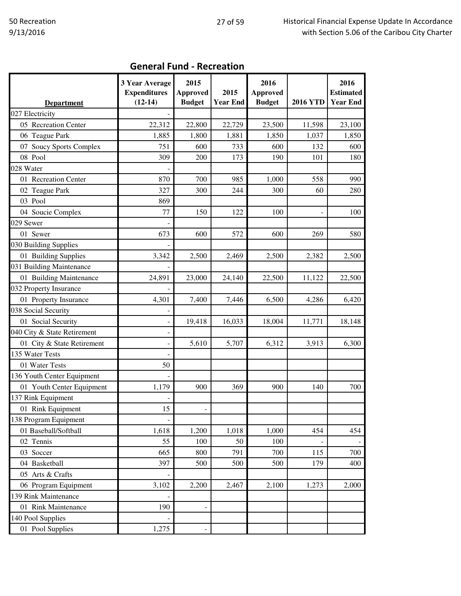٦

| <b>Department</b>           | 3 Year Average<br><b>Expenditures</b><br>$(12-14)$ | 2015<br><b>Approved</b><br><b>Budget</b> | 2015<br><b>Year End</b> | 2016<br><b>Approved</b><br><b>Budget</b> | <b>2016 YTD</b> | 2016<br><b>Estimated</b><br><b>Year End</b> |
|-----------------------------|----------------------------------------------------|------------------------------------------|-------------------------|------------------------------------------|-----------------|---------------------------------------------|
| 027 Electricity             |                                                    |                                          |                         |                                          |                 |                                             |
| 05 Recreation Center        | 22,312                                             | 22,800                                   | 22,729                  | 23,500                                   | 11,598          | 23,100                                      |
| 06 Teague Park              | 1,885                                              | 1,800                                    | 1,881                   | 1,850                                    | 1,037           | 1,850                                       |
| 07 Soucy Sports Complex     | 751                                                | 600                                      | 733                     | 600                                      | 132             | 600                                         |
| 08 Pool                     | 309                                                | 200                                      | 173                     | 190                                      | 101             | 180                                         |
| 028 Water                   |                                                    |                                          |                         |                                          |                 |                                             |
| 01 Recreation Center        | 870                                                | 700                                      | 985                     | 1,000                                    | 558             | 990                                         |
| 02 Teague Park              | 327                                                | 300                                      | 244                     | 300                                      | 60              | 280                                         |
| 03 Pool                     | 869                                                |                                          |                         |                                          |                 |                                             |
| 04 Soucie Complex           | 77                                                 | 150                                      | 122                     | 100                                      |                 | 100                                         |
| 029 Sewer                   |                                                    |                                          |                         |                                          |                 |                                             |
| 01 Sewer                    | 673                                                | 600                                      | 572                     | 600                                      | 269             | 580                                         |
| 030 Building Supplies       |                                                    |                                          |                         |                                          |                 |                                             |
| 01 Building Supplies        | 3,342                                              | 2,500                                    | 2,469                   | 2,500                                    | 2,382           | 2,500                                       |
| 031 Building Maintenance    |                                                    |                                          |                         |                                          |                 |                                             |
| 01 Building Maintenance     | 24,891                                             | 23,000                                   | 24,140                  | 22,500                                   | 11,122          | 22,500                                      |
| 032 Property Insurance      |                                                    |                                          |                         |                                          |                 |                                             |
| 01 Property Insurance       | 4,301                                              | 7,400                                    | 7,446                   | 6,500                                    | 4,286           | 6,420                                       |
| 038 Social Security         |                                                    |                                          |                         |                                          |                 |                                             |
| 01 Social Security          |                                                    | 19,418                                   | 16,033                  | 18,004                                   | 11,771          | 18,148                                      |
| 040 City & State Retirement |                                                    |                                          |                         |                                          |                 |                                             |
| 01 City & State Retirement  |                                                    | 5,610                                    | 5,707                   | 6,312                                    | 3,913           | 6,300                                       |
| 135 Water Tests             |                                                    |                                          |                         |                                          |                 |                                             |
| 01 Water Tests              | 50                                                 |                                          |                         |                                          |                 |                                             |
| 136 Youth Center Equipment  |                                                    |                                          |                         |                                          |                 |                                             |
| 01 Youth Center Equipment   | 1,179                                              | 900                                      | 369                     | 900                                      | 140             | 700                                         |
| 137 Rink Equipment          |                                                    |                                          |                         |                                          |                 |                                             |
| 01 Rink Equipment           | 15                                                 |                                          |                         |                                          |                 |                                             |
| 138 Program Equipment       |                                                    |                                          |                         |                                          |                 |                                             |
| 01 Baseball/Softball        | 1,618                                              | 1,200                                    | 1,018                   | 1,000                                    | 454             | 454                                         |
| 02 Tennis                   | 55                                                 | 100                                      | 50                      | 100                                      |                 |                                             |
| 03 Soccer                   | 665                                                | 800                                      | 791                     | 700                                      | 115             | 700                                         |
| 04 Basketball               | 397                                                | 500                                      | 500                     | 500                                      | 179             | 400                                         |
| 05 Arts & Crafts            |                                                    |                                          |                         |                                          |                 |                                             |
| 06 Program Equipment        | 3,102                                              | 2,200                                    | 2,467                   | 2,100                                    | 1,273           | 2,000                                       |
| 139 Rink Maintenance        |                                                    |                                          |                         |                                          |                 |                                             |
| 01 Rink Maintenance         | 190                                                |                                          |                         |                                          |                 |                                             |
| 140 Pool Supplies           |                                                    |                                          |                         |                                          |                 |                                             |
| 01 Pool Supplies            | 1,275                                              |                                          |                         |                                          |                 |                                             |

#### General Fund - Recreation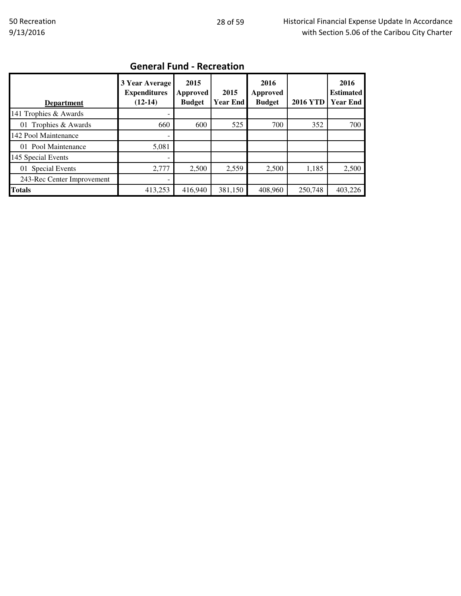| <b>Department</b>          | 3 Year Average<br><b>Expenditures</b><br>$(12-14)$ | 2015<br>Approved<br><b>Budget</b> | 2015<br><b>Year End</b> | 2016<br><b>Approved</b><br><b>Budget</b> | <b>2016 YTD</b> | 2016<br><b>Estimated</b><br><b>Year End</b> |
|----------------------------|----------------------------------------------------|-----------------------------------|-------------------------|------------------------------------------|-----------------|---------------------------------------------|
| 141 Trophies & Awards      |                                                    |                                   |                         |                                          |                 |                                             |
| 01 Trophies & Awards       | 660                                                | 600                               | 525                     | 700                                      | 352             | 700                                         |
| 142 Pool Maintenance       |                                                    |                                   |                         |                                          |                 |                                             |
| 01 Pool Maintenance        | 5,081                                              |                                   |                         |                                          |                 |                                             |
| 145 Special Events         | ۰                                                  |                                   |                         |                                          |                 |                                             |
| 01 Special Events          | 2,777                                              | 2,500                             | 2,559                   | 2.500                                    | 1,185           | 2,500                                       |
| 243-Rec Center Improvement | -                                                  |                                   |                         |                                          |                 |                                             |
| <b>Totals</b>              | 413,253                                            | 416,940                           | 381,150                 | 408.960                                  | 250,748         | 403,226                                     |

## General Fund - Recreation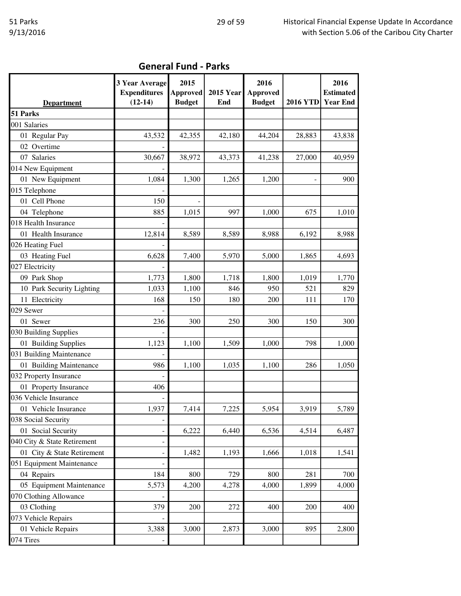| <b>General Fund - Parks</b> |  |  |
|-----------------------------|--|--|
|-----------------------------|--|--|

|                             | 3 Year Average<br><b>Expenditures</b> | 2015<br><b>Approved</b> | <b>2015 Year</b> | 2016<br><b>Approved</b> |                 | 2016<br><b>Estimated</b> |
|-----------------------------|---------------------------------------|-------------------------|------------------|-------------------------|-----------------|--------------------------|
| <b>Department</b>           | $(12-14)$                             | <b>Budget</b>           | End              | <b>Budget</b>           | <b>2016 YTD</b> | <b>Year End</b>          |
| 51 Parks                    |                                       |                         |                  |                         |                 |                          |
| 001 Salaries                |                                       |                         |                  |                         |                 |                          |
| 01 Regular Pay              | 43,532                                | 42,355                  | 42,180           | 44,204                  | 28,883          | 43,838                   |
| 02 Overtime                 |                                       |                         |                  |                         |                 |                          |
| 07 Salaries                 | 30,667                                | 38,972                  | 43,373           | 41,238                  | 27,000          | 40,959                   |
| 014 New Equipment           |                                       |                         |                  |                         |                 |                          |
| 01 New Equipment            | 1,084                                 | 1,300                   | 1,265            | 1,200                   |                 | 900                      |
| 015 Telephone               |                                       |                         |                  |                         |                 |                          |
| 01 Cell Phone               | 150                                   |                         |                  |                         |                 |                          |
| 04 Telephone                | 885                                   | 1,015                   | 997              | 1,000                   | 675             | 1,010                    |
| 018 Health Insurance        |                                       |                         |                  |                         |                 |                          |
| 01 Health Insurance         | 12,814                                | 8,589                   | 8,589            | 8,988                   | 6,192           | 8,988                    |
| 026 Heating Fuel            |                                       |                         |                  |                         |                 |                          |
| 03 Heating Fuel             | 6,628                                 | 7,400                   | 5,970            | 5,000                   | 1,865           | 4,693                    |
| 027 Electricity             |                                       |                         |                  |                         |                 |                          |
| 09 Park Shop                | 1,773                                 | 1,800                   | 1,718            | 1,800                   | 1,019           | 1,770                    |
| 10 Park Security Lighting   | 1,033                                 | 1,100                   | 846              | 950                     | 521             | 829                      |
| 11 Electricity              | 168                                   | 150                     | 180              | 200                     | 111             | 170                      |
| 029 Sewer                   |                                       |                         |                  |                         |                 |                          |
| 01 Sewer                    | 236                                   | 300                     | 250              | 300                     | 150             | 300                      |
| 030 Building Supplies       |                                       |                         |                  |                         |                 |                          |
| 01 Building Supplies        | 1,123                                 | 1,100                   | 1,509            | 1,000                   | 798             | 1,000                    |
| 031 Building Maintenance    |                                       |                         |                  |                         |                 |                          |
| 01 Building Maintenance     | 986                                   | 1,100                   | 1,035            | 1,100                   | 286             | 1,050                    |
| 032 Property Insurance      |                                       |                         |                  |                         |                 |                          |
| 01 Property Insurance       | 406                                   |                         |                  |                         |                 |                          |
| 036 Vehicle Insurance       |                                       |                         |                  |                         |                 |                          |
| 01 Vehicle Insurance        | 1,937                                 | 7,414                   | 7,225            | 5,954                   | 3,919           | 5,789                    |
| 038 Social Security         |                                       |                         |                  |                         |                 |                          |
| 01 Social Security          |                                       | 6,222                   | 6,440            | 6,536                   | 4,514           | 6,487                    |
| 040 City & State Retirement |                                       |                         |                  |                         |                 |                          |
| 01 City & State Retirement  |                                       | 1,482                   | 1,193            | 1,666                   | 1,018           | 1,541                    |
| 051 Equipment Maintenance   |                                       |                         |                  |                         |                 |                          |
| 04 Repairs                  | 184                                   | 800                     | 729              | 800                     | 281             | 700                      |
| 05 Equipment Maintenance    | 5,573                                 | 4,200                   | 4,278            | 4,000                   | 1,899           | 4,000                    |
| 070 Clothing Allowance      |                                       |                         |                  |                         |                 |                          |
| 03 Clothing                 | 379                                   | 200                     | 272              | 400                     | 200             | 400                      |
| 073 Vehicle Repairs         |                                       |                         |                  |                         |                 |                          |
| 01 Vehicle Repairs          | 3,388                                 | 3,000                   | 2,873            | 3,000                   | 895             | 2,800                    |
| 074 Tires                   |                                       |                         |                  |                         |                 |                          |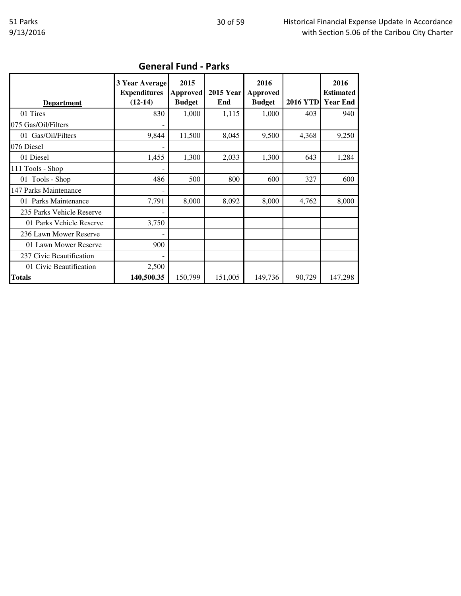| <b>Department</b>         | <b>3 Year Average</b><br><b>Expenditures</b><br>$(12-14)$ | 2015<br><b>Approved</b><br><b>Budget</b> | <b>2015 Year</b><br>End | 2016<br><b>Approved</b><br><b>Budget</b> | <b>2016 YTD</b> | 2016<br><b>Estimated</b><br><b>Year End</b> |
|---------------------------|-----------------------------------------------------------|------------------------------------------|-------------------------|------------------------------------------|-----------------|---------------------------------------------|
| 01 Tires                  | 830                                                       | 1,000                                    | 1,115                   | 1,000                                    | 403             | 940                                         |
| 075 Gas/Oil/Filters       |                                                           |                                          |                         |                                          |                 |                                             |
| 01 Gas/Oil/Filters        | 9,844                                                     | 11,500                                   | 8,045                   | 9,500                                    | 4,368           | 9,250                                       |
| 076 Diesel                |                                                           |                                          |                         |                                          |                 |                                             |
| 01 Diesel                 | 1,455                                                     | 1,300                                    | 2,033                   | 1,300                                    | 643             | 1,284                                       |
| 111 Tools - Shop          |                                                           |                                          |                         |                                          |                 |                                             |
| 01 Tools - Shop           | 486                                                       | 500                                      | 800                     | 600                                      | 327             | 600                                         |
| 147 Parks Maintenance     |                                                           |                                          |                         |                                          |                 |                                             |
| 01 Parks Maintenance      | 7,791                                                     | 8,000                                    | 8,092                   | 8,000                                    | 4,762           | 8,000                                       |
| 235 Parks Vehicle Reserve |                                                           |                                          |                         |                                          |                 |                                             |
| 01 Parks Vehicle Reserve  | 3,750                                                     |                                          |                         |                                          |                 |                                             |
| 236 Lawn Mower Reserve    |                                                           |                                          |                         |                                          |                 |                                             |
| 01 Lawn Mower Reserve     | 900                                                       |                                          |                         |                                          |                 |                                             |
| 237 Civic Beautification  |                                                           |                                          |                         |                                          |                 |                                             |
| 01 Civic Beautification   | 2,500                                                     |                                          |                         |                                          |                 |                                             |
| <b>Totals</b>             | 140,500.35                                                | 150,799                                  | 151,005                 | 149,736                                  | 90,729          | 147,298                                     |

## General Fund - Parks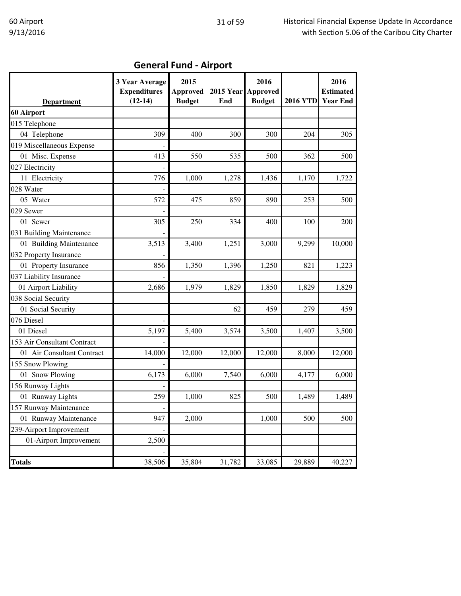|  |  | <b>General Fund - Airport</b> |
|--|--|-------------------------------|
|--|--|-------------------------------|

| <b>Department</b>           | 3 Year Average<br><b>Expenditures</b><br>$(12-14)$ | 2015<br><b>Approved</b><br><b>Budget</b> | 2015 Year Approved<br>End | 2016<br><b>Budget</b> | <b>2016 YTD</b> | 2016<br><b>Estimated</b><br><b>Year End</b> |
|-----------------------------|----------------------------------------------------|------------------------------------------|---------------------------|-----------------------|-----------------|---------------------------------------------|
| 60 Airport                  |                                                    |                                          |                           |                       |                 |                                             |
| 015 Telephone               |                                                    |                                          |                           |                       |                 |                                             |
| 04 Telephone                | 309                                                | 400                                      | 300                       | 300                   | 204             | 305                                         |
| 019 Miscellaneous Expense   |                                                    |                                          |                           |                       |                 |                                             |
| 01 Misc. Expense            | 413                                                | 550                                      | 535                       | 500                   | 362             | 500                                         |
| 027 Electricity             |                                                    |                                          |                           |                       |                 |                                             |
| 11 Electricity              | 776                                                | 1,000                                    | 1,278                     | 1,436                 | 1,170           | 1,722                                       |
| 028 Water                   |                                                    |                                          |                           |                       |                 |                                             |
| 05 Water                    | 572                                                | 475                                      | 859                       | 890                   | 253             | 500                                         |
| 029 Sewer                   |                                                    |                                          |                           |                       |                 |                                             |
| 01 Sewer                    | 305                                                | 250                                      | 334                       | 400                   | 100             | 200                                         |
| 031 Building Maintenance    |                                                    |                                          |                           |                       |                 |                                             |
| 01 Building Maintenance     | 3,513                                              | 3,400                                    | 1,251                     | 3,000                 | 9,299           | 10,000                                      |
| 032 Property Insurance      |                                                    |                                          |                           |                       |                 |                                             |
| 01 Property Insurance       | 856                                                | 1,350                                    | 1,396                     | 1,250                 | 821             | 1,223                                       |
| 037 Liability Insurance     |                                                    |                                          |                           |                       |                 |                                             |
| 01 Airport Liability        | 2,686                                              | 1,979                                    | 1,829                     | 1,850                 | 1,829           | 1,829                                       |
| 038 Social Security         |                                                    |                                          |                           |                       |                 |                                             |
| 01 Social Security          |                                                    |                                          | 62                        | 459                   | 279             | 459                                         |
| 076 Diesel                  |                                                    |                                          |                           |                       |                 |                                             |
| 01 Diesel                   | 5,197                                              | 5,400                                    | 3,574                     | 3,500                 | 1,407           | 3,500                                       |
| 153 Air Consultant Contract |                                                    |                                          |                           |                       |                 |                                             |
| 01 Air Consultant Contract  | 14,000                                             | 12,000                                   | 12,000                    | 12,000                | 8,000           | 12,000                                      |
| 155 Snow Plowing            |                                                    |                                          |                           |                       |                 |                                             |
| 01 Snow Plowing             | 6,173                                              | 6,000                                    | 7,540                     | 6,000                 | 4,177           | 6,000                                       |
| 156 Runway Lights           |                                                    |                                          |                           |                       |                 |                                             |
| 01 Runway Lights            | 259                                                | 1,000                                    | 825                       | 500                   | 1,489           | 1,489                                       |
| 157 Runway Maintenance      | ٠                                                  |                                          |                           |                       |                 |                                             |
| 01 Runway Maintenance       | 947                                                | 2,000                                    |                           | 1,000                 | 500             | 500                                         |
| 239-Airport Improvement     |                                                    |                                          |                           |                       |                 |                                             |
| 01-Airport Improvement      | 2,500                                              |                                          |                           |                       |                 |                                             |
|                             |                                                    |                                          |                           |                       |                 |                                             |
| <b>Totals</b>               | 38,506                                             | 35,804                                   | 31,782                    | 33,085                | 29,889          | 40,227                                      |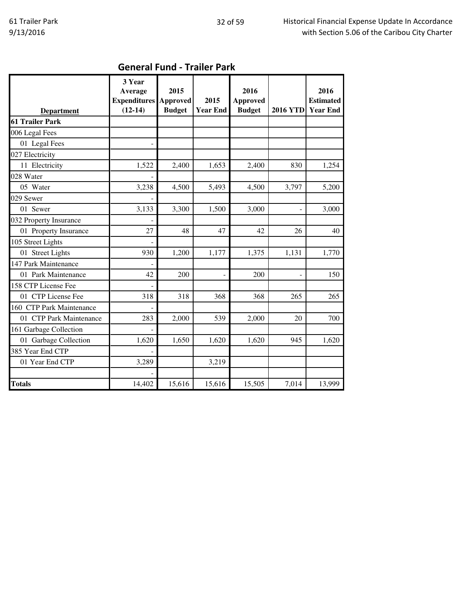| <b>Department</b>        | 3 Year<br>Average<br><b>Expenditures</b><br>$(12-14)$ | 2015<br><b>Approved</b><br><b>Budget</b> | 2015<br><b>Year End</b> | 2016<br><b>Approved</b><br><b>Budget</b> | <b>2016 YTD</b> | 2016<br><b>Estimated</b><br><b>Year End</b> |
|--------------------------|-------------------------------------------------------|------------------------------------------|-------------------------|------------------------------------------|-----------------|---------------------------------------------|
| 61 Trailer Park          |                                                       |                                          |                         |                                          |                 |                                             |
| 006 Legal Fees           |                                                       |                                          |                         |                                          |                 |                                             |
| 01 Legal Fees            |                                                       |                                          |                         |                                          |                 |                                             |
| 027 Electricity          |                                                       |                                          |                         |                                          |                 |                                             |
| 11 Electricity           | 1,522                                                 | 2,400                                    | 1,653                   | 2,400                                    | 830             | 1,254                                       |
| 028 Water                |                                                       |                                          |                         |                                          |                 |                                             |
| 05 Water                 | 3,238                                                 | 4,500                                    | 5,493                   | 4,500                                    | 3,797           | 5,200                                       |
| 029 Sewer                |                                                       |                                          |                         |                                          |                 |                                             |
| 01 Sewer                 | 3,133                                                 | 3,300                                    | 1,500                   | 3,000                                    |                 | 3,000                                       |
| 032 Property Insurance   |                                                       |                                          |                         |                                          |                 |                                             |
| 01 Property Insurance    | 27                                                    | 48                                       | 47                      | 42                                       | 26              | 40                                          |
| 105 Street Lights        |                                                       |                                          |                         |                                          |                 |                                             |
| 01 Street Lights         | 930                                                   | 1,200                                    | 1,177                   | 1,375                                    | 1,131           | 1,770                                       |
| 147 Park Maintenance     |                                                       |                                          |                         |                                          |                 |                                             |
| 01 Park Maintenance      | 42                                                    | 200                                      |                         | 200                                      |                 | 150                                         |
| 158 CTP License Fee      |                                                       |                                          |                         |                                          |                 |                                             |
| 01 CTP License Fee       | 318                                                   | 318                                      | 368                     | 368                                      | 265             | 265                                         |
| 160 CTP Park Maintenance |                                                       |                                          |                         |                                          |                 |                                             |
| 01 CTP Park Maintenance  | 283                                                   | 2,000                                    | 539                     | 2,000                                    | 20              | 700                                         |
| 161 Garbage Collection   |                                                       |                                          |                         |                                          |                 |                                             |
| 01 Garbage Collection    | 1,620                                                 | 1,650                                    | 1,620                   | 1,620                                    | 945             | 1,620                                       |
| 385 Year End CTP         |                                                       |                                          |                         |                                          |                 |                                             |
| 01 Year End CTP          | 3,289                                                 |                                          | 3,219                   |                                          |                 |                                             |
|                          |                                                       |                                          |                         |                                          |                 |                                             |
| <b>Totals</b>            | 14,402                                                | 15,616                                   | 15,616                  | 15,505                                   | 7,014           | 13,999                                      |

# General Fund - Trailer Park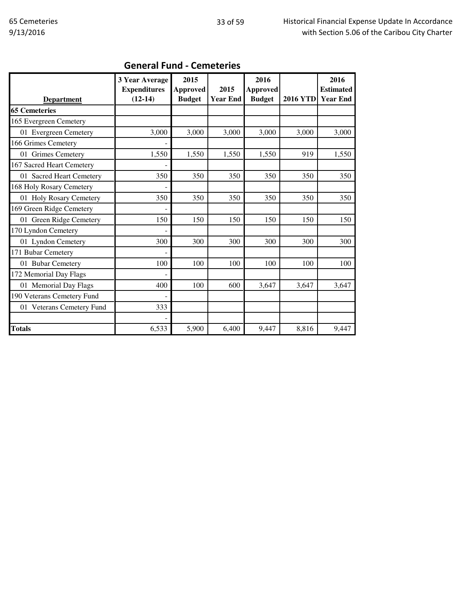| <b>Department</b>          | 3 Year Average<br><b>Expenditures</b><br>$(12-14)$ | 2015<br><b>Approved</b><br><b>Budget</b> | 2015<br><b>Year End</b> | 2016<br><b>Approved</b><br><b>Budget</b> | <b>2016 YTD</b> | 2016<br><b>Estimated</b><br><b>Year End</b> |
|----------------------------|----------------------------------------------------|------------------------------------------|-------------------------|------------------------------------------|-----------------|---------------------------------------------|
| <b>65 Cemeteries</b>       |                                                    |                                          |                         |                                          |                 |                                             |
| 165 Evergreen Cemetery     |                                                    |                                          |                         |                                          |                 |                                             |
| 01 Evergreen Cemetery      | 3,000                                              | 3,000                                    | 3,000                   | 3,000                                    | 3,000           | 3,000                                       |
| 166 Grimes Cemetery        |                                                    |                                          |                         |                                          |                 |                                             |
| 01 Grimes Cemetery         | 1,550                                              | 1,550                                    | 1,550                   | 1,550                                    | 919             | 1,550                                       |
| 167 Sacred Heart Cemetery  |                                                    |                                          |                         |                                          |                 |                                             |
| 01 Sacred Heart Cemetery   | 350                                                | 350                                      | 350                     | 350                                      | 350             | 350                                         |
| 168 Holy Rosary Cemetery   |                                                    |                                          |                         |                                          |                 |                                             |
| 01 Holy Rosary Cemetery    | 350                                                | 350                                      | 350                     | 350                                      | 350             | 350                                         |
| 169 Green Ridge Cemetery   |                                                    |                                          |                         |                                          |                 |                                             |
| 01 Green Ridge Cemetery    | 150                                                | 150                                      | 150                     | 150                                      | 150             | 150                                         |
| 170 Lyndon Cemetery        |                                                    |                                          |                         |                                          |                 |                                             |
| 01 Lyndon Cemetery         | 300                                                | 300                                      | 300                     | 300                                      | 300             | 300                                         |
| 171 Bubar Cemetery         |                                                    |                                          |                         |                                          |                 |                                             |
| 01 Bubar Cemetery          | 100                                                | 100                                      | 100                     | 100                                      | 100             | 100                                         |
| 172 Memorial Day Flags     |                                                    |                                          |                         |                                          |                 |                                             |
| 01 Memorial Day Flags      | 400                                                | 100                                      | 600                     | 3,647                                    | 3,647           | 3,647                                       |
| 190 Veterans Cemetery Fund |                                                    |                                          |                         |                                          |                 |                                             |
| 01 Veterans Cemetery Fund  | 333                                                |                                          |                         |                                          |                 |                                             |
|                            |                                                    |                                          |                         |                                          |                 |                                             |
| <b>Totals</b>              | 6,533                                              | 5,900                                    | 6,400                   | 9,447                                    | 8,816           | 9,447                                       |

### General Fund - Cemeteries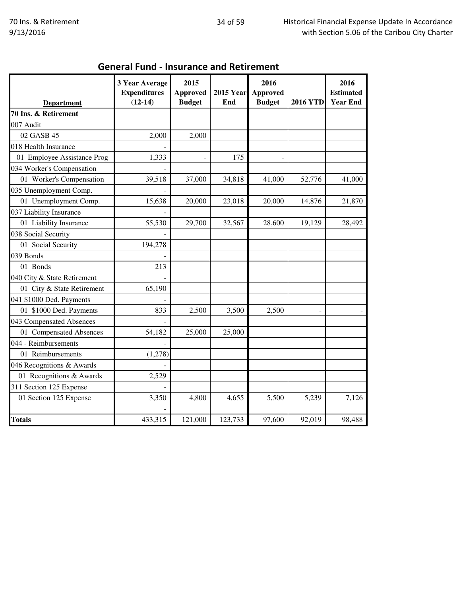| <b>Department</b>           | 3 Year Average<br><b>Expenditures</b><br>$(12-14)$ | 2015<br><b>Approved</b><br><b>Budget</b> | <b>2015 Year</b><br>End | 2016<br><b>Approved</b><br><b>Budget</b> | <b>2016 YTD</b> | 2016<br><b>Estimated</b><br><b>Year End</b> |
|-----------------------------|----------------------------------------------------|------------------------------------------|-------------------------|------------------------------------------|-----------------|---------------------------------------------|
| 70 Ins. & Retirement        |                                                    |                                          |                         |                                          |                 |                                             |
| 007 Audit                   |                                                    |                                          |                         |                                          |                 |                                             |
| 02 GASB 45                  | 2,000                                              | 2,000                                    |                         |                                          |                 |                                             |
| 018 Health Insurance        |                                                    |                                          |                         |                                          |                 |                                             |
| 01 Employee Assistance Prog | 1,333                                              |                                          | 175                     |                                          |                 |                                             |
| 034 Worker's Compensation   |                                                    |                                          |                         |                                          |                 |                                             |
| 01 Worker's Compensation    | 39,518                                             | 37,000                                   | 34,818                  | 41,000                                   | 52,776          | 41,000                                      |
| 035 Unemployment Comp.      |                                                    |                                          |                         |                                          |                 |                                             |
| 01 Unemployment Comp.       | 15,638                                             | 20,000                                   | 23,018                  | 20,000                                   | 14,876          | 21,870                                      |
| 037 Liability Insurance     |                                                    |                                          |                         |                                          |                 |                                             |
| 01 Liability Insurance      | 55,530                                             | 29,700                                   | 32,567                  | 28,600                                   | 19,129          | 28,492                                      |
| 038 Social Security         |                                                    |                                          |                         |                                          |                 |                                             |
| 01 Social Security          | 194,278                                            |                                          |                         |                                          |                 |                                             |
| 039 Bonds                   |                                                    |                                          |                         |                                          |                 |                                             |
| 01 Bonds                    | 213                                                |                                          |                         |                                          |                 |                                             |
| 040 City & State Retirement |                                                    |                                          |                         |                                          |                 |                                             |
| 01 City & State Retirement  | 65,190                                             |                                          |                         |                                          |                 |                                             |
| 041 \$1000 Ded. Payments    |                                                    |                                          |                         |                                          |                 |                                             |
| 01 \$1000 Ded. Payments     | 833                                                | 2,500                                    | 3,500                   | 2,500                                    |                 |                                             |
| 043 Compensated Absences    |                                                    |                                          |                         |                                          |                 |                                             |
| 01 Compensated Absences     | 54,182                                             | 25,000                                   | 25,000                  |                                          |                 |                                             |
| 044 - Reimbursements        |                                                    |                                          |                         |                                          |                 |                                             |
| 01 Reimbursements           | (1,278)                                            |                                          |                         |                                          |                 |                                             |
| 046 Recognitions & Awards   |                                                    |                                          |                         |                                          |                 |                                             |
| 01 Recognitions & Awards    | 2,529                                              |                                          |                         |                                          |                 |                                             |
| 311 Section 125 Expense     |                                                    |                                          |                         |                                          |                 |                                             |
| 01 Section 125 Expense      | 3,350                                              | 4,800                                    | 4,655                   | 5,500                                    | 5,239           | 7,126                                       |
| <b>Totals</b>               | 433,315                                            | 121,000                                  | 123,733                 | 97,600                                   | 92,019          | 98,488                                      |

## General Fund - Insurance and Retirement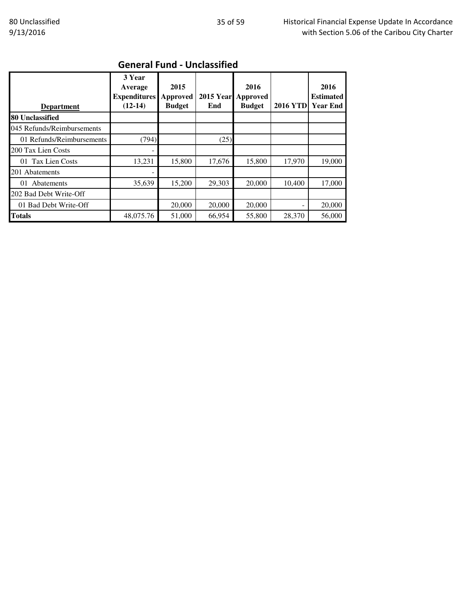| <b>Department</b>          | 3 Year<br>Average<br><b>Expenditures</b><br>$(12-14)$ | 2015<br>Approved<br><b>Budget</b> | <b>2015 Year</b><br>End | 2016<br>Approved<br><b>Budget</b> | <b>2016 YTD</b> | 2016<br><b>Estimated</b><br><b>Year End</b> |
|----------------------------|-------------------------------------------------------|-----------------------------------|-------------------------|-----------------------------------|-----------------|---------------------------------------------|
| 80 Unclassified            |                                                       |                                   |                         |                                   |                 |                                             |
| 045 Refunds/Reimbursements |                                                       |                                   |                         |                                   |                 |                                             |
| 01 Refunds/Reimbursements  | (794)                                                 |                                   | (25)                    |                                   |                 |                                             |
| 200 Tax Lien Costs         |                                                       |                                   |                         |                                   |                 |                                             |
| 01 Tax Lien Costs          | 13,231                                                | 15,800                            | 17.676                  | 15,800                            | 17,970          | 19,000                                      |
| 201 Abatements             |                                                       |                                   |                         |                                   |                 |                                             |
| 01 Abatements              | 35,639                                                | 15,200                            | 29,303                  | 20,000                            | 10,400          | 17,000                                      |
| 202 Bad Debt Write-Off     |                                                       |                                   |                         |                                   |                 |                                             |
| 01 Bad Debt Write-Off      |                                                       | 20,000                            | 20,000                  | 20,000                            |                 | 20,000                                      |
| <b>Totals</b>              | 48,075.76                                             | 51,000                            | 66,954                  | 55,800                            | 28,370          | 56,000                                      |

# General Fund - Unclassified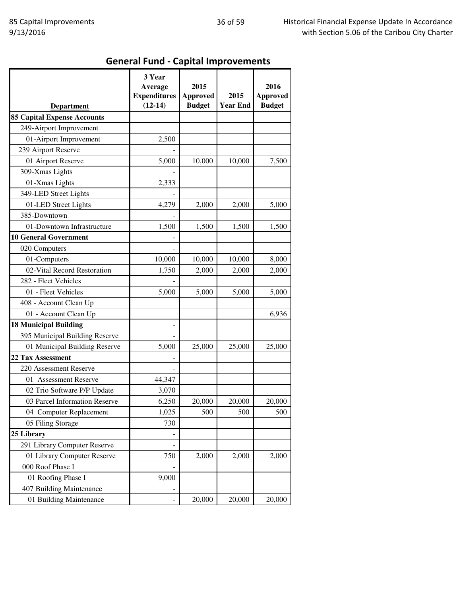# General Fund - Capital Improvements

| <b>Department</b>                  | 3 Year<br>Average<br><b>Expenditures</b><br>$(12-14)$ | 2015<br><b>Approved</b><br><b>Budget</b> | 2015<br><b>Year End</b> | 2016<br><b>Approved</b><br><b>Budget</b> |
|------------------------------------|-------------------------------------------------------|------------------------------------------|-------------------------|------------------------------------------|
| <b>85 Capital Expense Accounts</b> |                                                       |                                          |                         |                                          |
| 249-Airport Improvement            |                                                       |                                          |                         |                                          |
| 01-Airport Improvement             | 2,500                                                 |                                          |                         |                                          |
| 239 Airport Reserve                |                                                       |                                          |                         |                                          |
| 01 Airport Reserve                 | 5,000                                                 | 10,000                                   | 10,000                  | 7,500                                    |
| 309-Xmas Lights                    |                                                       |                                          |                         |                                          |
| 01-Xmas Lights                     | 2,333                                                 |                                          |                         |                                          |
| 349-LED Street Lights              |                                                       |                                          |                         |                                          |
| 01-LED Street Lights               | 4,279                                                 | 2,000                                    | 2,000                   | 5,000                                    |
| 385-Downtown                       |                                                       |                                          |                         |                                          |
| 01-Downtown Infrastructure         | 1,500                                                 | 1,500                                    | 1,500                   | 1,500                                    |
| <b>10 General Government</b>       |                                                       |                                          |                         |                                          |
| 020 Computers                      |                                                       |                                          |                         |                                          |
| 01-Computers                       | 10,000                                                | 10,000                                   | 10,000                  | 8,000                                    |
| 02-Vital Record Restoration        | 1,750                                                 | 2,000                                    | 2,000                   | 2,000                                    |
| 282 - Fleet Vehicles               |                                                       |                                          |                         |                                          |
| 01 - Fleet Vehicles                | 5,000                                                 | 5,000                                    | 5,000                   | 5,000                                    |
| 408 - Account Clean Up             |                                                       |                                          |                         |                                          |
| 01 - Account Clean Up              |                                                       |                                          |                         | 6,936                                    |
| <b>18 Municipal Building</b>       |                                                       |                                          |                         |                                          |
| 395 Municipal Building Reserve     |                                                       |                                          |                         |                                          |
| 01 Municipal Building Reserve      | 5,000                                                 | 25,000                                   | 25,000                  | 25,000                                   |
| <b>22 Tax Assessment</b>           |                                                       |                                          |                         |                                          |
| 220 Assessment Reserve             |                                                       |                                          |                         |                                          |
| 01 Assessment Reserve              | 44,347                                                |                                          |                         |                                          |
| 02 Trio Software P/P Update        | 3,070                                                 |                                          |                         |                                          |
| 03 Parcel Information Reserve      | 6,250                                                 | 20,000                                   | 20,000                  | 20,000                                   |
| 04 Computer Replacement            | 1,025                                                 | 500                                      | 500                     | 500                                      |
| 05 Filing Storage                  | 730                                                   |                                          |                         |                                          |
| 25 Library                         |                                                       |                                          |                         |                                          |
| 291 Library Computer Reserve       |                                                       |                                          |                         |                                          |
| 01 Library Computer Reserve        | 750                                                   | 2,000                                    | 2,000                   | 2,000                                    |
| 000 Roof Phase I                   |                                                       |                                          |                         |                                          |
| 01 Roofing Phase I                 | 9,000                                                 |                                          |                         |                                          |
| 407 Building Maintenance           |                                                       |                                          |                         |                                          |
| 01 Building Maintenance            |                                                       | 20,000                                   | 20,000                  | 20,000                                   |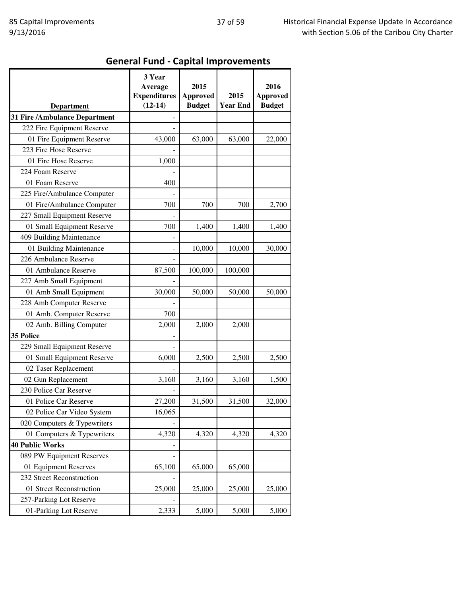# General Fund - Capital Improvements

| <b>Department</b>             | 3 Year<br>Average<br><b>Expenditures</b><br>$(12-14)$ | 2015<br><b>Approved</b><br><b>Budget</b> | 2015<br><b>Year End</b> | 2016<br><b>Approved</b><br><b>Budget</b> |
|-------------------------------|-------------------------------------------------------|------------------------------------------|-------------------------|------------------------------------------|
| 31 Fire /Ambulance Department |                                                       |                                          |                         |                                          |
| 222 Fire Equipment Reserve    |                                                       |                                          |                         |                                          |
| 01 Fire Equipment Reserve     | 43,000                                                | 63,000                                   | 63,000                  | 22,000                                   |
| 223 Fire Hose Reserve         |                                                       |                                          |                         |                                          |
| 01 Fire Hose Reserve          | 1,000                                                 |                                          |                         |                                          |
| 224 Foam Reserve              |                                                       |                                          |                         |                                          |
| 01 Foam Reserve               | 400                                                   |                                          |                         |                                          |
| 225 Fire/Ambulance Computer   |                                                       |                                          |                         |                                          |
| 01 Fire/Ambulance Computer    | 700                                                   | 700                                      | 700                     | 2,700                                    |
| 227 Small Equipment Reserve   |                                                       |                                          |                         |                                          |
| 01 Small Equipment Reserve    | 700                                                   | 1,400                                    | 1,400                   | 1,400                                    |
| 409 Building Maintenance      |                                                       |                                          |                         |                                          |
| 01 Building Maintenance       |                                                       | 10,000                                   | 10,000                  | 30,000                                   |
| 226 Ambulance Reserve         |                                                       |                                          |                         |                                          |
| 01 Ambulance Reserve          | 87,500                                                | 100,000                                  | 100,000                 |                                          |
| 227 Amb Small Equipment       |                                                       |                                          |                         |                                          |
| 01 Amb Small Equipment        | 30,000                                                | 50,000                                   | 50,000                  | 50,000                                   |
| 228 Amb Computer Reserve      |                                                       |                                          |                         |                                          |
| 01 Amb. Computer Reserve      | 700                                                   |                                          |                         |                                          |
| 02 Amb. Billing Computer      | 2,000                                                 | 2,000                                    | 2,000                   |                                          |
| 35 Police                     |                                                       |                                          |                         |                                          |
| 229 Small Equipment Reserve   |                                                       |                                          |                         |                                          |
| 01 Small Equipment Reserve    | 6,000                                                 | 2,500                                    | 2,500                   | 2,500                                    |
| 02 Taser Replacement          |                                                       |                                          |                         |                                          |
| 02 Gun Replacement            | 3,160                                                 | 3,160                                    | 3,160                   | 1,500                                    |
| 230 Police Car Reserve        |                                                       |                                          |                         |                                          |
| 01 Police Car Reserve         | 27,200                                                | 31,500                                   | 31,500                  | 32,000                                   |
| 02 Police Car Video System    | 16,065                                                |                                          |                         |                                          |
| 020 Computers & Typewriters   |                                                       |                                          |                         |                                          |
| 01 Computers & Typewriters    | 4,320                                                 | 4,320                                    | 4,320                   | 4,320                                    |
| <b>40 Public Works</b>        |                                                       |                                          |                         |                                          |
| 089 PW Equipment Reserves     |                                                       |                                          |                         |                                          |
| 01 Equipment Reserves         | 65,100                                                | 65,000                                   | 65,000                  |                                          |
| 232 Street Reconstruction     |                                                       |                                          |                         |                                          |
| 01 Street Reconstruction      | 25,000                                                | 25,000                                   | 25,000                  | 25,000                                   |
| 257-Parking Lot Reserve       |                                                       |                                          |                         |                                          |
| 01-Parking Lot Reserve        | 2,333                                                 | 5,000                                    | 5,000                   | 5,000                                    |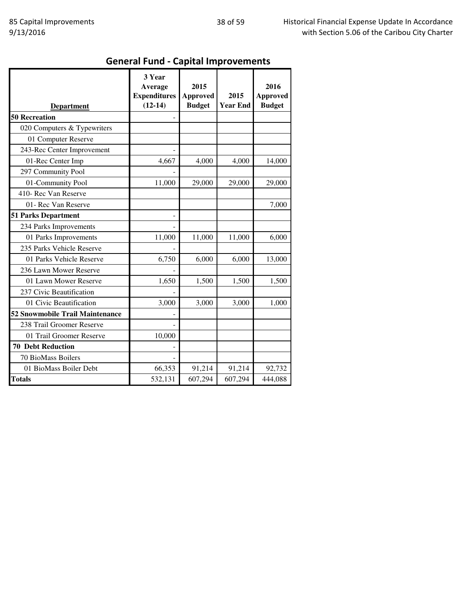# General Fund - Capital Improvements

|                                 | 3 Year<br>Average<br><b>Expenditures</b> | 2015<br><b>Approved</b> | 2015            | 2016<br><b>Approved</b> |
|---------------------------------|------------------------------------------|-------------------------|-----------------|-------------------------|
| <b>Department</b>               | $(12-14)$                                | <b>Budget</b>           | <b>Year End</b> | <b>Budget</b>           |
| <b>50 Recreation</b>            |                                          |                         |                 |                         |
| 020 Computers & Typewriters     |                                          |                         |                 |                         |
| 01 Computer Reserve             |                                          |                         |                 |                         |
| 243-Rec Center Improvement      |                                          |                         |                 |                         |
| 01-Rec Center Imp               | 4,667                                    | 4,000                   | 4,000           | 14,000                  |
| 297 Community Pool              |                                          |                         |                 |                         |
| 01-Community Pool               | 11,000                                   | 29,000                  | 29,000          | 29,000                  |
| 410- Rec Van Reserve            |                                          |                         |                 |                         |
| 01- Rec Van Reserve             |                                          |                         |                 | 7,000                   |
| <b>51 Parks Department</b>      |                                          |                         |                 |                         |
| 234 Parks Improvements          |                                          |                         |                 |                         |
| 01 Parks Improvements           | 11,000                                   | 11,000                  | 11,000          | 6,000                   |
| 235 Parks Vehicle Reserve       |                                          |                         |                 |                         |
| 01 Parks Vehicle Reserve        | 6,750                                    | 6,000                   | 6,000           | 13,000                  |
| 236 Lawn Mower Reserve          |                                          |                         |                 |                         |
| 01 Lawn Mower Reserve           | 1,650                                    | 1,500                   | 1,500           | 1,500                   |
| 237 Civic Beautification        |                                          |                         |                 |                         |
| 01 Civic Beautification         | 3,000                                    | 3,000                   | 3,000           | 1,000                   |
| 52 Snowmobile Trail Maintenance |                                          |                         |                 |                         |
| 238 Trail Groomer Reserve       |                                          |                         |                 |                         |
| 01 Trail Groomer Reserve        | 10,000                                   |                         |                 |                         |
| <b>70 Debt Reduction</b>        |                                          |                         |                 |                         |
| 70 BioMass Boilers              |                                          |                         |                 |                         |
| 01 BioMass Boiler Debt          | 66,353                                   | 91,214                  | 91,214          | 92,732                  |
| <b>Totals</b>                   | 532,131                                  | 607,294                 | 607,294         | 444,088                 |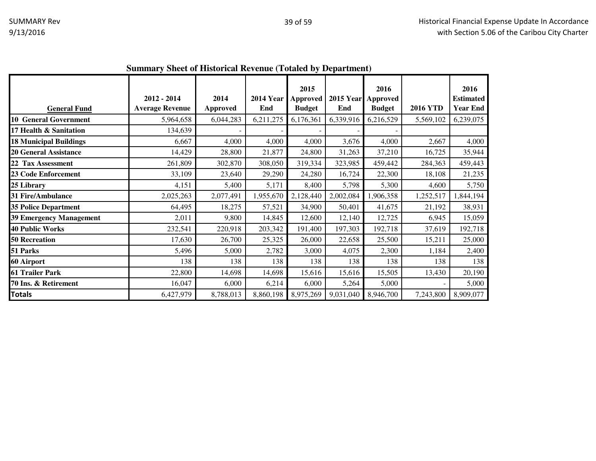|                                | Duningi y Dheet of Thstoffear Revenue (Totaled by Department) |                         |                         |                                   |                           |                       |                 |                                             |
|--------------------------------|---------------------------------------------------------------|-------------------------|-------------------------|-----------------------------------|---------------------------|-----------------------|-----------------|---------------------------------------------|
| <b>General Fund</b>            | 2012 - 2014<br><b>Average Revenue</b>                         | 2014<br><b>Approved</b> | <b>2014 Year</b><br>End | 2015<br>Approved<br><b>Budget</b> | 2015 Year Approved<br>End | 2016<br><b>Budget</b> | <b>2016 YTD</b> | 2016<br><b>Estimated</b><br><b>Year End</b> |
| <b>10 General Government</b>   | 5,964,658                                                     | 6,044,283               | 6,211,275               | 6,176,361                         | 6,339,916                 | 6,216,529             | 5,569,102       | 6,239,075                                   |
| 17 Health & Sanitation         | 134,639                                                       |                         |                         |                                   |                           |                       |                 |                                             |
| <b>18 Municipal Buildings</b>  | 6,667                                                         | 4,000                   | 4,000                   | 4,000                             | 3,676                     | 4,000                 | 2,667           | 4,000                                       |
| <b>20 General Assistance</b>   | 14,429                                                        | 28,800                  | 21,877                  | 24,800                            | 31,263                    | 37,210                | 16,725          | 35,944                                      |
| 22 Tax Assessment              | 261,809                                                       | 302,870                 | 308,050                 | 319,334                           | 323,985                   | 459,442               | 284,363         | 459,443                                     |
| <b>23 Code Enforcement</b>     | 33,109                                                        | 23,640                  | 29,290                  | 24,280                            | 16,724                    | 22,300                | 18,108          | 21,235                                      |
| 25 Library                     | 4,151                                                         | 5,400                   | 5,171                   | 8,400                             | 5,798                     | 5,300                 | 4,600           | 5,750                                       |
| <b>31 Fire/Ambulance</b>       | 2,025,263                                                     | 2,077,491               | 1,955,670               | 2,128,440                         | 2,002,084                 | 1,906,358             | 1,252,517       | 1,844,194                                   |
| <b>35 Police Department</b>    | 64,495                                                        | 18,275                  | 57,521                  | 34,900                            | 50,401                    | 41,675                | 21,192          | 38,931                                      |
| <b>39 Emergency Management</b> | 2,011                                                         | 9,800                   | 14,845                  | 12,600                            | 12,140                    | 12,725                | 6,945           | 15,059                                      |
| <b>40 Public Works</b>         | 232,541                                                       | 220,918                 | 203,342                 | 191,400                           | 197,303                   | 192,718               | 37,619          | 192,718                                     |
| <b>50 Recreation</b>           | 17,630                                                        | 26,700                  | 25,325                  | 26,000                            | 22,658                    | 25,500                | 15,211          | 25,000                                      |
| 51 Parks                       | 5,496                                                         | 5,000                   | 2,782                   | 3,000                             | 4,075                     | 2,300                 | 1,184           | 2,400                                       |
| 60 Airport                     | 138                                                           | 138                     | 138                     | 138                               | 138                       | 138                   | 138             | 138                                         |
| 61 Trailer Park                | 22,800                                                        | 14,698                  | 14,698                  | 15,616                            | 15,616                    | 15,505                | 13,430          | 20,190                                      |
| 70 Ins. & Retirement           | 16,047                                                        | 6,000                   | 6,214                   | 6,000                             | 5,264                     | 5,000                 |                 | 5,000                                       |
| <b>Totals</b>                  | 6,427,979                                                     | 8,788,013               | 8,860,198               | 8,975,269                         | 9,031,040                 | 8,946,700             | 7,243,800       | 8,909,077                                   |

#### **Summary Sheet of Historical Revenue (Totaled by Department)**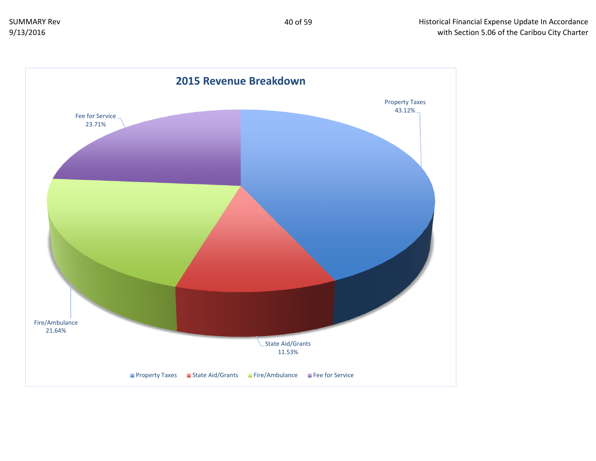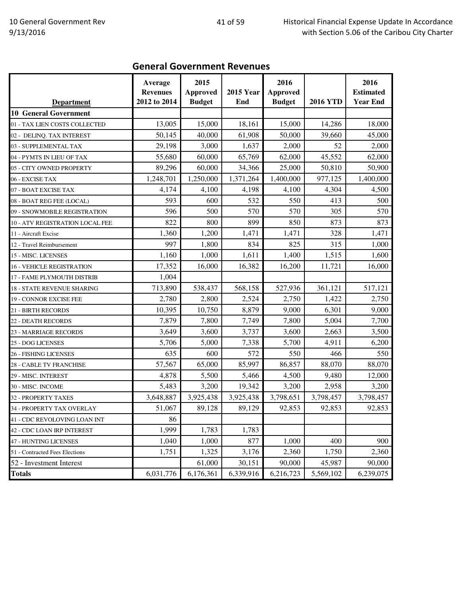### General Government Revenues

| <b>Department</b>                | Average<br><b>Revenues</b><br>2012 to 2014 | 2015<br><b>Approved</b><br><b>Budget</b> | <b>2015 Year</b><br>End | 2016<br><b>Approved</b><br><b>Budget</b> | <b>2016 YTD</b> | 2016<br><b>Estimated</b><br><b>Year End</b> |
|----------------------------------|--------------------------------------------|------------------------------------------|-------------------------|------------------------------------------|-----------------|---------------------------------------------|
| <b>10 General Government</b>     |                                            |                                          |                         |                                          |                 |                                             |
| 01 - TAX LIEN COSTS COLLECTED    | 13,005                                     | 15,000                                   | 18,161                  | 15,000                                   | 14,286          | 18,000                                      |
| 02 - DELINQ. TAX INTEREST        | 50,145                                     | 40,000                                   | 61,908                  | 50,000                                   | 39,660          | 45,000                                      |
| 03 - SUPPLEMENTAL TAX            | 29,198                                     | 3,000                                    | 1,637                   | 2,000                                    | 52              | 2,000                                       |
| 04 - PYMTS IN LIEU OF TAX        | 55,680                                     | 60,000                                   | 65,769                  | 62,000                                   | 45,552          | 62,000                                      |
| 05 - CITY OWNED PROPERTY         | 89,296                                     | 60,000                                   | 34,366                  | 25,000                                   | 50,810          | 50,900                                      |
| 06 - EXCISE TAX                  | 1,248,701                                  | 1,250,000                                | 1,371,264               | 1,400,000                                | 977,125         | 1,400,000                                   |
| 07 - BOAT EXCISE TAX             | 4,174                                      | 4,100                                    | 4,198                   | 4,100                                    | 4,304           | 4,500                                       |
| 08 - BOAT REG FEE (LOCAL)        | 593                                        | 600                                      | 532                     | 550                                      | 413             | 500                                         |
| 09 - SNOWMOBILE REGISTRATION     | 596                                        | 500                                      | 570                     | 570                                      | 305             | 570                                         |
| 10 - ATV REGISTRATION LOCAL FEE  | 822                                        | 800                                      | 899                     | 850                                      | 873             | 873                                         |
| 11 - Aircraft Excise             | 1,360                                      | 1,200                                    | 1,471                   | 1,471                                    | 328             | 1,471                                       |
| 12 - Travel Reimbursement        | 997                                        | 1,800                                    | 834                     | 825                                      | 315             | 1,000                                       |
| 15 - MISC. LICENSES              | 1,160                                      | 1,000                                    | 1,611                   | 1,400                                    | 1,515           | 1,600                                       |
| <b>16 - VEHICLE REGISTRATION</b> | 17,352                                     | 16,000                                   | 16,382                  | 16,200                                   | 11,721          | 16,000                                      |
| 17 - FAME PLYMOUTH DISTRIB       | 1,004                                      |                                          |                         |                                          |                 |                                             |
| 18 - STATE REVENUE SHARING       | 713,890                                    | 538,437                                  | 568,158                 | 527,936                                  | 361,121         | 517,121                                     |
| 19 - CONNOR EXCISE FEE           | 2,780                                      | 2,800                                    | 2,524                   | 2,750                                    | 1,422           | 2,750                                       |
| <b>21 - BIRTH RECORDS</b>        | 10,395                                     | 10,750                                   | 8,879                   | 9,000                                    | 6,301           | 9,000                                       |
| <b>22 - DEATH RECORDS</b>        | 7,879                                      | 7,800                                    | 7,749                   | 7,800                                    | 5,004           | 7,700                                       |
| 23 - MARRIAGE RECORDS            | 3,649                                      | 3,600                                    | 3,737                   | 3,600                                    | 2,663           | 3,500                                       |
| 25 - DOG LICENSES                | 5,706                                      | 5,000                                    | 7,338                   | 5,700                                    | 4,911           | 6,200                                       |
| 26 - FISHING LICENSES            | 635                                        | 600                                      | 572                     | 550                                      | 466             | 550                                         |
| 28 - CABLE TV FRANCHISE          | 57,567                                     | 65,000                                   | 85,997                  | 86,857                                   | 88,070          | 88,070                                      |
| 29 - MISC. INTEREST              | 4,878                                      | 5,500                                    | 5,466                   | 4,500                                    | 9,480           | 12,000                                      |
| 30 - MISC. INCOME                | 5,483                                      | 3,200                                    | 19,342                  | 3,200                                    | 2,958           | 3,200                                       |
| 32 - PROPERTY TAXES              | 3,648,887                                  | 3,925,438                                | 3,925,438               | 3,798,651                                | 3,798,457       | 3,798,457                                   |
| 34 - PROPERTY TAX OVERLAY        | 51,067                                     | 89,128                                   | 89,129                  | 92,853                                   | 92,853          | 92,853                                      |
| 41 - CDC REVOLOVING LOAN INT     | 86                                         |                                          |                         |                                          |                 |                                             |
| 42 - CDC LOAN IRP INTEREST       | 1,999                                      | 1,783                                    | 1,783                   |                                          |                 |                                             |
| <b>47 - HUNTING LICENSES</b>     | 1,040                                      | 1,000                                    | 877                     | 1,000                                    | 400             | 900                                         |
| 51 - Contracted Fees Elections   | 1,751                                      | 1,325                                    | 3,176                   | 2,360                                    | 1,750           | 2,360                                       |
| 52 - Investment Interest         |                                            | 61,000                                   | 30,151                  | 90,000                                   | 45,987          | 90,000                                      |
| <b>Totals</b>                    | 6,031,776                                  | 6,176,361                                | 6,339,916               | 6,216,723                                | 5,569,102       | 6,239,075                                   |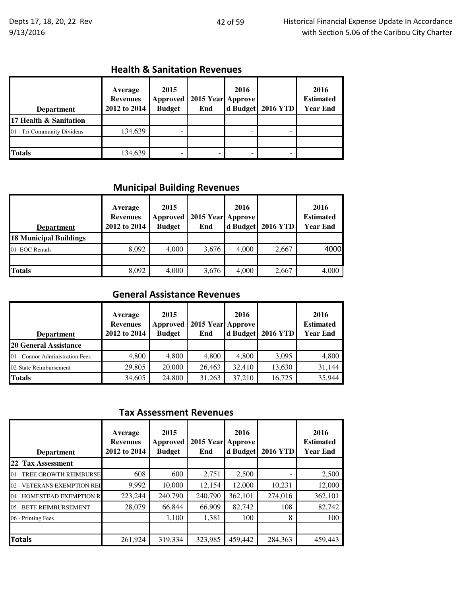## Health & Sanitation Revenues

| <b>Department</b>           | Average<br><b>Revenues</b><br>2012 to 2014 | 2015<br><b>Approved</b><br><b>Budget</b> | 2015 Year Approve<br>End | 2016<br>d Budget | <b>2016 YTD</b> | 2016<br><b>Estimated</b><br><b>Year End</b> |
|-----------------------------|--------------------------------------------|------------------------------------------|--------------------------|------------------|-----------------|---------------------------------------------|
| 17 Health & Sanitation      |                                            |                                          |                          |                  |                 |                                             |
| 01 - Tri-Community Dividens | 134,639                                    |                                          |                          |                  |                 |                                             |
|                             |                                            |                                          |                          |                  |                 |                                             |
| <b>Totals</b>               | 134,639                                    |                                          |                          |                  |                 |                                             |

# Municipal Building Revenues

| <b>Department</b>             | Average<br><b>Revenues</b><br>2012 to 2014 | 2015<br><b>Approved</b><br><b>Budget</b> | 2015 Year Approve<br>End | 2016<br>d Budget | <b>2016 YTD</b> | 2016<br><b>Estimated</b><br><b>Year End</b> |
|-------------------------------|--------------------------------------------|------------------------------------------|--------------------------|------------------|-----------------|---------------------------------------------|
| <b>18 Municipal Buildings</b> |                                            |                                          |                          |                  |                 |                                             |
| <b>EOC</b> Rentals<br>01      | 8,092                                      | 4,000                                    | 3,676                    | 4,000            | 2,667           | 4000                                        |
|                               |                                            |                                          |                          |                  |                 |                                             |
| <b>Totals</b>                 | 8,092                                      | 4,000                                    | 3,676                    | 4,000            | 2,667           | 4,000                                       |

## General Assistance Revenues

| <b>Department</b>               | Average<br><b>Revenues</b><br>2012 to 2014 | 2015<br>Approved<br><b>Budget</b> | 2015 Year Approve<br>End | 2016<br>d Budget | <b>2016 YTD</b> | 2016<br><b>Estimated</b><br><b>Year End</b> |
|---------------------------------|--------------------------------------------|-----------------------------------|--------------------------|------------------|-----------------|---------------------------------------------|
| <b>20 General Assistance</b>    |                                            |                                   |                          |                  |                 |                                             |
| 01 - Connor Administration Fees | 4,800                                      | 4.800                             | 4,800                    | 4,800            | 3,095           | 4,800                                       |
| 02-State Reimbursement          | 29,805                                     | 20,000                            | 26,463                   | 32,410           | 13,630          | 31,144                                      |
| <b>Totals</b>                   | 34,605                                     | 24,800                            | 31,263                   | 37,210           | 16,725          | 35,944                                      |

#### Tax Assessment Revenues

| <b>Department</b>           | Average<br><b>Revenues</b><br>2012 to 2014 | 2015<br>Approved<br><b>Budget</b> | <b>2015 Year</b><br>End | 2016<br>Approve<br>d Budget | <b>2016 YTD</b> | 2016<br><b>Estimated</b><br><b>Year End</b> |
|-----------------------------|--------------------------------------------|-----------------------------------|-------------------------|-----------------------------|-----------------|---------------------------------------------|
| 22 Tax Assessment           |                                            |                                   |                         |                             |                 |                                             |
| 01 - TREE GROWTH REIMBURSE  | 608                                        | 600                               | 2,751                   | 2,500                       |                 | 2,500                                       |
| 02 - VETERANS EXEMPTION REI | 9,992                                      | 10,000                            | 12,154                  | 12,000                      | 10,231          | 12,000                                      |
| 04 - HOMESTEAD EXEMPTION R  | 223,244                                    | 240,790                           | 240,790                 | 362,101                     | 274,016         | 362,101                                     |
| 05 - BETE REIMBURSEMENT     | 28,079                                     | 66,844                            | 66,909                  | 82,742                      | 108             | 82,742                                      |
| 06 - Printing Fees          |                                            | 1.100                             | 1,381                   | 100                         | 8               | 100                                         |
|                             |                                            |                                   |                         |                             |                 |                                             |
| <b>Totals</b>               | 261,924                                    | 319,334                           | 323,985                 | 459,442                     | 284,363         | 459,443                                     |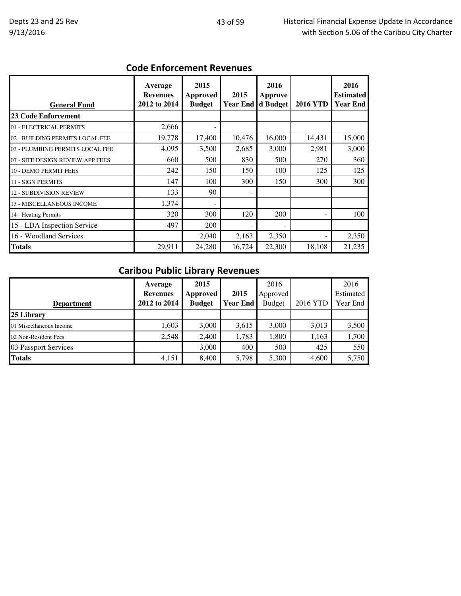## Code Enforcement Revenues

| <b>General Fund</b>              | Average<br><b>Revenues</b><br>2012 to 2014 | 2015<br>Approved<br><b>Budget</b> | 2015<br><b>Year End</b>      | 2016<br><b>Approve</b><br>d Budget | <b>2016 YTD</b> | 2016<br><b>Estimated</b><br><b>Year End</b> |
|----------------------------------|--------------------------------------------|-----------------------------------|------------------------------|------------------------------------|-----------------|---------------------------------------------|
| <b>23 Code Enforcement</b>       |                                            |                                   |                              |                                    |                 |                                             |
| 01 - ELECTRICAL PERMITS          | 2,666                                      |                                   |                              |                                    |                 |                                             |
| 02 - BUILDING PERMITS LOCAL FEE  | 19,778                                     | 17,400                            | 10,476                       | 16,000                             | 14,431          | 15,000                                      |
| 03 - PLUMBING PERMITS LOCAL FEE  | 4,095                                      | 3,500                             | 2,685                        | 3,000                              | 2,981           | 3,000                                       |
| 07 - SITE DESIGN REVIEW APP FEES | 660                                        | 500                               | 830                          | 500                                | 270             | 360                                         |
| 10 - DEMO PERMIT FEES            | 242                                        | 150                               | 150                          | 100                                | 125             | 125                                         |
| <b>11 - SIGN PERMITS</b>         | 147                                        | 100                               | 300                          | 150                                | 300             | 300                                         |
| <b>12 - SUBDIVISION REVIEW</b>   | 133                                        | 90                                | $\qquad \qquad \blacksquare$ |                                    |                 |                                             |
| 13 - MISCELLANEOUS INCOME        | 1,374                                      |                                   |                              |                                    |                 |                                             |
| 14 - Heating Permits             | 320                                        | 300                               | 120                          | 200                                |                 | 100                                         |
| 15 - LDA Inspection Service      | 497                                        | 200                               |                              |                                    |                 |                                             |
| 16 - Woodland Services           |                                            | 2,040                             | 2,163                        | 2,350                              |                 | 2,350                                       |
| <b>Totals</b>                    | 29,911                                     | 24,280                            | 16,724                       | 22,300                             | 18,108          | 21,235                                      |

# Caribou Public Library Revenues

| <b>Department</b>       | Average<br><b>Revenues</b><br>2012 to 2014 | 2015<br>Approved<br><b>Budget</b> | 2015<br><b>Year End</b> | 2016<br>Approved<br><b>Budget</b> | 2016 YTD | 2016<br>Estimated<br>Year End |
|-------------------------|--------------------------------------------|-----------------------------------|-------------------------|-----------------------------------|----------|-------------------------------|
| 25 Library              |                                            |                                   |                         |                                   |          |                               |
| 01 Miscellaneous Income | 1,603                                      | 3,000                             | 3,615                   | 3,000                             | 3,013    | 3,500                         |
| 02 Non-Resident Fees    | 2,548                                      | 2,400                             | 1,783                   | 1,800                             | 1,163    | 1,700                         |
| 03 Passport Services    |                                            | 3,000                             | 400                     | 500                               | 425      | 550                           |
| <b>Totals</b>           | 4,151                                      | 8.400                             | 5,798                   | 5,300                             | 4,600    | 5,750                         |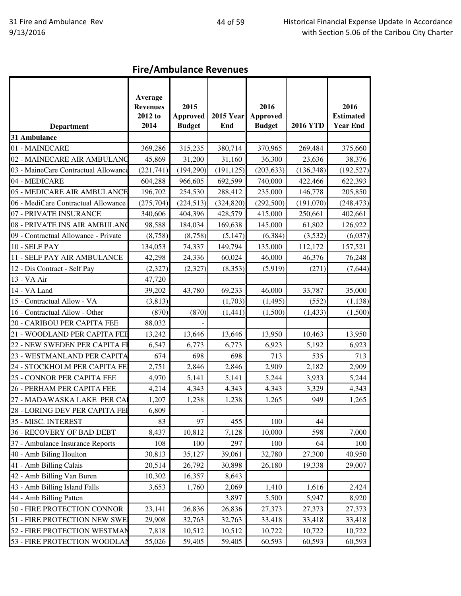Fire/Ambulance Revenues

|                                      | Average         |                 |                  |                 |                 |                  |
|--------------------------------------|-----------------|-----------------|------------------|-----------------|-----------------|------------------|
|                                      | <b>Revenues</b> | 2015            |                  | 2016            |                 | 2016             |
|                                      | 2012 to         | <b>Approved</b> | <b>2015 Year</b> | <b>Approved</b> |                 | <b>Estimated</b> |
| <b>Department</b>                    | 2014            | <b>Budget</b>   | End              | <b>Budget</b>   | <b>2016 YTD</b> | <b>Year End</b>  |
| 31 Ambulance                         |                 |                 |                  |                 |                 |                  |
| 01 - MAINECARE                       | 369,286         | 315,235         | 380,714          | 370,965         | 269,484         | 375,660          |
| 02 - MAINECARE AIR AMBULANC          | 45,869          | 31,200          | 31,160           | 36,300          | 23,636          | 38,376           |
| 03 - MaineCare Contractual Allowance | (221,741)       | (194,290)       | (191, 125)       | (203, 633)      | (136, 348)      | (192, 527)       |
| 04 - MEDICARE                        | 604,288         | 966,605         | 692,599          | 740,000         | 422,466         | 622,393          |
| 05 - MEDICARE AIR AMBULANCE          | 196,702         | 254,530         | 288,412          | 235,000         | 146,778         | 205,850          |
| 06 - MediCare Contractual Allowance  | (275, 704)      | (224, 513)      | (324, 820)       | (292, 500)      | (191,070)       | (248, 473)       |
| 07 - PRIVATE INSURANCE               | 340,606         | 404,396         | 428,579          | 415,000         | 250,661         | 402,661          |
| 08 - PRIVATE INS AIR AMBULANO        | 98,588          | 184,034         | 169,638          | 145,000         | 61,802          | 126,922          |
| 09 - Contractual Allowance - Private | (8,758)         | (8,758)         | (5, 147)         | (6, 384)        | (3,532)         | (6,037)          |
| 10 - SELF PAY                        | 134,053         | 74,337          | 149,794          | 135,000         | 112,172         | 157,521          |
| 11 - SELF PAY AIR AMBULANCE          | 42,298          | 24,336          | 60,024           | 46,000          | 46,376          | 76,248           |
| 12 - Dis Contract - Self Pay         | (2,327)         | (2,327)         | (8,353)          | (5,919)         | (271)           | (7,644)          |
| 13 - VA Air                          | 47,720          |                 |                  |                 |                 |                  |
| 14 - VA Land                         | 39,202          | 43,780          | 69,233           | 46,000          | 33,787          | 35,000           |
| 15 - Contractual Allow - VA          | (3,813)         |                 | (1,703)          | (1, 495)        | (552)           | (1,138)          |
| 16 - Contractual Allow - Other       | (870)           | (870)           | (1,441)          | (1,500)         | (1, 433)        | (1,500)          |
| 20 - CARIBOU PER CAPITA FEE          | 88,032          |                 |                  |                 |                 |                  |
| 21 - WOODLAND PER CAPITA FEE         | 13,242          | 13,646          | 13,646           | 13,950          | 10,463          | 13,950           |
| 22 - NEW SWEDEN PER CAPITA FI        | 6,547           | 6,773           | 6,773            | 6,923           | 5,192           | 6,923            |
| 23 - WESTMANLAND PER CAPITA          | 674             | 698             | 698              | 713             | 535             | 713              |
| 24 - STOCKHOLM PER CAPITA FE         | 2,751           | 2,846           | 2,846            | 2,909           | 2,182           | 2,909            |
| 25 - CONNOR PER CAPITA FEE           | 4,970           | 5,141           | 5,141            | 5,244           | 3,933           | 5,244            |
| 26 - PERHAM PER CAPITA FEE           | 4,214           | 4,343           | 4,343            | 4,343           | 3,329           | 4,343            |
| 27 - MADAWASKA LAKE PER CAI          | 1,207           | 1,238           | 1,238            | 1,265           | 949             | 1,265            |
| 28 - LORING DEV PER CAPITA FEI       | 6,809           |                 |                  |                 |                 |                  |
| 35 - MISC. INTEREST                  | 83              | 97              | 455              | 100             | 44              |                  |
| 36 - RECOVERY OF BAD DEBT            | 8,437           | 10,812          | 7,128            | 10,000          | 598             | 7,000            |
| 37 - Ambulance Insurance Reports     | 108             | 100             | 297              | 100             | 64              | 100              |
| 40 - Amb Biling Houlton              | 30,813          | 35,127          | 39,061           | 32,780          | 27,300          | 40,950           |
| 41 - Amb Billing Calais              | 20,514          | 26,792          | 30,898           | 26,180          | 19,338          | 29,007           |
| 42 - Amb Billing Van Buren           | 10,302          | 16,357          | 8,643            |                 |                 |                  |
| 43 - Amb Billing Island Falls        | 3,653           | 1,760           | 2,069            | 1,410           | 1,616           | 2,424            |
| 44 - Amb Billing Patten              |                 |                 | 3,897            | 5,500           | 5,947           | 8,920            |
| 50 - FIRE PROTECTION CONNOR          | 23,141          | 26,836          | 26,836           | 27,373          | 27,373          | 27,373           |
| 51 - FIRE PROTECTION NEW SWEI        | 29,908          | 32,763          | 32,763           | 33,418          | 33,418          | 33,418           |
| 52 - FIRE PROTECTION WESTMAN         | 7,818           | 10,512          | 10,512           | 10,722          | 10,722          | 10,722           |
| 53 - FIRE PROTECTION WOODLAN         | 55,026          | 59,405          | 59,405           | 60,593          | 60,593          | 60,593           |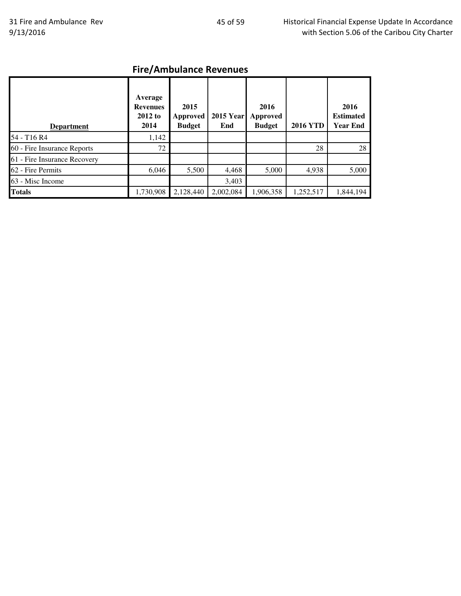# Fire/Ambulance Revenues

| <b>Department</b>            | Average<br><b>Revenues</b><br>2012 to<br>2014 | 2015<br><b>Approved</b><br><b>Budget</b> | <b>2015 Year</b><br>End | 2016<br><b>Approved</b><br><b>Budget</b> | <b>2016 YTD</b> | 2016<br><b>Estimated</b><br><b>Year End</b> |
|------------------------------|-----------------------------------------------|------------------------------------------|-------------------------|------------------------------------------|-----------------|---------------------------------------------|
| 54 - T16 R4                  | 1,142                                         |                                          |                         |                                          |                 |                                             |
| 60 - Fire Insurance Reports  | 72                                            |                                          |                         |                                          | 28              | 28                                          |
| 61 - Fire Insurance Recovery |                                               |                                          |                         |                                          |                 |                                             |
| 62 - Fire Permits            | 6,046                                         | 5,500                                    | 4,468                   | 5,000                                    | 4,938           | 5,000                                       |
| 63 - Misc Income             |                                               |                                          | 3,403                   |                                          |                 |                                             |
| <b>Totals</b>                | 1,730,908                                     | 2,128,440                                | 2,002,084               | 1,906,358                                | 1,252,517       | 1,844,194                                   |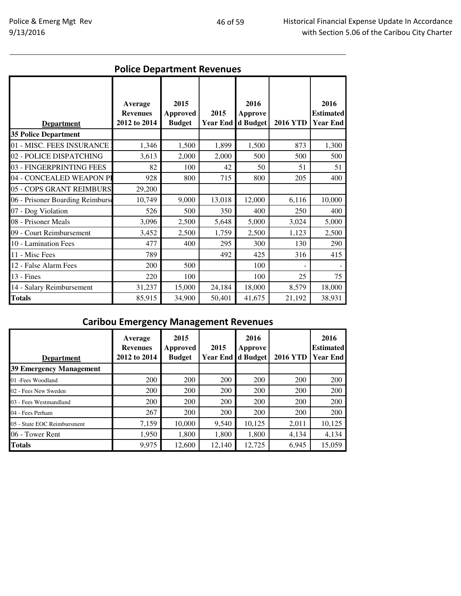|                                  |                                            |                                          |                         | <b>Police Department Revenues</b> |                 |                                             |  |  |  |  |  |  |
|----------------------------------|--------------------------------------------|------------------------------------------|-------------------------|-----------------------------------|-----------------|---------------------------------------------|--|--|--|--|--|--|
| <b>Department</b>                | Average<br><b>Revenues</b><br>2012 to 2014 | 2015<br><b>Approved</b><br><b>Budget</b> | 2015<br><b>Year End</b> | 2016<br>Approve<br>d Budget       | <b>2016 YTD</b> | 2016<br><b>Estimated</b><br><b>Year End</b> |  |  |  |  |  |  |
| <b>35 Police Department</b>      |                                            |                                          |                         |                                   |                 |                                             |  |  |  |  |  |  |
| 01 - MISC. FEES INSURANCE        | 1,346                                      | 1,500                                    | 1,899                   | 1,500                             | 873             | 1,300                                       |  |  |  |  |  |  |
| 02 - POLICE DISPATCHING          | 3,613                                      | 2,000                                    | 2,000                   | 500                               | 500             | 500                                         |  |  |  |  |  |  |
| 03 - FINGERPRINTING FEES         | 82                                         | 100                                      | 42                      | 50                                | 51              | 51                                          |  |  |  |  |  |  |
| 04 - CONCEALED WEAPON PI         | 928                                        | 800                                      | 715                     | 800                               | 205             | 400                                         |  |  |  |  |  |  |
| 05 - COPS GRANT REIMBURS         | 29,200                                     |                                          |                         |                                   |                 |                                             |  |  |  |  |  |  |
| 06 - Prisoner Boarding Reimburse | 10,749                                     | 9,000                                    | 13,018                  | 12,000                            | 6,116           | 10,000                                      |  |  |  |  |  |  |
| 07 - Dog Violation               | 526                                        | 500                                      | 350                     | 400                               | 250             | 400                                         |  |  |  |  |  |  |
| 08 - Prisoner Meals              | 3,096                                      | 2,500                                    | 5,648                   | 5,000                             | 3,024           | 5,000                                       |  |  |  |  |  |  |
| 09 - Court Reimbursement         | 3,452                                      | 2,500                                    | 1,759                   | 2,500                             | 1,123           | 2,500                                       |  |  |  |  |  |  |
| 10 - Lamination Fees             | 477                                        | 400                                      | 295                     | 300                               | 130             | 290                                         |  |  |  |  |  |  |
| 11 - Misc Fees                   | 789                                        |                                          | 492                     | 425                               | 316             | 415                                         |  |  |  |  |  |  |
| 12 - False Alarm Fees            | 200                                        | 500                                      |                         | 100                               |                 |                                             |  |  |  |  |  |  |
| $13$ - Fines                     | 220                                        | 100                                      |                         | 100                               | 25              | 75                                          |  |  |  |  |  |  |
| 14 - Salary Reimbursement        | 31,237                                     | 15,000                                   | 24,184                  | 18,000                            | 8,579           | 18,000                                      |  |  |  |  |  |  |
| <b>Totals</b>                    | 85,915                                     | 34,900                                   | 50,401                  | 41,675                            | 21,192          | 38,931                                      |  |  |  |  |  |  |

# Caribou Emergency Management Revenues

| <b>Department</b>              | Average<br><b>Revenues</b><br>2012 to 2014 | 2015<br>Approved<br><b>Budget</b> | 2015<br>Year End d Budget | 2016<br>Approve | <b>2016 YTD</b> | 2016<br><b>Estimated</b><br><b>Year End</b> |
|--------------------------------|--------------------------------------------|-----------------------------------|---------------------------|-----------------|-----------------|---------------------------------------------|
| <b>39 Emergency Management</b> |                                            |                                   |                           |                 |                 |                                             |
| 01 - Fees Woodland             | 200                                        | 200                               | 200                       | 200             | 200             | 200                                         |
| 02 - Fees New Sweden           | 200                                        | 200                               | 200                       | 200             | 200             | 200                                         |
| 03 - Fees Westmandland         | 200                                        | 200                               | 200                       | 200             | 200             | 200                                         |
| 04 - Fees Perham               | 267                                        | 200                               | 200                       | 200             | 200             | 200                                         |
| 05 - State EOC Reimbursment    | 7,159                                      | 10,000                            | 9,540                     | 10.125          | 2,011           | 10,125                                      |
| 06 - Tower Rent                | 1,950                                      | 1,800                             | 1,800                     | 1,800           | 4,134           | 4,134                                       |
| <b>Totals</b>                  | 9,975                                      | 12,600                            | 12,140                    | 12,725          | 6,945           | 15,059                                      |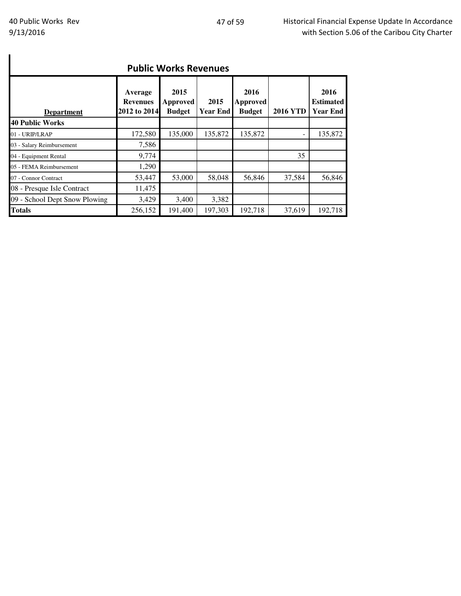| <b>Public Works Revenues</b>  |                                            |                                          |                         |                                          |                 |                                             |  |  |  |
|-------------------------------|--------------------------------------------|------------------------------------------|-------------------------|------------------------------------------|-----------------|---------------------------------------------|--|--|--|
| <b>Department</b>             | Average<br><b>Revenues</b><br>2012 to 2014 | 2015<br><b>Approved</b><br><b>Budget</b> | 2015<br><b>Year End</b> | 2016<br><b>Approved</b><br><b>Budget</b> | <b>2016 YTD</b> | 2016<br><b>Estimated</b><br><b>Year End</b> |  |  |  |
| <b>40 Public Works</b>        |                                            |                                          |                         |                                          |                 |                                             |  |  |  |
| 01 - URIP/LRAP                | 172,580                                    | 135,000                                  | 135,872                 | 135,872                                  |                 | 135,872                                     |  |  |  |
| 03 - Salary Reimbursement     | 7,586                                      |                                          |                         |                                          |                 |                                             |  |  |  |
| 04 - Equipment Rental         | 9,774                                      |                                          |                         |                                          | 35              |                                             |  |  |  |
| 05 - FEMA Reimbursement       | 1,290                                      |                                          |                         |                                          |                 |                                             |  |  |  |
| 07 - Connor Contract          | 53,447                                     | 53,000                                   | 58,048                  | 56,846                                   | 37,584          | 56,846                                      |  |  |  |
| 08 - Presque Isle Contract    | 11,475                                     |                                          |                         |                                          |                 |                                             |  |  |  |
| 09 - School Dept Snow Plowing | 3,429                                      | 3,400                                    | 3,382                   |                                          |                 |                                             |  |  |  |
| <b>Totals</b>                 | 256,152                                    | 191,400                                  | 197,303                 | 192,718                                  | 37,619          | 192,718                                     |  |  |  |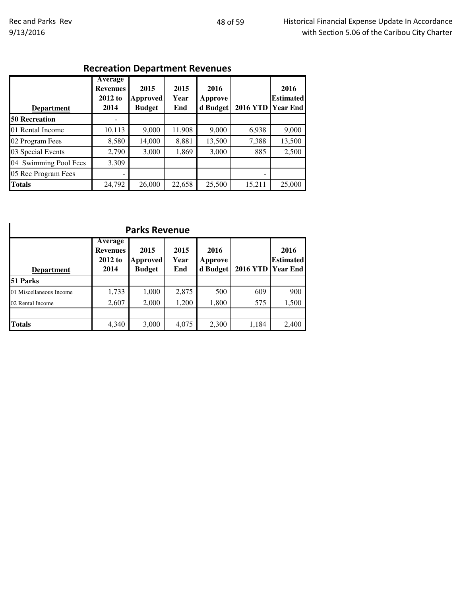# Recreation Department Revenues

| <b>Department</b>     | <b>Average</b><br><b>Revenues</b><br>2012 to<br>2014 | 2015<br><b>Approved</b><br><b>Budget</b> | 2015<br>Year<br>End | 2016<br>Approve<br>d Budget | <b>2016 YTD</b> | 2016<br><b>Estimated</b><br><b>Year End</b> |
|-----------------------|------------------------------------------------------|------------------------------------------|---------------------|-----------------------------|-----------------|---------------------------------------------|
| <b>50 Recreation</b>  |                                                      |                                          |                     |                             |                 |                                             |
| 01 Rental Income      | 10,113                                               | 9,000                                    | 11,908              | 9,000                       | 6,938           | 9,000                                       |
| 02 Program Fees       | 8,580                                                | 14,000                                   | 8,881               | 13,500                      | 7,388           | 13,500                                      |
| 03 Special Events     | 2,790                                                | 3,000                                    | 1,869               | 3,000                       | 885             | 2,500                                       |
| 04 Swimming Pool Fees | 3,309                                                |                                          |                     |                             |                 |                                             |
| 05 Rec Program Fees   |                                                      |                                          |                     |                             |                 |                                             |
| <b>Totals</b>         | 24,792                                               | 26,000                                   | 22,658              | 25,500                      | 15,211          | 25,000                                      |

| <b>Parks Revenue</b>    |                                               |                                   |                     |                             |                   |                          |  |  |  |
|-------------------------|-----------------------------------------------|-----------------------------------|---------------------|-----------------------------|-------------------|--------------------------|--|--|--|
| <b>Department</b>       | Average<br><b>Revenues</b><br>2012 to<br>2014 | 2015<br>Approved<br><b>Budget</b> | 2015<br>Year<br>End | 2016<br>Approve<br>d Budget | 2016 YTD Year End | 2016<br><b>Estimated</b> |  |  |  |
| 51 Parks                |                                               |                                   |                     |                             |                   |                          |  |  |  |
| 01 Miscellaneous Income | 1,733                                         | 1,000                             | 2,875               | 500                         | 609               | 900                      |  |  |  |
| 02 Rental Income        | 2,607                                         | 2,000                             | 1,200               | 1,800                       | 575               | 1,500                    |  |  |  |
|                         |                                               |                                   |                     |                             |                   |                          |  |  |  |
| <b>Totals</b>           | 4,340                                         | 3,000                             | 4,075               | 2,300                       | 1,184             | 2,400                    |  |  |  |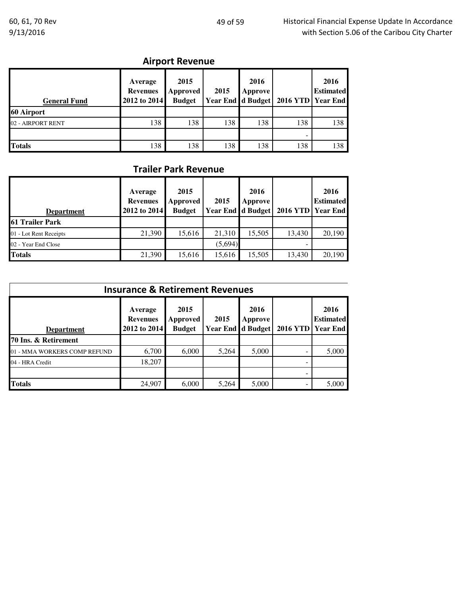# Airport Revenue

| <b>General Fund</b> | Average<br><b>Revenues</b><br>2012 to 2014 | 2015<br>Approved<br><b>Budget</b> | 2015 | 2016<br>Approve | Year End d Budget   2016 YTD   Year End | 2016<br><b>Estimated</b> |
|---------------------|--------------------------------------------|-----------------------------------|------|-----------------|-----------------------------------------|--------------------------|
| 60 Airport          |                                            |                                   |      |                 |                                         |                          |
| 02 - AIRPORT RENT   | 138                                        | 138                               | 138  | 138             | 138                                     | 138                      |
|                     |                                            |                                   |      |                 |                                         |                          |
| <b>Totals</b>       | 138                                        | 138                               | 138  | 138             | 138                                     | 138                      |

## Trailer Park Revenue

| <b>Department</b>      | Average<br><b>Revenues</b><br>2012 to 2014 | 2015<br>Approved<br><b>Budget</b> | 2015    | 2016<br>Approve<br><b>Year End d Budget</b> | 2016 YTD Year End | 2016<br><b>Estimated</b> |
|------------------------|--------------------------------------------|-----------------------------------|---------|---------------------------------------------|-------------------|--------------------------|
| <b>61 Trailer Park</b> |                                            |                                   |         |                                             |                   |                          |
| 01 - Lot Rent Receipts | 21,390                                     | 15,616                            | 21,310  | 15,505                                      | 13.430            | 20,190                   |
| 02 - Year End Close    |                                            |                                   | (5,694) |                                             |                   |                          |
| <b>Totals</b>          | 21,390                                     | 15,616                            | 15,616  | 15,505                                      | 13,430            | 20,190                   |

| <b>Insurance &amp; Retirement Revenues</b> |                                            |                                   |                                  |                 |  |                                               |  |  |
|--------------------------------------------|--------------------------------------------|-----------------------------------|----------------------------------|-----------------|--|-----------------------------------------------|--|--|
| <b>Department</b>                          | Average<br><b>Revenues</b><br>2012 to 2014 | 2015<br>Approved<br><b>Budget</b> | 2015<br><b>Year End d Budget</b> | 2016<br>Approve |  | 2016<br><b>Estimated</b><br>2016 YTD Year End |  |  |
| 70 Ins. & Retirement                       |                                            |                                   |                                  |                 |  |                                               |  |  |
| 01 - MMA WORKERS COMP REFUND               | 6,700                                      | 6,000                             | 5,264                            | 5,000           |  | 5,000                                         |  |  |
| 04 - HRA Credit                            | 18,207                                     |                                   |                                  |                 |  |                                               |  |  |
|                                            |                                            |                                   |                                  |                 |  |                                               |  |  |
| <b>Totals</b>                              | 24,907                                     | 6,000                             | 5,264                            | 5,000           |  | 5,000                                         |  |  |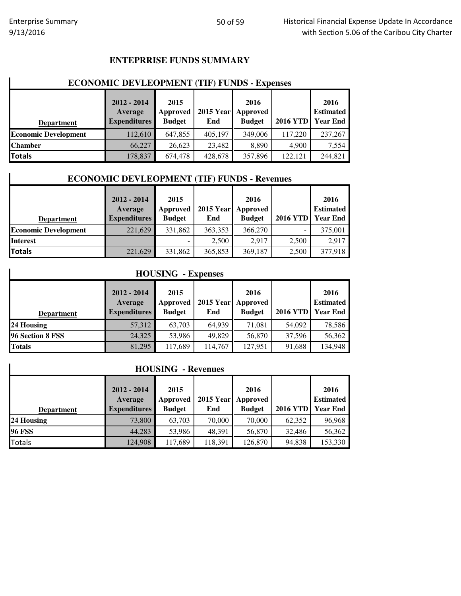#### **ENTEPRRISE FUNDS SUMMARY**

# **ECONOMIC DEVLEOPMENT (TIF) FUNDS - Expenses**

| <b>Department</b>           | $2012 - 2014$<br>Average<br><b>Expenditures</b> | 2015<br>Approved<br><b>Budget</b> | End     | 2016<br>2015 Year Approved<br><b>Budget</b> | <b>2016 YTD</b> | 2016<br><b>Estimated</b><br><b>Year End</b> |
|-----------------------------|-------------------------------------------------|-----------------------------------|---------|---------------------------------------------|-----------------|---------------------------------------------|
| <b>Economic Development</b> | 112,610                                         | 647,855                           | 405,197 | 349,006                                     | 117,220         | 237,267                                     |
| <b>Chamber</b>              | 66,227                                          | 26.623                            | 23,482  | 8.890                                       | 4.900           | 7,554                                       |
| Totals                      | 178,837                                         | 674,478                           | 428,678 | 357,896                                     | 122.121         | 244,821                                     |

#### **ECONOMIC DEVLEOPMENT (TIF) FUNDS - Revenues**

|                             | $2012 - 2014$       | 2015          |         | 2016               |                 | 2016             |
|-----------------------------|---------------------|---------------|---------|--------------------|-----------------|------------------|
|                             | Average             | Approved      |         | 2015 Year Approved |                 | <b>Estimated</b> |
| <b>Department</b>           | <b>Expenditures</b> | <b>Budget</b> | End     | <b>Budget</b>      | <b>2016 YTD</b> | <b>Year End</b>  |
| <b>Economic Development</b> | 221,629             | 331,862       | 363,353 | 366,270            |                 | 375,001          |
| <b>Interest</b>             |                     |               | 2,500   | 2.917              | 2,500           | 2,917            |
| Totals                      | 221,629             | 331,862       | 365,853 | 369,187            | 2,500           | 377,918          |

#### **HOUSING - Expenses**

| <b>Department</b> | $2012 - 2014$<br>Average<br><b>Expenditures</b> | 2015<br>Approved<br><b>Budget</b> | End     | 2016<br>2015 Year Approved<br><b>Budget</b> | <b>2016 YTD</b> | 2016<br><b>Estimated</b><br><b>Year End</b> |
|-------------------|-------------------------------------------------|-----------------------------------|---------|---------------------------------------------|-----------------|---------------------------------------------|
| 24 Housing        | 57,312                                          | 63.703                            | 64,939  | 71.081                                      | 54,092          | 78,586                                      |
| 96 Section 8 FSS  | 24,325                                          | 53,986                            | 49,829  | 56,870                                      | 37,596          | 56,362                                      |
| <b>Totals</b>     | 81,295                                          | 117,689                           | 114,767 | 127,951                                     | 91,688          | 134,948                                     |

#### **HOUSING - Revenues**

|                   | $2012 - 2014$<br>Average | 2015<br>Approved | 2015 Year Approved | 2016          |                 | 2016<br><b>Estimated</b> |
|-------------------|--------------------------|------------------|--------------------|---------------|-----------------|--------------------------|
| <b>Department</b> | <b>Expenditures</b>      | <b>Budget</b>    | End                | <b>Budget</b> | <b>2016 YTD</b> | <b>Year End</b>          |
| 24 Housing        | 73,800                   | 63,703           | 70,000             | 70,000        | 62.352          | 96,968                   |
| <b>96 FSS</b>     | 44,283                   | 53,986           | 48,391             | 56,870        | 32,486          | 56,362                   |
| <b>Totals</b>     | 124,908                  | 117,689          | 118,391            | 126,870       | 94,838          | 153,330                  |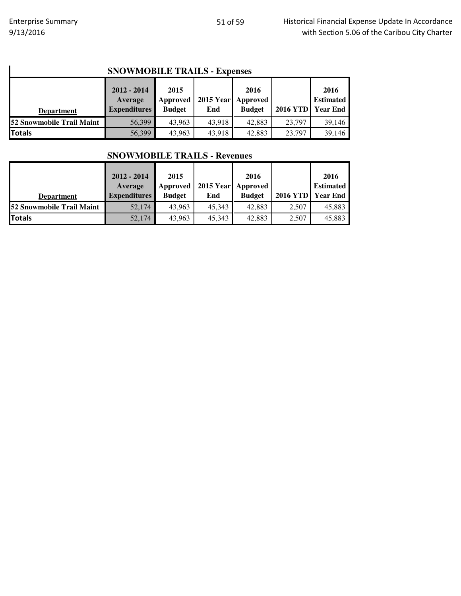#### **SNOWMOBILE TRAILS - Expenses**

| <b>SNOWMOBILE TRAILS - Expenses</b>                                                                                                                                                                                                      |        |        |        |        |        |        |  |  |
|------------------------------------------------------------------------------------------------------------------------------------------------------------------------------------------------------------------------------------------|--------|--------|--------|--------|--------|--------|--|--|
| $2012 - 2014$<br>2016<br>2016<br>2015<br>2015 Year Approved<br><b>Estimated</b><br><b>Approved</b><br>Average<br><b>2016 YTD</b><br><b>Year End</b><br><b>Expenditures</b><br><b>Budget</b><br><b>Budget</b><br>End<br><b>Department</b> |        |        |        |        |        |        |  |  |
| <b>52 Snowmobile Trail Maint</b>                                                                                                                                                                                                         | 56,399 | 43,963 | 43,918 | 42,883 | 23,797 | 39,146 |  |  |
| <b>Totals</b>                                                                                                                                                                                                                            | 56,399 | 43,963 | 43,918 | 42,883 | 23,797 | 39,146 |  |  |

#### **SNOWMOBILE TRAILS - Revenues**

|                                  | $2012 - 2014$<br>Average | 2015<br>Approved |        | 2016<br>2015 Year Approved |                 | 2016<br><b>Estimated</b> |
|----------------------------------|--------------------------|------------------|--------|----------------------------|-----------------|--------------------------|
| <b>Department</b>                | <b>Expenditures</b>      | <b>Budget</b>    | End    | <b>Budget</b>              | <b>2016 YTD</b> | <b>Year End</b>          |
| <b>52 Snowmobile Trail Maint</b> | 52,174                   | 43.963           | 45.343 | 42,883                     | 2,507           | 45,883                   |
| <b>Totals</b>                    | 52,174                   | 43.963           | 45.343 | 42,883                     | 2.507           | 45,883                   |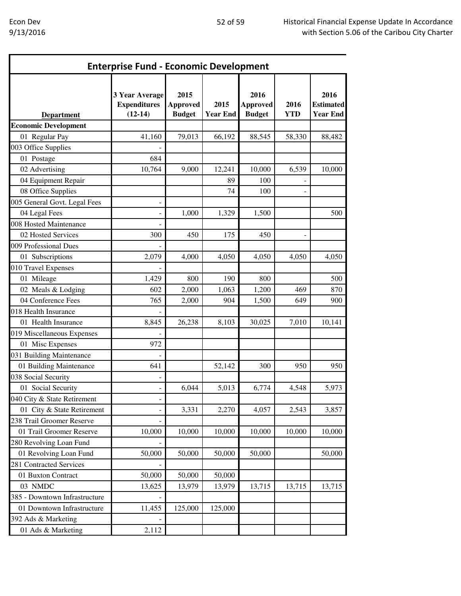| <b>Enterprise Fund - Economic Development</b> |                                                           |                                          |                         |                                          |                    |                                             |  |  |  |
|-----------------------------------------------|-----------------------------------------------------------|------------------------------------------|-------------------------|------------------------------------------|--------------------|---------------------------------------------|--|--|--|
| <b>Department</b>                             | <b>3 Year Average</b><br><b>Expenditures</b><br>$(12-14)$ | 2015<br><b>Approved</b><br><b>Budget</b> | 2015<br><b>Year End</b> | 2016<br><b>Approved</b><br><b>Budget</b> | 2016<br><b>YTD</b> | 2016<br><b>Estimated</b><br><b>Year End</b> |  |  |  |
| <b>Economic Development</b>                   |                                                           |                                          |                         |                                          |                    |                                             |  |  |  |
| 01 Regular Pay                                | 41,160                                                    | 79,013                                   | 66,192                  | 88,545                                   | 58,330             | 88,482                                      |  |  |  |
| 003 Office Supplies                           |                                                           |                                          |                         |                                          |                    |                                             |  |  |  |
| 01 Postage                                    | 684                                                       |                                          |                         |                                          |                    |                                             |  |  |  |
| 02 Advertising                                | 10,764                                                    | 9,000                                    | 12,241                  | 10,000                                   | 6,539              | 10,000                                      |  |  |  |
| 04 Equipment Repair                           |                                                           |                                          | 89                      | 100                                      |                    |                                             |  |  |  |
| 08 Office Supplies                            |                                                           |                                          | 74                      | 100                                      |                    |                                             |  |  |  |
| 005 General Govt. Legal Fees                  |                                                           |                                          |                         |                                          |                    |                                             |  |  |  |
| 04 Legal Fees                                 |                                                           | 1,000                                    | 1,329                   | 1,500                                    |                    | 500                                         |  |  |  |
| 008 Hosted Maintenance                        |                                                           |                                          |                         |                                          |                    |                                             |  |  |  |
| 02 Hosted Services                            | 300                                                       | 450                                      | 175                     | 450                                      |                    |                                             |  |  |  |
| 009 Professional Dues                         |                                                           |                                          |                         |                                          |                    |                                             |  |  |  |
| 01 Subscriptions                              | 2,079                                                     | 4,000                                    | 4,050                   | 4,050                                    | 4,050              | 4,050                                       |  |  |  |
| 010 Travel Expenses                           |                                                           |                                          |                         |                                          |                    |                                             |  |  |  |
| 01 Mileage                                    | 1,429                                                     | 800                                      | 190                     | 800                                      |                    | 500                                         |  |  |  |
| 02 Meals & Lodging                            | 602                                                       | 2,000                                    | 1,063                   | 1,200                                    | 469                | 870                                         |  |  |  |
| 04 Conference Fees                            | 765                                                       | 2,000                                    | 904                     | 1,500                                    | 649                | 900                                         |  |  |  |
| 018 Health Insurance                          |                                                           |                                          |                         |                                          |                    |                                             |  |  |  |
| 01 Health Insurance                           | 8,845                                                     | 26,238                                   | 8,103                   | 30,025                                   | 7,010              | 10,141                                      |  |  |  |
| 019 Miscellaneous Expenses                    |                                                           |                                          |                         |                                          |                    |                                             |  |  |  |
| 01 Misc Expenses                              | 972                                                       |                                          |                         |                                          |                    |                                             |  |  |  |
| 031 Building Maintenance                      |                                                           |                                          |                         |                                          |                    |                                             |  |  |  |
| 01 Building Maintenance                       | 641                                                       |                                          | 52,142                  | 300                                      | 950                | 950                                         |  |  |  |
| 038 Social Security                           |                                                           |                                          |                         |                                          |                    |                                             |  |  |  |
| 01 Social Security                            |                                                           | 6,044                                    | 5,013                   | 6,774                                    | 4,548              | 5,973                                       |  |  |  |
| 040 City & State Retirement                   |                                                           |                                          |                         |                                          |                    |                                             |  |  |  |
| 01 City & State Retirement                    |                                                           | 3,331                                    | 2,270                   | 4,057                                    | 2,543              | 3,857                                       |  |  |  |
| 238 Trail Groomer Reserve                     |                                                           |                                          |                         |                                          |                    |                                             |  |  |  |
| 01 Trail Groomer Reserve                      | 10,000                                                    | 10,000                                   | 10,000                  | 10,000                                   | 10,000             | 10,000                                      |  |  |  |
| 280 Revolving Loan Fund                       |                                                           |                                          |                         |                                          |                    |                                             |  |  |  |
| 01 Revolving Loan Fund                        | 50,000                                                    | 50,000                                   | 50,000                  | 50,000                                   |                    | 50,000                                      |  |  |  |
| 281 Contracted Services                       |                                                           |                                          |                         |                                          |                    |                                             |  |  |  |
| 01 Buxton Contract                            | 50,000                                                    | 50,000                                   | 50,000                  |                                          |                    |                                             |  |  |  |
| 03 NMDC                                       | 13,625                                                    | 13,979                                   | 13,979                  | 13,715                                   | 13,715             | 13,715                                      |  |  |  |
| 385 - Downtown Infrastructure                 |                                                           |                                          |                         |                                          |                    |                                             |  |  |  |
| 01 Downtown Infrastructure                    | 11,455                                                    | 125,000                                  | 125,000                 |                                          |                    |                                             |  |  |  |
| 392 Ads & Marketing                           |                                                           |                                          |                         |                                          |                    |                                             |  |  |  |
| 01 Ads & Marketing                            | 2,112                                                     |                                          |                         |                                          |                    |                                             |  |  |  |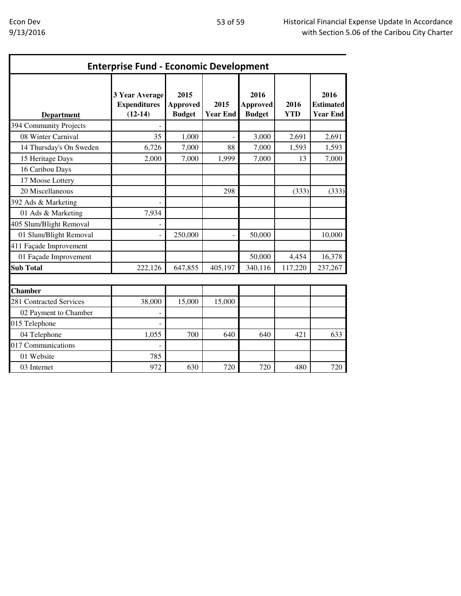| <b>Enterprise Fund - Economic Development</b> |                                                    |                                          |                         |                                          |                    |                                             |  |  |  |
|-----------------------------------------------|----------------------------------------------------|------------------------------------------|-------------------------|------------------------------------------|--------------------|---------------------------------------------|--|--|--|
| <b>Department</b>                             | 3 Year Average<br><b>Expenditures</b><br>$(12-14)$ | 2015<br><b>Approved</b><br><b>Budget</b> | 2015<br><b>Year End</b> | 2016<br><b>Approved</b><br><b>Budget</b> | 2016<br><b>YTD</b> | 2016<br><b>Estimated</b><br><b>Year End</b> |  |  |  |
| 394 Community Projects                        |                                                    |                                          |                         |                                          |                    |                                             |  |  |  |
| 08 Winter Carnival                            | 35                                                 | 1,000                                    |                         | 3,000                                    | 2,691              | 2,691                                       |  |  |  |
| 14 Thursday's On Sweden                       | 6,726                                              | 7,000                                    | 88                      | 7,000                                    | 1,593              | 1,593                                       |  |  |  |
| 15 Heritage Days                              | 2,000                                              | 7,000                                    | 1,999                   | 7,000                                    | 13                 | 7,000                                       |  |  |  |
| 16 Caribou Days                               |                                                    |                                          |                         |                                          |                    |                                             |  |  |  |
| 17 Moose Lottery                              |                                                    |                                          |                         |                                          |                    |                                             |  |  |  |
| 20 Miscellaneous                              |                                                    |                                          | 298                     |                                          | (333)              | (333)                                       |  |  |  |
| 392 Ads & Marketing                           |                                                    |                                          |                         |                                          |                    |                                             |  |  |  |
| 01 Ads & Marketing                            | 7,934                                              |                                          |                         |                                          |                    |                                             |  |  |  |
| 405 Slum/Blight Removal                       |                                                    |                                          |                         |                                          |                    |                                             |  |  |  |
| 01 Slum/Blight Removal                        |                                                    | 250,000                                  |                         | 50,000                                   |                    | 10,000                                      |  |  |  |
| 411 Façade Improvement                        |                                                    |                                          |                         |                                          |                    |                                             |  |  |  |
| 01 Façade Improvement                         |                                                    |                                          |                         | 50,000                                   | 4,454              | 16,378                                      |  |  |  |
| <b>Sub Total</b>                              | 222,126                                            | 647,855                                  | 405,197                 | 340,116                                  | 117,220            | 237,267                                     |  |  |  |
| <b>Chamber</b>                                |                                                    |                                          |                         |                                          |                    |                                             |  |  |  |
| 281 Contracted Services                       | 38,000                                             | 15,000                                   | 15,000                  |                                          |                    |                                             |  |  |  |
| 02 Payment to Chamber                         |                                                    |                                          |                         |                                          |                    |                                             |  |  |  |
| 015 Telephone                                 |                                                    |                                          |                         |                                          |                    |                                             |  |  |  |
| 04 Telephone                                  | 1,055                                              | 700                                      | 640                     | 640                                      | 421                | 633                                         |  |  |  |
| 017 Communications                            |                                                    |                                          |                         |                                          |                    |                                             |  |  |  |
| 01 Website                                    | 785                                                |                                          |                         |                                          |                    |                                             |  |  |  |
| 03 Internet                                   | 972                                                | 630                                      | 720                     | 720                                      | 480                | 720                                         |  |  |  |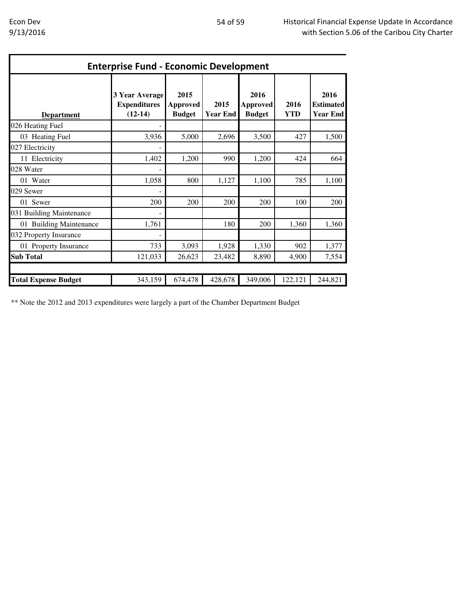| <b>Enterprise Fund - Economic Development</b> |                                                           |                                          |                         |                                          |                    |                                             |  |  |
|-----------------------------------------------|-----------------------------------------------------------|------------------------------------------|-------------------------|------------------------------------------|--------------------|---------------------------------------------|--|--|
| <b>Department</b>                             | <b>3 Year Average</b><br><b>Expenditures</b><br>$(12-14)$ | 2015<br><b>Approved</b><br><b>Budget</b> | 2015<br><b>Year End</b> | 2016<br><b>Approved</b><br><b>Budget</b> | 2016<br><b>YTD</b> | 2016<br><b>Estimated</b><br><b>Year End</b> |  |  |
| 026 Heating Fuel                              |                                                           |                                          |                         |                                          |                    |                                             |  |  |
| 03 Heating Fuel                               | 3,936                                                     | 5,000                                    | 2,696                   | 3,500                                    | 427                | 1,500                                       |  |  |
| 027 Electricity                               |                                                           |                                          |                         |                                          |                    |                                             |  |  |
| 11 Electricity                                | 1,402                                                     | 1,200                                    | 990                     | 1,200                                    | 424                | 664                                         |  |  |
| 028 Water                                     |                                                           |                                          |                         |                                          |                    |                                             |  |  |
| 01 Water                                      | 1,058                                                     | 800                                      | 1,127                   | 1,100                                    | 785                | 1,100                                       |  |  |
| 029 Sewer                                     |                                                           |                                          |                         |                                          |                    |                                             |  |  |
| 01 Sewer                                      | 200                                                       | 200                                      | 200                     | 200                                      | 100                | 200                                         |  |  |
| 031 Building Maintenance                      |                                                           |                                          |                         |                                          |                    |                                             |  |  |
| 01 Building Maintenance                       | 1,761                                                     |                                          | 180                     | 200                                      | 1,360              | 1,360                                       |  |  |
| 032 Property Insurance                        |                                                           |                                          |                         |                                          |                    |                                             |  |  |
| 01 Property Insurance                         | 733                                                       | 3,093                                    | 1,928                   | 1,330                                    | 902                | 1,377                                       |  |  |
| <b>Sub Total</b>                              | 121,033                                                   | 26,623                                   | 23,482                  | 8,890                                    | 4,900              | 7,554                                       |  |  |
| <b>Total Expense Budget</b>                   | 343,159                                                   | 674,478                                  | 428,678                 | 349,006                                  | 122,121            | 244,821                                     |  |  |

\*\* Note the 2012 and 2013 expenditures were largely a part of the Chamber Department Budget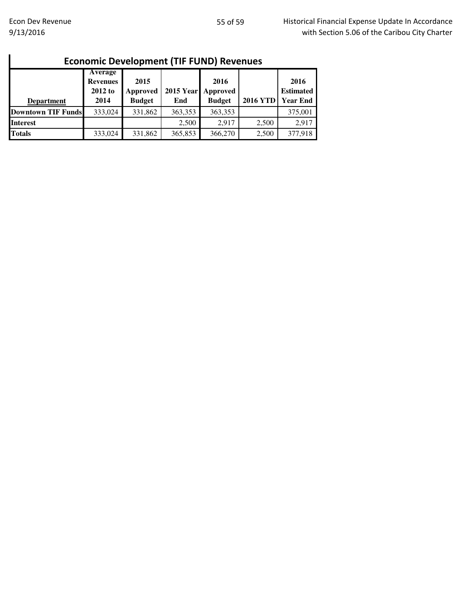| <b>Economic Development (TIF FUND) Revenues</b> |                                                        |                                   |         |                                             |                 |                                             |  |  |  |
|-------------------------------------------------|--------------------------------------------------------|-----------------------------------|---------|---------------------------------------------|-----------------|---------------------------------------------|--|--|--|
| <b>Department</b>                               | <b>Average</b><br><b>Revenues</b><br>$2012$ to<br>2014 | 2015<br>Approved<br><b>Budget</b> | End     | 2016<br>2015 Year Approved<br><b>Budget</b> | <b>2016 YTD</b> | 2016<br><b>Estimated</b><br><b>Year End</b> |  |  |  |
| <b>Downtown TIF Funds</b>                       | 333,024                                                | 331,862                           | 363,353 | 363,353                                     |                 | 375,001                                     |  |  |  |
| <b>Interest</b>                                 |                                                        |                                   | 2,500   | 2.917                                       | 2,500           | 2,917                                       |  |  |  |
| <b>Totals</b>                                   | 333,024                                                | 331,862                           | 365,853 | 366,270                                     | 2,500           | 377,918                                     |  |  |  |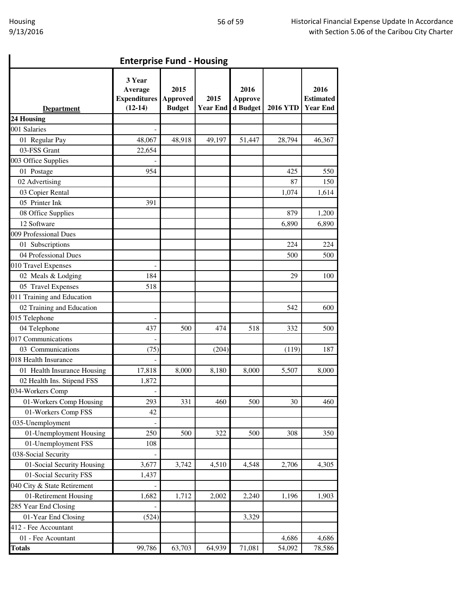| <b>Enterprise Fund - Housing</b> |
|----------------------------------|
|                                  |

| <b>Enterprise Fund - Housing</b> |                                                       |                                          |                         |                                    |                 |                                             |  |  |  |
|----------------------------------|-------------------------------------------------------|------------------------------------------|-------------------------|------------------------------------|-----------------|---------------------------------------------|--|--|--|
| <b>Department</b>                | 3 Year<br>Average<br><b>Expenditures</b><br>$(12-14)$ | 2015<br><b>Approved</b><br><b>Budget</b> | 2015<br><b>Year End</b> | 2016<br><b>Approve</b><br>d Budget | <b>2016 YTD</b> | 2016<br><b>Estimated</b><br><b>Year End</b> |  |  |  |
| 24 Housing                       |                                                       |                                          |                         |                                    |                 |                                             |  |  |  |
| 001 Salaries                     |                                                       |                                          |                         |                                    |                 |                                             |  |  |  |
| 01 Regular Pay                   | 48,067                                                | 48,918                                   | 49,197                  | 51,447                             | 28,794          | 46,367                                      |  |  |  |
| 03-FSS Grant                     | 22,654                                                |                                          |                         |                                    |                 |                                             |  |  |  |
| 003 Office Supplies              |                                                       |                                          |                         |                                    |                 |                                             |  |  |  |
| 01 Postage                       | 954                                                   |                                          |                         |                                    | 425             | 550                                         |  |  |  |
| 02 Advertising                   |                                                       |                                          |                         |                                    | 87              | 150                                         |  |  |  |
| 03 Copier Rental                 |                                                       |                                          |                         |                                    | 1,074           | 1,614                                       |  |  |  |
| 05 Printer Ink                   | 391                                                   |                                          |                         |                                    |                 |                                             |  |  |  |
| 08 Office Supplies               |                                                       |                                          |                         |                                    | 879             | 1,200                                       |  |  |  |
| 12 Software                      |                                                       |                                          |                         |                                    | 6,890           | 6,890                                       |  |  |  |
| 009 Professional Dues            |                                                       |                                          |                         |                                    |                 |                                             |  |  |  |
| 01 Subscriptions                 |                                                       |                                          |                         |                                    | 224             | 224                                         |  |  |  |
| 04 Professional Dues             |                                                       |                                          |                         |                                    | 500             | 500                                         |  |  |  |
| 010 Travel Expenses              |                                                       |                                          |                         |                                    |                 |                                             |  |  |  |
| 02 Meals & Lodging               | 184                                                   |                                          |                         |                                    | 29              | 100                                         |  |  |  |
| 05 Travel Expenses               | 518                                                   |                                          |                         |                                    |                 |                                             |  |  |  |
| 011 Training and Education       |                                                       |                                          |                         |                                    |                 |                                             |  |  |  |
| 02 Training and Education        |                                                       |                                          |                         |                                    | 542             | 600                                         |  |  |  |
| 015 Telephone                    |                                                       |                                          |                         |                                    |                 |                                             |  |  |  |
| 04 Telephone                     | 437                                                   | 500                                      | 474                     | 518                                | 332             | 500                                         |  |  |  |
| 017 Communications               |                                                       |                                          |                         |                                    |                 |                                             |  |  |  |
| 03 Communications                | (75)                                                  |                                          | (204)                   |                                    | (119)           | 187                                         |  |  |  |
| 018 Health Insurance             |                                                       |                                          |                         |                                    |                 |                                             |  |  |  |
| 01 Health Insurance Housing      | 17,818                                                | 8,000                                    | 8,180                   | 8,000                              | 5,507           | 8,000                                       |  |  |  |
| 02 Health Ins. Stipend FSS       | 1,872                                                 |                                          |                         |                                    |                 |                                             |  |  |  |
| 034-Workers Comp                 | -                                                     |                                          |                         |                                    |                 |                                             |  |  |  |
| 01-Workers Comp Housing          | 293                                                   | 331                                      | 460                     | 500                                | 30              | 460                                         |  |  |  |
| 01-Workers Comp FSS              | 42                                                    |                                          |                         |                                    |                 |                                             |  |  |  |
| 035-Unemployment                 |                                                       |                                          |                         |                                    |                 |                                             |  |  |  |
| 01-Unemployment Housing          | 250                                                   | 500                                      | 322                     | 500                                | 308             | 350                                         |  |  |  |
| 01-Unemployment FSS              | 108                                                   |                                          |                         |                                    |                 |                                             |  |  |  |
| 038-Social Security              |                                                       |                                          |                         |                                    |                 |                                             |  |  |  |
| 01-Social Security Housing       | 3,677                                                 | 3,742                                    | 4,510                   | 4,548                              | 2,706           | 4,305                                       |  |  |  |
| 01-Social Security FSS           | 1,437                                                 |                                          |                         |                                    |                 |                                             |  |  |  |
| 040 City & State Retirement      |                                                       |                                          |                         |                                    |                 |                                             |  |  |  |
| 01-Retirement Housing            | 1,682                                                 | 1,712                                    | 2,002                   | 2,240                              | 1,196           | 1,903                                       |  |  |  |
| 285 Year End Closing             |                                                       |                                          |                         |                                    |                 |                                             |  |  |  |
| 01-Year End Closing              | (524)                                                 |                                          |                         | 3,329                              |                 |                                             |  |  |  |
| 412 - Fee Accountant             |                                                       |                                          |                         |                                    |                 |                                             |  |  |  |
| 01 - Fee Acountant               |                                                       |                                          |                         |                                    | 4,686           | 4,686                                       |  |  |  |
| <b>Totals</b>                    | 99,786                                                | 63,703                                   | 64,939                  | 71,081                             | 54,092          | 78,586                                      |  |  |  |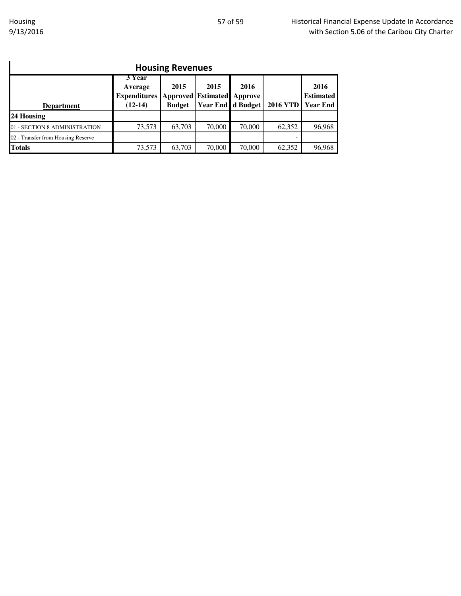| <b>Housing Revenues</b>                                                                                                                                                                                                                  |        |        |        |        |        |        |  |  |
|------------------------------------------------------------------------------------------------------------------------------------------------------------------------------------------------------------------------------------------|--------|--------|--------|--------|--------|--------|--|--|
| 3 Year<br>2015<br>2016<br>2015<br>2016<br>Average<br><b>Expenditures Approved Estimated</b><br><b>Estimated</b><br>Approve<br>Year End d Budget<br><b>2016 YTD</b><br><b>Year End</b><br>$(12-14)$<br><b>Budget</b><br><b>Department</b> |        |        |        |        |        |        |  |  |
| 24 Housing                                                                                                                                                                                                                               |        |        |        |        |        |        |  |  |
| 01 - SECTION 8 ADMINISTRATION                                                                                                                                                                                                            | 73,573 | 63,703 | 70,000 | 70,000 | 62,352 | 96,968 |  |  |
| 02 - Transfer from Housing Reserve                                                                                                                                                                                                       |        |        |        |        |        |        |  |  |
| <b>Totals</b>                                                                                                                                                                                                                            | 73,573 | 63,703 | 70,000 | 70,000 | 62,352 | 96,968 |  |  |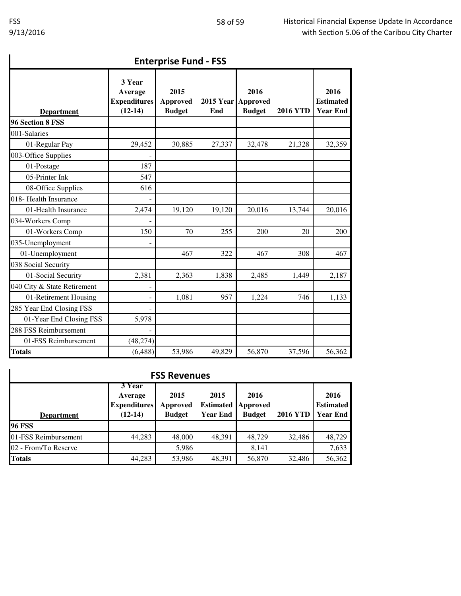| <b>Enterprise Fund - FSS</b> |                                                       |                                          |                         |                                          |                 |                                             |  |  |
|------------------------------|-------------------------------------------------------|------------------------------------------|-------------------------|------------------------------------------|-----------------|---------------------------------------------|--|--|
| <b>Department</b>            | 3 Year<br>Average<br><b>Expenditures</b><br>$(12-14)$ | 2015<br><b>Approved</b><br><b>Budget</b> | <b>2015 Year</b><br>End | 2016<br><b>Approved</b><br><b>Budget</b> | <b>2016 YTD</b> | 2016<br><b>Estimated</b><br><b>Year End</b> |  |  |
| 96 Section 8 FSS             |                                                       |                                          |                         |                                          |                 |                                             |  |  |
| 001-Salaries                 |                                                       |                                          |                         |                                          |                 |                                             |  |  |
| 01-Regular Pay               | 29,452                                                | 30,885                                   | 27,337                  | 32,478                                   | 21,328          | 32,359                                      |  |  |
| 003-Office Supplies          |                                                       |                                          |                         |                                          |                 |                                             |  |  |
| 01-Postage                   | 187                                                   |                                          |                         |                                          |                 |                                             |  |  |
| 05-Printer Ink               | 547                                                   |                                          |                         |                                          |                 |                                             |  |  |
| 08-Office Supplies           | 616                                                   |                                          |                         |                                          |                 |                                             |  |  |
| 018- Health Insurance        |                                                       |                                          |                         |                                          |                 |                                             |  |  |
| 01-Health Insurance          | 2,474                                                 | 19,120                                   | 19,120                  | 20,016                                   | 13,744          | 20,016                                      |  |  |
| 034-Workers Comp             |                                                       |                                          |                         |                                          |                 |                                             |  |  |
| 01-Workers Comp              | 150                                                   | 70                                       | 255                     | 200                                      | 20              | 200                                         |  |  |
| 035-Unemployment             |                                                       |                                          |                         |                                          |                 |                                             |  |  |
| 01-Unemployment              |                                                       | 467                                      | 322                     | 467                                      | 308             | 467                                         |  |  |
| 038 Social Security          |                                                       |                                          |                         |                                          |                 |                                             |  |  |
| 01-Social Security           | 2,381                                                 | 2,363                                    | 1,838                   | 2,485                                    | 1,449           | 2,187                                       |  |  |
| 040 City & State Retirement  |                                                       |                                          |                         |                                          |                 |                                             |  |  |
| 01-Retirement Housing        |                                                       | 1,081                                    | 957                     | 1,224                                    | 746             | 1,133                                       |  |  |
| 285 Year End Closing FSS     |                                                       |                                          |                         |                                          |                 |                                             |  |  |
| 01-Year End Closing FSS      | 5,978                                                 |                                          |                         |                                          |                 |                                             |  |  |
| 288 FSS Reimbursement        | $\overline{\phantom{0}}$                              |                                          |                         |                                          |                 |                                             |  |  |
| 01-FSS Reimbursement         | (48, 274)                                             |                                          |                         |                                          |                 |                                             |  |  |
| <b>Totals</b>                | (6, 488)                                              | 53,986                                   | 49,829                  | 56,870                                   | 37,596          | 56,362                                      |  |  |

### Enterprise Fund - FSS

## FSS Revenues

| <b>FSS Revenues</b>  |                                                                                                                                                                                                                              |        |        |        |        |        |  |  |  |
|----------------------|------------------------------------------------------------------------------------------------------------------------------------------------------------------------------------------------------------------------------|--------|--------|--------|--------|--------|--|--|--|
| <b>Department</b>    | 3 Year<br>2015<br>2015<br>2016<br>Average<br><b>Expenditures</b><br><b>Estimated</b><br><b>Estimated</b><br><b>Approved</b><br>Approved<br><b>2016 YTD</b><br><b>Budget</b><br><b>Year End</b><br>$(12-14)$<br><b>Budget</b> |        |        |        |        |        |  |  |  |
| <b>96 FSS</b>        |                                                                                                                                                                                                                              |        |        |        |        |        |  |  |  |
| 01-FSS Reimbursement | 44,283                                                                                                                                                                                                                       | 48,000 | 48,391 | 48,729 | 32,486 | 48,729 |  |  |  |
| 02 - From/To Reserve |                                                                                                                                                                                                                              | 5,986  |        | 8,141  |        | 7,633  |  |  |  |
| <b>Totals</b>        | 44,283                                                                                                                                                                                                                       | 53,986 | 48,391 | 56,870 | 32,486 | 56,362 |  |  |  |